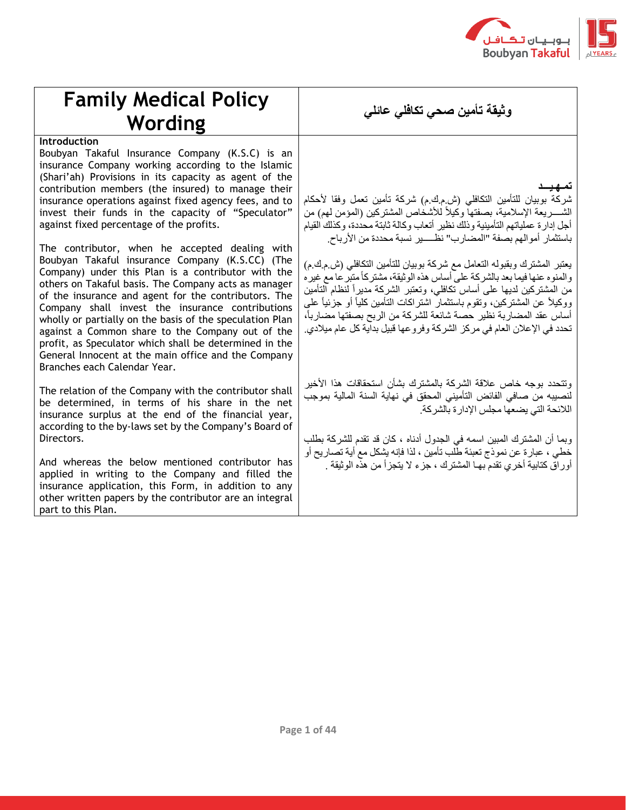

## **Family Medical Policy وثيقة تأمين صحي تكافلي عائلي Wording**

## **Introduction**

Boubyan Takaful Insurance Company (K.S.C) is an insurance Company working according to the Islamic (Shari'ah) Provisions in its capacity as agent of the contribution members (the insured) to manage their insurance operations against fixed agency fees, and to invest their funds in the capacity of "Speculator" against fixed percentage of the profits.

The contributor, when he accepted dealing with Boubyan Takaful insurance Company (K.S.CC) (The Company) under this Plan is a contributor with the others on Takaful basis. The Company acts as manager of the insurance and agent for the contributors. The Company shall invest the insurance contributions wholly or partially on the basis of the speculation Plan against a Common share to the Company out of the profit, as Speculator which shall be determined in the General Innocent at the main office and the Company Branches each Calendar Year.

The relation of the Company with the contributor shall be determined, in terms of his share in the net insurance surplus at the end of the financial year, according to the by-laws set by the Company's Board of Directors.

And whereas the below mentioned contributor has applied in writing to the Company and filled the insurance application, this Form, in addition to any other written papers by the contributor are an integral part to this Plan.

## **تمـهـيـــد**

شركة بوبيان للتأمين التكافلي (ش.م.ك.م) شركة تأمين تعمل وفقا لأحكام الشــــريعة الإسلامية، بصفتها وكيلاً للأشخاص المشتركين (المؤمن لهم) من أجل إدارة عملياتهم التأمينية وذلك نظير أتعاب وكالة ثابتة محددة، وكذلك القيام باستثمار أموالهم بصفة "المضارب" نظـــــير نسبة محددة من األرب اح.

يعتبر المشترك وبقبوله التعامل مع شركة بوبيان للتأمين التكافلي )ش.م.ك.م( و المنو ه عنها فيما بعد بالشر كة على أساس هذه الوثيقة، مشتر كاً متبر عا مع غير ه من المشتركين لديها على أساس تكافلي، وتعتبر الشركة مديراً لنظام التأمين ووكيلاً عن المشتركين، وتقوم باستثمار اشتراكات التأمين كلياً أو جزئياً على أساس عقد المضاربة نظير حصة شائعة للشركة من الربح بصفتها مضارباً، تحدد في اإلعالن العام في مركز الشركة وفروعها قبيل بداية كل عام ميالدي.

وتتحدد بوجه خاص عالقة الشركة بالمشترك بشأن استحقاقات هذا األخير لنصيبه من صافي الفائض التأميني المحقق في نهاية السنة المالية بموجب الالئحة التي يضعها مجلس اإلدارة بالشركة.

وبما أن المشترك المبين اسمه في الجدول أدناه ، كان قد تقدم للشركة بطلب خطي ، عبارة عن نموذج تعبئة طلب تأمين ، لذا فإنه يشكل مع أية تصاريح أو أوراق كتابية أخري تقدم بهـا المشترك ، جزء ال يتجزأ من هذه الوثيقة .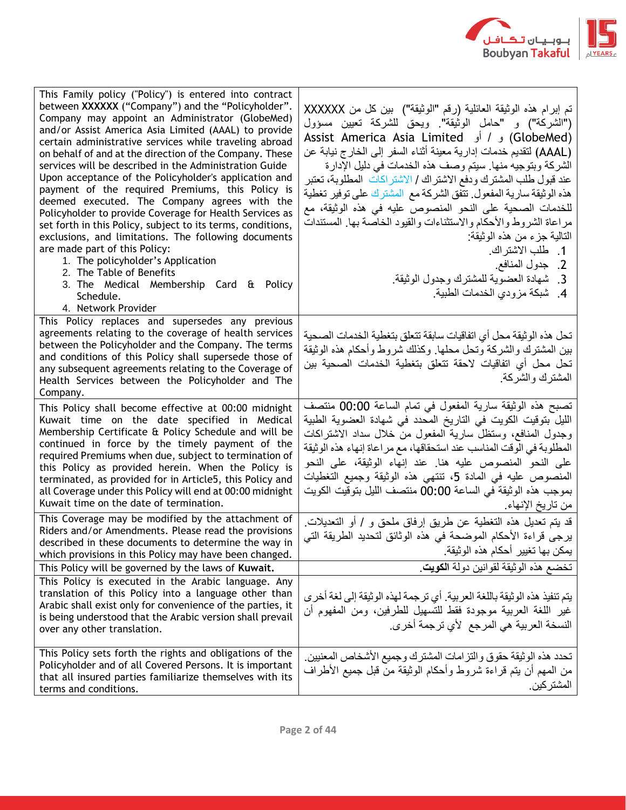

| This Family policy ("Policy") is entered into contract<br>between XXXXXX ("Company") and the "Policyholder".<br>Company may appoint an Administrator (GlobeMed)<br>and/or Assist America Asia Limited (AAAL) to provide<br>certain administrative services while traveling abroad<br>on behalf of and at the direction of the Company. These<br>services will be described in the Administration Guide<br>Upon acceptance of the Policyholder's application and<br>payment of the required Premiums, this Policy is<br>deemed executed. The Company agrees with the<br>Policyholder to provide Coverage for Health Services as<br>set forth in this Policy, subject to its terms, conditions,<br>exclusions, and limitations. The following documents<br>are made part of this Policy:<br>1. The policyholder's Application<br>2. The Table of Benefits<br>3. The Medical Membership Card & Policy<br>Schedule.<br>4. Network Provider | تم إبرام هذه الوثيقة العائلية (رقم "الوثيقة")  بين كل من XXXXXX<br>("الشركة") و "حامل الوثيقة". ويحق للشركة تعيين مسؤول<br>(GlobeMed) و / أو Assist America Asia Limited<br>(AAAL) لنقديم خدمات إدارية معينة أثناء السفر إلى الخارج نيابة عن<br>الشركة وبتوجيه منها. سيتم وصف هذه الخدمات في دليل الإدارة<br>عند قبول طلب المشترك ودفع الاشتراك / الاشتراكات  المطلوبة، تعتبر<br>هذه الوثيقة سارية المفعول تتفق الشركة مع المشترك على توفير تغطية<br>للخدمات الصحية على النحو المنصوص عليه في هذه الوثيقة، مع<br>مراعاة الشروط والأحكام والاستثناءات والقيود الخاصة بها المستندات<br>التالية جزء من هذه الوثيقة:<br>1. طلب الاشتراك.<br>2. جدول المنافع.<br>3_ شهادة العضوية للمشترك وجدول الوثيقة_<br>4. شبكة مزودي الخدمات الطبية |
|----------------------------------------------------------------------------------------------------------------------------------------------------------------------------------------------------------------------------------------------------------------------------------------------------------------------------------------------------------------------------------------------------------------------------------------------------------------------------------------------------------------------------------------------------------------------------------------------------------------------------------------------------------------------------------------------------------------------------------------------------------------------------------------------------------------------------------------------------------------------------------------------------------------------------------------|-------------------------------------------------------------------------------------------------------------------------------------------------------------------------------------------------------------------------------------------------------------------------------------------------------------------------------------------------------------------------------------------------------------------------------------------------------------------------------------------------------------------------------------------------------------------------------------------------------------------------------------------------------------------------------------------------------------------------------------|
| This Policy replaces and supersedes any previous<br>agreements relating to the coverage of health services<br>between the Policyholder and the Company. The terms<br>and conditions of this Policy shall supersede those of<br>any subsequent agreements relating to the Coverage of<br>Health Services between the Policyholder and The<br>Company.                                                                                                                                                                                                                                                                                                                                                                                                                                                                                                                                                                                   | تحل هذه الوثيقة محل أي اتفاقيات سابقة تتعلق بتغطية الخدمات الصحية<br>بين المشترك والشركة وتحل محلها. وكذلك شروط وأحكام هذه الوثيقة<br>تحل محل أي اتفاقيات لاحقة تتعلق بتغطية الخدمات الصحية بين<br>المشترك والشركة                                                                                                                                                                                                                                                                                                                                                                                                                                                                                                                  |
| This Policy shall become effective at 00:00 midnight<br>Kuwait time on the date specified in Medical<br>Membership Certificate & Policy Schedule and will be<br>continued in force by the timely payment of the<br>required Premiums when due, subject to termination of<br>this Policy as provided herein. When the Policy is<br>terminated, as provided for in Article5, this Policy and<br>all Coverage under this Policy will end at 00:00 midnight<br>Kuwait time on the date of termination.                                                                                                                                                                                                                                                                                                                                                                                                                                     | تصبح هذه الوثيقة سارية المفعول في تمام الساعة 00:00 منتصف<br>الليل بتوقيت الكويت في التاريخ المحدد في شهادة العضوية الطبية<br>وجدول المفافع، وستظل سارية المفعول من خلال سداد الاشتراكات<br>المطلوبة في الوقت المناسب عند استحقاقها، مع مر اعاة إنهاء هذه الوثيقة<br>على النحو المنصوص عليه هنا عند إنهاء الوثيقة، على النحو<br>المنصوص عليه في المادة 5، تنتهي هذه الوثيقة وجميع التغطيات<br>بموجب هذه الوثيقة في الساعة 00:00 منتصف الليل بتوقيت الكويت<br>من تاريخ الإنهاء                                                                                                                                                                                                                                                       |
| This Coverage may be modified by the attachment of<br>Riders and/or Amendments. Please read the provisions<br>described in these documents to determine the way in<br>which provisions in this Policy may have been changed.                                                                                                                                                                                                                                                                                                                                                                                                                                                                                                                                                                                                                                                                                                           | قد يتم تعديل هذه التغطية عن طريق إرفاق ملحق و / أو التعديلات<br>يرجى قراءة الأحكام الموضحة في هذه الوثائق لتحديد الطريقة التي<br>يمكن بها تغيير أحكام هذه الوثيقة.                                                                                                                                                                                                                                                                                                                                                                                                                                                                                                                                                                  |
| This Policy will be governed by the laws of Kuwait.<br>This Policy is executed in the Arabic language. Any<br>translation of this Policy into a language other than<br>Arabic shall exist only for convenience of the parties, it<br>is being understood that the Arabic version shall prevail<br>over any other translation.                                                                                                                                                                                                                                                                                                                                                                                                                                                                                                                                                                                                          | تخضع هذه الوثيقة لقوانين دولة الكويت<br>يتم تنفيذ هذه الوثيقة باللغة العربية. أي ترجمة لهذه الوثيقة إلى لغة أخرى<br>غير اللغة العربية موجودة فقط للتسهيل للطرفين، ومن المفهوم أن<br>النسخة العربية هي المرجع لأي ترجمة أخرى.                                                                                                                                                                                                                                                                                                                                                                                                                                                                                                        |
| This Policy sets forth the rights and obligations of the<br>Policyholder and of all Covered Persons. It is important<br>that all insured parties familiarize themselves with its<br>terms and conditions.                                                                                                                                                                                                                                                                                                                                                                                                                                                                                                                                                                                                                                                                                                                              | تحدد هذه الوثيقة حقوق والتزامات المشترك وجميع الأشخاص المعنيين<br>من المهم أن يتم قراءة شروط وأحكام الوثيقة من قبل جميع الأطراف<br>المشتر كين                                                                                                                                                                                                                                                                                                                                                                                                                                                                                                                                                                                       |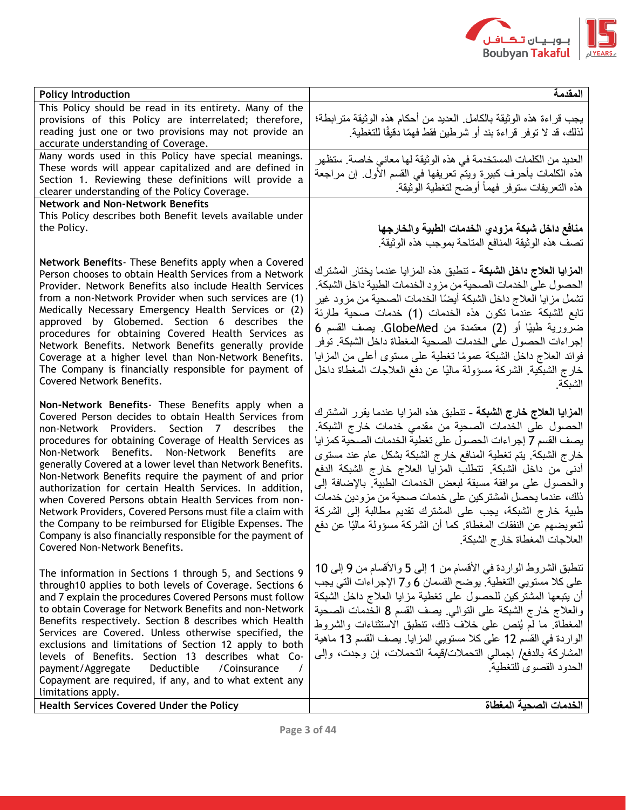

| <b>Policy Introduction</b>                                                                                                                                                                                                                                                                                                                                                                                                                                                                                                                                                                                                                                                                                | المقدمة                                                                                                                                                                                                                                                                                                                                                                                                                                                                                                                                                                                  |
|-----------------------------------------------------------------------------------------------------------------------------------------------------------------------------------------------------------------------------------------------------------------------------------------------------------------------------------------------------------------------------------------------------------------------------------------------------------------------------------------------------------------------------------------------------------------------------------------------------------------------------------------------------------------------------------------------------------|------------------------------------------------------------------------------------------------------------------------------------------------------------------------------------------------------------------------------------------------------------------------------------------------------------------------------------------------------------------------------------------------------------------------------------------------------------------------------------------------------------------------------------------------------------------------------------------|
| This Policy should be read in its entirety. Many of the                                                                                                                                                                                                                                                                                                                                                                                                                                                                                                                                                                                                                                                   |                                                                                                                                                                                                                                                                                                                                                                                                                                                                                                                                                                                          |
| provisions of this Policy are interrelated; therefore,                                                                                                                                                                                                                                                                                                                                                                                                                                                                                                                                                                                                                                                    | يجب قراءة هذه الوثيقة بالكامل العديد من أحكام هذه الوثيقة مترابطة؛                                                                                                                                                                                                                                                                                                                                                                                                                                                                                                                       |
| reading just one or two provisions may not provide an                                                                                                                                                                                                                                                                                                                                                                                                                                                                                                                                                                                                                                                     | لذلك، قد لا توفر قراءة بند أو شرطين فقط فهمًا دقيقًا للتغطية.                                                                                                                                                                                                                                                                                                                                                                                                                                                                                                                            |
| accurate understanding of Coverage.                                                                                                                                                                                                                                                                                                                                                                                                                                                                                                                                                                                                                                                                       |                                                                                                                                                                                                                                                                                                                                                                                                                                                                                                                                                                                          |
| Many words used in this Policy have special meanings.                                                                                                                                                                                                                                                                                                                                                                                                                                                                                                                                                                                                                                                     | العديد من الكلمات المستخدمة في هذه الوثيقة لها معاني خاصة. ستظهر                                                                                                                                                                                                                                                                                                                                                                                                                                                                                                                         |
| These words will appear capitalized and are defined in                                                                                                                                                                                                                                                                                                                                                                                                                                                                                                                                                                                                                                                    | هذه الكلمات بأحرف كبيرة ويتم تعريفها في القسم الأول. إن مراجعة                                                                                                                                                                                                                                                                                                                                                                                                                                                                                                                           |
| Section 1. Reviewing these definitions will provide a                                                                                                                                                                                                                                                                                                                                                                                                                                                                                                                                                                                                                                                     | هذه التعريفات ستوفر فهمأ أوضح لتغطية الوثيقة                                                                                                                                                                                                                                                                                                                                                                                                                                                                                                                                             |
| clearer understanding of the Policy Coverage.                                                                                                                                                                                                                                                                                                                                                                                                                                                                                                                                                                                                                                                             |                                                                                                                                                                                                                                                                                                                                                                                                                                                                                                                                                                                          |
| <b>Network and Non-Network Benefits</b>                                                                                                                                                                                                                                                                                                                                                                                                                                                                                                                                                                                                                                                                   |                                                                                                                                                                                                                                                                                                                                                                                                                                                                                                                                                                                          |
| This Policy describes both Benefit levels available under                                                                                                                                                                                                                                                                                                                                                                                                                                                                                                                                                                                                                                                 |                                                                                                                                                                                                                                                                                                                                                                                                                                                                                                                                                                                          |
| the Policy.                                                                                                                                                                                                                                                                                                                                                                                                                                                                                                                                                                                                                                                                                               | منافع داخل شبكة مزودي الخدمات الطبية والخارجها                                                                                                                                                                                                                                                                                                                                                                                                                                                                                                                                           |
|                                                                                                                                                                                                                                                                                                                                                                                                                                                                                                                                                                                                                                                                                                           | تصف هذه الوثيقة المنافع المتاحة بموجب هذه الوثيقة                                                                                                                                                                                                                                                                                                                                                                                                                                                                                                                                        |
| Network Benefits- These Benefits apply when a Covered                                                                                                                                                                                                                                                                                                                                                                                                                                                                                                                                                                                                                                                     |                                                                                                                                                                                                                                                                                                                                                                                                                                                                                                                                                                                          |
| Person chooses to obtain Health Services from a Network                                                                                                                                                                                                                                                                                                                                                                                                                                                                                                                                                                                                                                                   | ا <b>لمزايا العلاج داخل الشبكة ـ</b> تنطبق هذه المزايا عندما يختار المشترك                                                                                                                                                                                                                                                                                                                                                                                                                                                                                                               |
| Provider. Network Benefits also include Health Services                                                                                                                                                                                                                                                                                                                                                                                                                                                                                                                                                                                                                                                   | الحصول على الخدمات الصحية من مزود الخدمات الطبية داخل الشبكة                                                                                                                                                                                                                                                                                                                                                                                                                                                                                                                             |
| from a non-Network Provider when such services are (1)                                                                                                                                                                                                                                                                                                                                                                                                                                                                                                                                                                                                                                                    | تشمل مزايا العلاج داخل الشبكة أيضًا الخدمات الصحية من مزود غير                                                                                                                                                                                                                                                                                                                                                                                                                                                                                                                           |
| Medically Necessary Emergency Health Services or (2)                                                                                                                                                                                                                                                                                                                                                                                                                                                                                                                                                                                                                                                      |                                                                                                                                                                                                                                                                                                                                                                                                                                                                                                                                                                                          |
| approved by Globemed. Section 6 describes the                                                                                                                                                                                                                                                                                                                                                                                                                                                                                                                                                                                                                                                             | تابع للشبكة عندما تكون هذه الخدمات (1) خدمات صحية طارئة                                                                                                                                                                                                                                                                                                                                                                                                                                                                                                                                  |
| procedures for obtaining Covered Health Services as                                                                                                                                                                                                                                                                                                                                                                                                                                                                                                                                                                                                                                                       | ضرورية طبيًا أو (2) معتمدة من GlobeMed. يصف القسم 6                                                                                                                                                                                                                                                                                                                                                                                                                                                                                                                                      |
| Network Benefits. Network Benefits generally provide                                                                                                                                                                                                                                                                                                                                                                                                                                                                                                                                                                                                                                                      | إجراءات الحصول على الخدمات الصحية المغطاة داخل الشبكة. توفر                                                                                                                                                                                                                                                                                                                                                                                                                                                                                                                              |
| Coverage at a higher level than Non-Network Benefits.                                                                                                                                                                                                                                                                                                                                                                                                                                                                                                                                                                                                                                                     | فوائد العلاج داخل الشبكة عمومًا نغطية على مستوى أعلى من المزايا                                                                                                                                                                                                                                                                                                                                                                                                                                                                                                                          |
| The Company is financially responsible for payment of                                                                                                                                                                                                                                                                                                                                                                                                                                                                                                                                                                                                                                                     | خارج الشبكية. الشركة مسؤولة ماليًا عن دفع العلاجات المغطاة داخل                                                                                                                                                                                                                                                                                                                                                                                                                                                                                                                          |
| Covered Network Benefits.                                                                                                                                                                                                                                                                                                                                                                                                                                                                                                                                                                                                                                                                                 | الشبكة                                                                                                                                                                                                                                                                                                                                                                                                                                                                                                                                                                                   |
| Non-Network Benefits- These Benefits apply when a<br>Covered Person decides to obtain Health Services from<br>non-Network Providers. Section 7 describes the<br>procedures for obtaining Coverage of Health Services as<br>Non-Network Benefits. Non-Network Benefits are<br>generally Covered at a lower level than Network Benefits.<br>Non-Network Benefits require the payment of and prior<br>authorization for certain Health Services. In addition,<br>when Covered Persons obtain Health Services from non-<br>Network Providers, Covered Persons must file a claim with<br>the Company to be reimbursed for Eligible Expenses. The<br>Company is also financially responsible for the payment of | ا <b>لمزايا العلاج خارج الشبكة</b> ـ تنطبق هذه المزايا عندما يقرر المشترك<br>الحصول على الخدمات الصحية من مقدمي خدمات خارج الشبكة.<br>يصف القسم 7 إجراءات الحصول على تغطية الخدمات الصحية كمزايا<br>خارج الشبكة. يتم تغطية المنافع خارج الشبكة بشكل عام عند مستوى<br>أدنى من داخل الشبكة. تتطلب المزايا العلاج خارج الشبكة الدفع<br>والحصول على موافقة مسبقة لبعض الخدمات الطبية بالإضافة إلى<br>ذلك، عندما يحصل المشتركين على خدمات صحية من مزودين خدمات<br>طبية خارج الشبكة، يجب على المشترك تقديم مطالبة إلى الشركة<br>لنعويضهم عن النفقات المغطاة كما أن الشركة مسؤولة ماليًا عن دفع |
| Covered Non-Network Benefits.                                                                                                                                                                                                                                                                                                                                                                                                                                                                                                                                                                                                                                                                             | العلاجات المغطاة خارج الشبكة                                                                                                                                                                                                                                                                                                                                                                                                                                                                                                                                                             |
| The information in Sections 1 through 5, and Sections 9<br>through10 applies to both levels of Coverage. Sections 6<br>and 7 explain the procedures Covered Persons must follow<br>to obtain Coverage for Network Benefits and non-Network<br>Benefits respectively. Section 8 describes which Health<br>Services are Covered. Unless otherwise specified, the<br>exclusions and limitations of Section 12 apply to both<br>levels of Benefits. Section 13 describes what Co-<br>Deductible<br>payment/Aggregate<br>/Coinsurance<br>Copayment are required, if any, and to what extent any                                                                                                                | تنطبق الشروط الواردة في الأقسام من 1 إلى 5 والأقسام من 9 إلى 10<br>على كلا مستويي التغطية. يوضح القسمان 6 و7 الإجراءات التي يجب<br>أن يتبعها المشتركين للحصول على تغطية مزايا العلاج داخل الشبكة<br>والعلاج خارج الشبكة على التوالي يصف القسم 8 الخدمات الصحية<br>المغطاة  ما لم يُنص على خلاف ذلك، تنطبق الاستثناءات والشروط<br>الواردة في القسم 12 على كلا مستويي المزايا. يصف القسم 13 ماهية<br>المشاركة بالدفع/ إجمالي التحملات/قيمة التحملات، إن وجدت، وإلى<br>الحدود القصوى للتغطية                                                                                                |
| limitations apply.                                                                                                                                                                                                                                                                                                                                                                                                                                                                                                                                                                                                                                                                                        |                                                                                                                                                                                                                                                                                                                                                                                                                                                                                                                                                                                          |
| <b>Health Services Covered Under the Policy</b>                                                                                                                                                                                                                                                                                                                                                                                                                                                                                                                                                                                                                                                           | الخدمات الصحبة المغطاة                                                                                                                                                                                                                                                                                                                                                                                                                                                                                                                                                                   |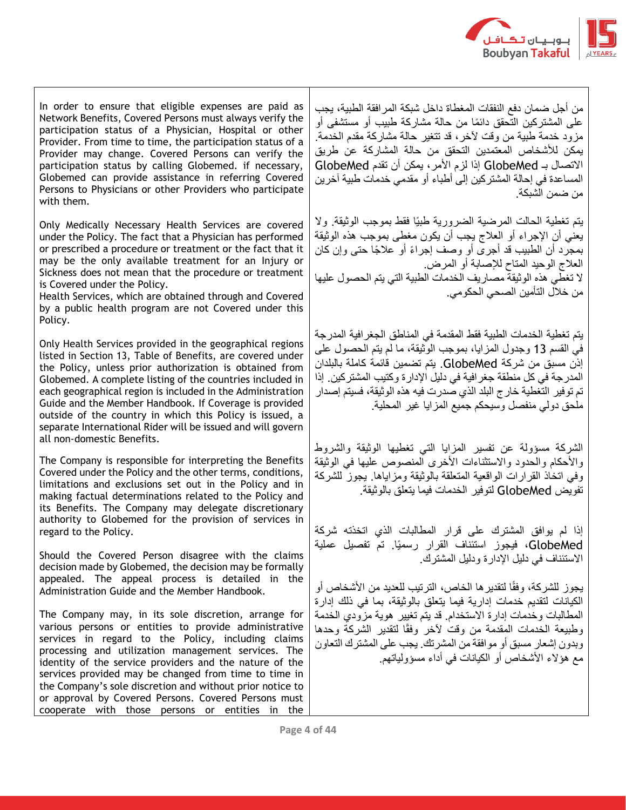

In order to ensure that eligible expenses are paid as Network Benefits, Covered Persons must always verify the participation status of a Physician, Hospital or other Provider. From time to time, the participation status of a Provider may change. Covered Persons can verify the participation status by calling Globemed. if necessary, Globemed can provide assistance in referring Covered Persons to Physicians or other Providers who participate with them.

Only Medically Necessary Health Services are covered under the Policy. The fact that a Physician has performed or prescribed a procedure or treatment or the fact that it may be the only available treatment for an Injury or Sickness does not mean that the procedure or treatment is Covered under the Policy.

Health Services, which are obtained through and Covered by a public health program are not Covered under this Policy.

Only Health Services provided in the geographical regions listed in Section 13, Table of Benefits, are covered under the Policy, unless prior authorization is obtained from Globemed. A complete listing of the countries included in each geographical region is included in the Administration Guide and the Member Handbook. If Coverage is provided outside of the country in which this Policy is issued, a separate International Rider will be issued and will govern all non-domestic Benefits.

The Company is responsible for interpreting the Benefits Covered under the Policy and the other terms, conditions, limitations and exclusions set out in the Policy and in making factual determinations related to the Policy and its Benefits. The Company may delegate discretionary authority to Globemed for the provision of services in regard to the Policy.

Should the Covered Person disagree with the claims decision made by Globemed, the decision may be formally appealed. The appeal process is detailed in the Administration Guide and the Member Handbook.

The Company may, in its sole discretion, arrange for various persons or entities to provide administrative services in regard to the Policy, including claims processing and utilization management services. The identity of the service providers and the nature of the services provided may be changed from time to time in the Company's sole discretion and without prior notice to or approval by Covered Persons. Covered Persons must cooperate with those persons or entities in the

من أجل ضمان دفع النفقات المغطاة داخل شبكة المرافقة الطبية، يجب على المشتركين التحقق دائمًا من حالة مشاركة طبيب أو مستشفى أو مزود خدمة طبية من وقت آلخر، قد تتغير حالة مشاركة مقدم الخدمة. يمكن لألشخاص المعتمدين التحقق من حالة المشاركة عن طريق االتصال بـ GlobeMed إذا لزم األمر، يمكن أن تقدم GlobeMed المساعدة في إحالة المشتركين إلى أطباء أو مقدمي خدمات طبية آخرين من ضمن الشبكة.

يتم تغطية الحالت المرضية الضرورية طبيًا فقط بموجب الوثيقة. وال يعني أن اإلجراء أو العالج يجب أن يكون مغطى بموجب هذه الوثيقة بمجرد أن الطبيب قد أجرى أو وصف إجراءً أو علاجًا حتى وإن كان العالج الوحيد المتاح لإلصابة أو المرض. ال تغطي هذه الوثيقة مصاريف الخدمات الطبية التي يتم الحصول عليها من خالل التأمين الصحي الحكومي.

يتم تغطية الخدمات الطبية فقط المقدمة في المناطق الجغرافية المدرجة في القسم 13 وجدول المزايا، بموجب الوثيقة، ما لم يتم الحصول على إذن مسبق من شركة GlobeMed. يتم تضمين قائمة كاملة بالبلدان المدرجة في كل منطقة جغرافية في دليل اإلدارة وكتيب المشتركين. إذا تم توفير التغطية خارج البلد الذي صدرت فيه هذه الوثيقة، فسيتم إصدار ملحق دولي منفصل وسيحكم جميع المزايا غير المحلية.

الشركة مسؤولة عن تفسير المزايا التي تغطيها الوثيقة والشروط والأحكام والحدود والاستثناءات الأخرى المنصوص عليها في الوثيقة وفي اتخاذ القرارات الواقعية المتعلقة بالوثيقة ومزاياها. يجوز للشركة تفويض GlobeMed لتوفير الخدمات فيما يتعلق بالوثيقة.

إذا لم يوافق المشترك على قرار المطالبات الذي اتخذته شركة GlobeMed، فيجوز استئناف القرار رسميًا. تم تفصيل عملية االستئناف في دليل اإلدارة ودليل المشترك.

يجوز للشركة، وفقًا لتقدير ها الخاص، الترتيب للعديد من الأشخاص أو الكيانات لتقديم خدمات إدارية فيما يتعلق بالوثيقة، بما في ذلك إدارة المطالبات وخدمات إدارة االستخدام. قد يتم تغيير هوية مزودي الخدمة وطبيعة الخدمات المقدمة من وقت لأخر وفقًا لتقدير الشركة وحدها وبدون إشعار مسبق أو موافقة من المشرتك. يجب على المشترك التعاون مع هؤلاء الأشخاص أو الكيانات في أداء مسؤولياتهم.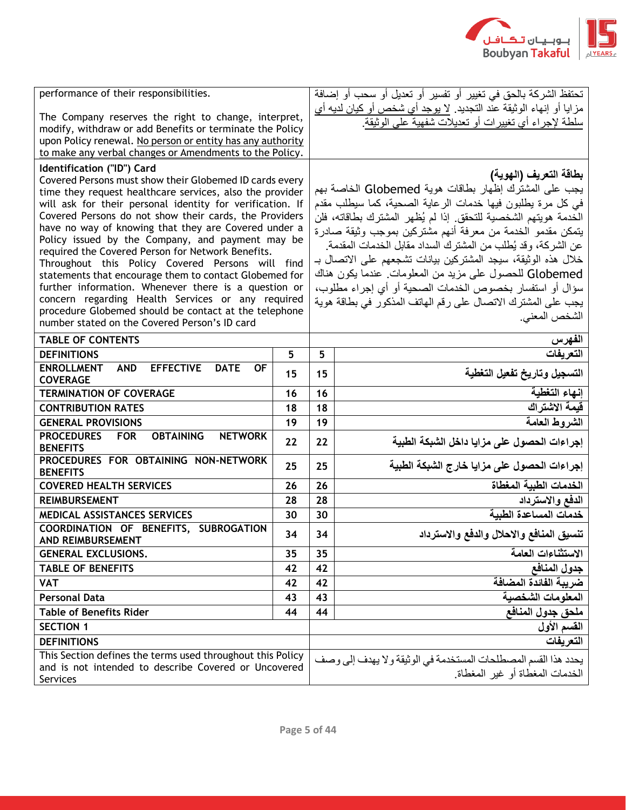

| performance of their responsibilities.                                                                                                                                                                                                                                                                                                                                                                                                                                                                                                                                                                                                                                                                                                                                         |    |    | تحتفظ الشركة بالحق في تغيير أو تفسير أو تعديل أو سحب أو إضافة                                                                                                                                                                                                                                                                                                                                                                                                                                                                                                                                                                     |
|--------------------------------------------------------------------------------------------------------------------------------------------------------------------------------------------------------------------------------------------------------------------------------------------------------------------------------------------------------------------------------------------------------------------------------------------------------------------------------------------------------------------------------------------------------------------------------------------------------------------------------------------------------------------------------------------------------------------------------------------------------------------------------|----|----|-----------------------------------------------------------------------------------------------------------------------------------------------------------------------------------------------------------------------------------------------------------------------------------------------------------------------------------------------------------------------------------------------------------------------------------------------------------------------------------------------------------------------------------------------------------------------------------------------------------------------------------|
| The Company reserves the right to change, interpret,<br>modify, withdraw or add Benefits or terminate the Policy<br>upon Policy renewal. No person or entity has any authority<br>to make any verbal changes or Amendments to the Policy.                                                                                                                                                                                                                                                                                                                                                                                                                                                                                                                                      |    |    | مزايا أو إنهاء الوثيقة علّد التجديد. <u>لا يوجد أي شخص أو كيان لديه أي</u><br>سلطة لإجراء أي تغييرات أو تعديلات شفهية على الوثيقة.                                                                                                                                                                                                                                                                                                                                                                                                                                                                                                |
| Identification ("ID") Card<br>Covered Persons must show their Globemed ID cards every<br>time they request healthcare services, also the provider<br>will ask for their personal identity for verification. If<br>Covered Persons do not show their cards, the Providers<br>have no way of knowing that they are Covered under a<br>Policy issued by the Company, and payment may be<br>required the Covered Person for Network Benefits.<br>Throughout this Policy Covered Persons will find<br>statements that encourage them to contact Globemed for<br>further information. Whenever there is a question or<br>concern regarding Health Services or any required<br>procedure Globemed should be contact at the telephone<br>number stated on the Covered Person's ID card |    |    | بطاقة التعريف (الهوية)<br>يجب على المشترك إظهار بطاقات هوية Globemed الخاصة بهم<br>في كل مرة يطلبون فيها خدمات الرعاية الصحية، كما سيطلب مقدم<br>الخدمة هويتهم الشخصية للتحقق. إذا لم يُظهر المشترك بطاقاته، فلن<br>يتمكن مقدمو الخدمة من معرفة أنهم مشتركين بموجب وثيقة صادرة<br>عن الشركة، وقد يُطلب من المشترك السداد مقابل الخدمات المقدمة.<br>خلال هذه الوثيقة، سيجد المشتركين بيانات تشجعهم على الاتصال بـ<br>Globemed للحصول على مزيد من المعلومات عندما يكون هناك<br>سؤال أو استفسار بخصوص الخدمات الصحية أو أي إجراء مطلوب،<br>يجب على المشترك الاتصال على رقم الهاتف المذكور في بطاقة هوية<br>الشخص المعنى <sub>.</sub> |
| <b>TABLE OF CONTENTS</b>                                                                                                                                                                                                                                                                                                                                                                                                                                                                                                                                                                                                                                                                                                                                                       |    |    | الفهرس                                                                                                                                                                                                                                                                                                                                                                                                                                                                                                                                                                                                                            |
| <b>DEFINITIONS</b>                                                                                                                                                                                                                                                                                                                                                                                                                                                                                                                                                                                                                                                                                                                                                             | 5  | 5  | التعر بفات                                                                                                                                                                                                                                                                                                                                                                                                                                                                                                                                                                                                                        |
| <b>ENROLLMENT</b><br><b>AND</b><br><b>EFFECTIVE</b><br><b>DATE</b><br><b>OF</b><br><b>COVERAGE</b>                                                                                                                                                                                                                                                                                                                                                                                                                                                                                                                                                                                                                                                                             | 15 | 15 | التسجيل وتاريخ تفعيل التغطية                                                                                                                                                                                                                                                                                                                                                                                                                                                                                                                                                                                                      |
| <b>TERMINATION OF COVERAGE</b>                                                                                                                                                                                                                                                                                                                                                                                                                                                                                                                                                                                                                                                                                                                                                 | 16 | 16 | إنهاء التغطية                                                                                                                                                                                                                                                                                                                                                                                                                                                                                                                                                                                                                     |
| <b>CONTRIBUTION RATES</b>                                                                                                                                                                                                                                                                                                                                                                                                                                                                                                                                                                                                                                                                                                                                                      | 18 | 18 | فيمة الاشتراك                                                                                                                                                                                                                                                                                                                                                                                                                                                                                                                                                                                                                     |
| <b>GENERAL PROVISIONS</b>                                                                                                                                                                                                                                                                                                                                                                                                                                                                                                                                                                                                                                                                                                                                                      | 19 | 19 | الشروط العامة                                                                                                                                                                                                                                                                                                                                                                                                                                                                                                                                                                                                                     |
| <b>PROCEDURES</b><br><b>OBTAINING</b><br><b>FOR</b><br><b>NETWORK</b><br><b>BENEFITS</b>                                                                                                                                                                                                                                                                                                                                                                                                                                                                                                                                                                                                                                                                                       | 22 | 22 | إجراءات الحصول على مزايا داخل الشبكة الطبية                                                                                                                                                                                                                                                                                                                                                                                                                                                                                                                                                                                       |
| PROCEDURES FOR OBTAINING NON-NETWORK<br><b>BENEFITS</b>                                                                                                                                                                                                                                                                                                                                                                                                                                                                                                                                                                                                                                                                                                                        | 25 | 25 | إجراءات الحصول على مزايا خارج الشبكة الطبية                                                                                                                                                                                                                                                                                                                                                                                                                                                                                                                                                                                       |
| <b>COVERED HEALTH SERVICES</b>                                                                                                                                                                                                                                                                                                                                                                                                                                                                                                                                                                                                                                                                                                                                                 | 26 | 26 | الخدمات الطبية المغطاة                                                                                                                                                                                                                                                                                                                                                                                                                                                                                                                                                                                                            |
| <b>REIMBURSEMENT</b>                                                                                                                                                                                                                                                                                                                                                                                                                                                                                                                                                                                                                                                                                                                                                           | 28 | 28 | الدفع والاسترداد                                                                                                                                                                                                                                                                                                                                                                                                                                                                                                                                                                                                                  |
| MEDICAL ASSISTANCES SERVICES                                                                                                                                                                                                                                                                                                                                                                                                                                                                                                                                                                                                                                                                                                                                                   | 30 | 30 | خدمات المساعدة الطبية                                                                                                                                                                                                                                                                                                                                                                                                                                                                                                                                                                                                             |
| COORDINATION OF BENEFITS, SUBROGATION<br>AND REIMBURSEMENT                                                                                                                                                                                                                                                                                                                                                                                                                                                                                                                                                                                                                                                                                                                     | 34 | 34 | تنسيق المنافع والاحلال والدفع والاسترداد                                                                                                                                                                                                                                                                                                                                                                                                                                                                                                                                                                                          |
| <b>GENERAL EXCLUSIONS.</b>                                                                                                                                                                                                                                                                                                                                                                                                                                                                                                                                                                                                                                                                                                                                                     | 35 | 35 | الاستثناءات العامة                                                                                                                                                                                                                                                                                                                                                                                                                                                                                                                                                                                                                |
| <b>TABLE OF BENEFITS</b>                                                                                                                                                                                                                                                                                                                                                                                                                                                                                                                                                                                                                                                                                                                                                       | 42 | 42 | جدول المنافع                                                                                                                                                                                                                                                                                                                                                                                                                                                                                                                                                                                                                      |
| <b>VAT</b>                                                                                                                                                                                                                                                                                                                                                                                                                                                                                                                                                                                                                                                                                                                                                                     | 42 | 42 | ضريبة الفائدة المضافة                                                                                                                                                                                                                                                                                                                                                                                                                                                                                                                                                                                                             |
| <b>Personal Data</b>                                                                                                                                                                                                                                                                                                                                                                                                                                                                                                                                                                                                                                                                                                                                                           | 43 | 43 | المعلومات الشخصية                                                                                                                                                                                                                                                                                                                                                                                                                                                                                                                                                                                                                 |
| <b>Table of Benefits Rider</b>                                                                                                                                                                                                                                                                                                                                                                                                                                                                                                                                                                                                                                                                                                                                                 | 44 | 44 | لمحق جدول المنافع                                                                                                                                                                                                                                                                                                                                                                                                                                                                                                                                                                                                                 |
| <b>SECTION 1</b>                                                                                                                                                                                                                                                                                                                                                                                                                                                                                                                                                                                                                                                                                                                                                               |    |    | القسم الأول                                                                                                                                                                                                                                                                                                                                                                                                                                                                                                                                                                                                                       |
| <b>DEFINITIONS</b>                                                                                                                                                                                                                                                                                                                                                                                                                                                                                                                                                                                                                                                                                                                                                             |    |    | التعريفات                                                                                                                                                                                                                                                                                                                                                                                                                                                                                                                                                                                                                         |
| This Section defines the terms used throughout this Policy<br>and is not intended to describe Covered or Uncovered<br>Services                                                                                                                                                                                                                                                                                                                                                                                                                                                                                                                                                                                                                                                 |    |    | يحدد هذا القسم المصطلحات المستخدمة في الوثيقة ولا يهدف إلى وصف<br>الخدمات المغطاة أو غير المغطاة                                                                                                                                                                                                                                                                                                                                                                                                                                                                                                                                  |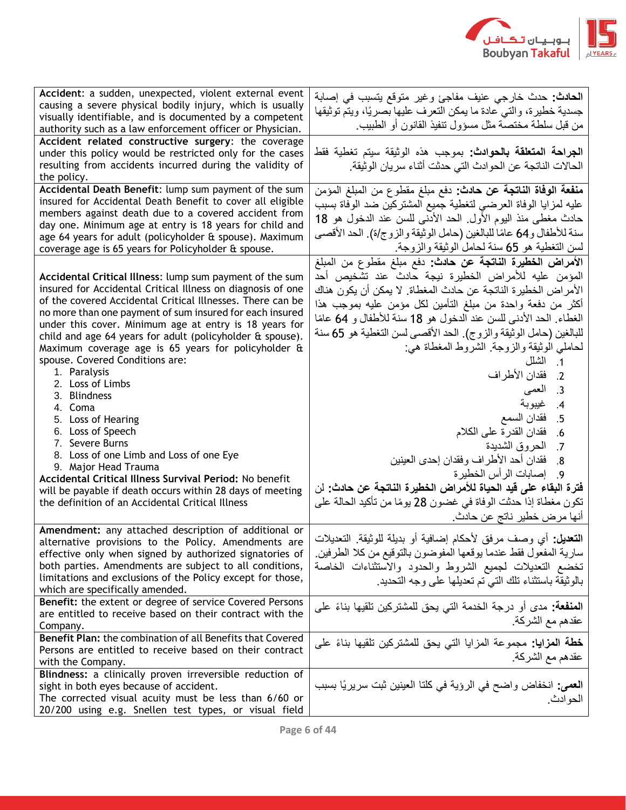

| Accident: a sudden, unexpected, violent external event<br>causing a severe physical bodily injury, which is usually<br>visually identifiable, and is documented by a competent<br>authority such as a law enforcement officer or Physician.                                                                                                                                                                                                                                                                                                                                                                                                                                                                                                                                                                                                    | الحادث: حدث خارجي عنيف مفاجئ وغير متوقع يتسبب في إصابة<br>جسدية خطيرة، والتي عادة ما يمكن التعرف عليها بصريًا، ويتم توثيقها<br>من قبل سلطة مختصة مثل مسؤول تنفيذ القانون أو الطبيب                                                                                                                                                                                                                                                                                                                                                                                                                                                                                                                                                                                                         |
|------------------------------------------------------------------------------------------------------------------------------------------------------------------------------------------------------------------------------------------------------------------------------------------------------------------------------------------------------------------------------------------------------------------------------------------------------------------------------------------------------------------------------------------------------------------------------------------------------------------------------------------------------------------------------------------------------------------------------------------------------------------------------------------------------------------------------------------------|--------------------------------------------------------------------------------------------------------------------------------------------------------------------------------------------------------------------------------------------------------------------------------------------------------------------------------------------------------------------------------------------------------------------------------------------------------------------------------------------------------------------------------------------------------------------------------------------------------------------------------------------------------------------------------------------------------------------------------------------------------------------------------------------|
| Accident related constructive surgery: the coverage<br>under this policy would be restricted only for the cases<br>resulting from accidents incurred during the validity of<br>the policy.                                                                                                                                                                                                                                                                                                                                                                                                                                                                                                                                                                                                                                                     | ا <b>لجراحة المتعلقة بالحوادث:</b> بموجب هذه الوثيقة سيتم تغطية فقط<br>الحالات الناتجة عن الحوادث التي حدثت أثناء سريان الوثيقة.                                                                                                                                                                                                                                                                                                                                                                                                                                                                                                                                                                                                                                                           |
| Accidental Death Benefit: lump sum payment of the sum<br>insured for Accidental Death Benefit to cover all eligible<br>members against death due to a covered accident from<br>day one. Minimum age at entry is 18 years for child and<br>age 64 years for adult (policyholder & spouse). Maximum<br>coverage age is 65 years for Policyholder & spouse.                                                                                                                                                                                                                                                                                                                                                                                                                                                                                       | <mark>منفعة الوفاة الناتجة عن حادث:</mark> دفع مبلغ مقطوع من المبلغ المؤمن<br>عليه لمزايا الوفاة العرضى لتغطية جميع المشتركين ضد الوفاة بسبب<br>حادث مغطى منذ اليوم الأول. الحد الأدنى للسن عند الدخول هو 18<br>سنة للأطفال و64 عامًا للبالغين (حامل الوثيقة والزوج/ة). الحد الأقصى<br>لسن التغطية هو 65 سنة لحامل الوثيقة والزوجة                                                                                                                                                                                                                                                                                                                                                                                                                                                         |
| Accidental Critical Illness: lump sum payment of the sum<br>insured for Accidental Critical Illness on diagnosis of one<br>of the covered Accidental Critical Illnesses. There can be<br>no more than one payment of sum insured for each insured<br>under this cover. Minimum age at entry is 18 years for<br>child and age 64 years for adult (policyholder & spouse).<br>Maximum coverage age is 65 years for policyholder &<br>spouse. Covered Conditions are:<br>1. Paralysis<br>2. Loss of Limbs<br>3. Blindness<br>4. Coma<br>5. Loss of Hearing<br>6. Loss of Speech<br>7. Severe Burns<br>8. Loss of one Limb and Loss of one Eye<br>9. Major Head Trauma<br>Accidental Critical Illness Survival Period: No benefit<br>will be payable if death occurs within 28 days of meeting<br>the definition of an Accidental Critical Illness | الأمراض الخطيرة الناتجة عن حادث: دفع مبلغ مقطوع من المبلغ<br>المؤمن عليه للأمراض الخطيرة نيجة حادث عند تشخيص أحد<br>الأمر اض الخطيرة الناتجة عن حادث المغطاة. لا يمكن أن يكون هناك<br>أكثر من دفعة واحدة من مبلغ التأمين لكل مؤمن عليه بموجب هذا<br>الغطاء الحد الأدنى للسن عند الدخول هو 18 سنة للأطفال و 64 عامًا<br>للبالغين (حامل الوثيقة والزوج). الحد الأقصىي لسن التغطية هو 65 سنة<br>لحاملي الوثبقة والزوجة الشروط المغطاة هي:<br>1. الشلل<br>2.   فقدان الأطراف<br>3. العمي<br>4. غيبوبة<br>فقدان السمع<br>.5<br>فقدان القدرة على الكلام<br>.6<br>7. الحروق الشديدة<br>8_ فقدان أحد الأطراف وفقدان إحدى العينين<br>9_ إصابات الرأس الخطير ة<br>فَترة البقاء على قيد الحياة للأمراض الخطيرة الناتجة عن حادث: لن<br>تكون مغطاة إذا حدثت الوفاة في غضون 28 يومًا من تأكيد الحالة على |
| Amendment: any attached description of additional or<br>alternative provisions to the Policy. Amendments are<br>effective only when signed by authorized signatories of<br>both parties. Amendments are subject to all conditions,<br>limitations and exclusions of the Policy except for those,<br>which are specifically amended.                                                                                                                                                                                                                                                                                                                                                                                                                                                                                                            | أنها مرض خطير ناتج عن حادث<br>ا <b>لنعديل:</b> أي وصف مرفق لأحكام إضافية أو بديلة للوثيقة ِ التعديلات<br>سارية المفعول فقط عندما يوقعها المفوضون بالتوقيع من كلا الطرفين<br>تخضع التعديلات لجميع الشروط والحدود والاستثناءات الخاصة<br>بالوثيقة باستثناء تلك التي تم تعديلها على وجه التحديد.                                                                                                                                                                                                                                                                                                                                                                                                                                                                                              |
| <b>Benefit:</b> the extent or degree of service Covered Persons<br>are entitled to receive based on their contract with the<br>Company.                                                                                                                                                                                                                                                                                                                                                                                                                                                                                                                                                                                                                                                                                                        | ا <b>لمنفعة:</b> مدى أو درجة الخدمة التي يحق للمشتركين تلقيها بناءً على<br>عقدهم مع الشركة.                                                                                                                                                                                                                                                                                                                                                                                                                                                                                                                                                                                                                                                                                                |
| Benefit Plan: the combination of all Benefits that Covered<br>Persons are entitled to receive based on their contract<br>with the Company.                                                                                                                                                                                                                                                                                                                                                                                                                                                                                                                                                                                                                                                                                                     | <b>خطة المزايا:</b> مجموعة المزايا التي يحق للمشتركين تلقيها بناءً على<br>عقدهم مع الشركة.                                                                                                                                                                                                                                                                                                                                                                                                                                                                                                                                                                                                                                                                                                 |
| Blindness: a clinically proven irreversible reduction of<br>sight in both eyes because of accident.<br>The corrected visual acuity must be less than 6/60 or<br>20/200 using e.g. Snellen test types, or visual field                                                                                                                                                                                                                                                                                                                                                                                                                                                                                                                                                                                                                          | ا <b>لـعمـى:</b> انـخفاض واضـح فـي الرؤيـة فـي كلتـا الـعينين ثبت سريريًا بسبب<br>الحو ادث.                                                                                                                                                                                                                                                                                                                                                                                                                                                                                                                                                                                                                                                                                                |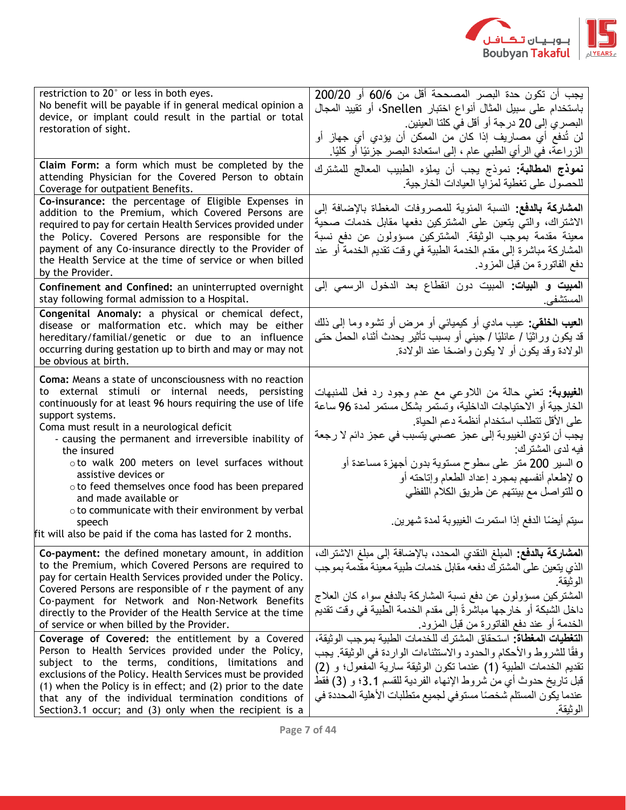

| restriction to 20° or less in both eyes.<br>No benefit will be payable if in general medical opinion a<br>device, or implant could result in the partial or total<br>restoration of sight.                                                                                                                                                                                                                                                                                                                                                                                                                       | يجب أن تكون حدة البصر المصححة أقل من 60/6 أو 200/20<br>باستخدام على سبيل المثال أنواع اختبار Snellen، أو تقييد المجال<br>البصري إلى 20 درجة أو أقل في كلتا العينين.<br>لن تُدفع أي مصـاريف إذا كان من الممكن أن يؤدي أي جهاز أو<br>الزراعة، في الرأي الطبي عام ، إلى استعادة البصر جزئيًا أو كليًا.                                                                                                                                                                            |
|------------------------------------------------------------------------------------------------------------------------------------------------------------------------------------------------------------------------------------------------------------------------------------------------------------------------------------------------------------------------------------------------------------------------------------------------------------------------------------------------------------------------------------------------------------------------------------------------------------------|--------------------------------------------------------------------------------------------------------------------------------------------------------------------------------------------------------------------------------------------------------------------------------------------------------------------------------------------------------------------------------------------------------------------------------------------------------------------------------|
| Claim Form: a form which must be completed by the<br>attending Physician for the Covered Person to obtain<br>Coverage for outpatient Benefits.                                                                                                                                                                                                                                                                                                                                                                                                                                                                   | <mark>نموذج المطالبة:</mark> نموذج يجب أن يملؤه الطبيب المعالج للمشترك<br>للحصول على تغطية لمزايا العيادات الخارجية                                                                                                                                                                                                                                                                                                                                                            |
| Co-insurance: the percentage of Eligible Expenses in<br>addition to the Premium, which Covered Persons are<br>required to pay for certain Health Services provided under<br>the Policy. Covered Persons are responsible for the<br>payment of any Co-insurance directly to the Provider of<br>the Health Service at the time of service or when billed<br>by the Provider.                                                                                                                                                                                                                                       | ا <b>لمشاركة بالدفع:</b> النسبة المئوية للمصروفات المغطاة بالإضافة إلى<br>الاشتراك، والتي يتعين على المشتركين دفعها مقابل خدمات صحية<br>معينة مقدمة بموجب الوثيقة المشتركين مسؤولون عن دفع نسبة<br>المشاركة مباشرة إلى مقدم الخدمة الطبية في وقت تقديم الخدمة أو عند<br>دفع الفاتورة من قبل المزود                                                                                                                                                                             |
| Confinement and Confined: an uninterrupted overnight<br>stay following formal admission to a Hospital.                                                                                                                                                                                                                                                                                                                                                                                                                                                                                                           | ا <b>لمبيت و البيات:</b> المبيت دون انقطاع بعد الدخول الرسمي إلى<br>المستشفى                                                                                                                                                                                                                                                                                                                                                                                                   |
| Congenital Anomaly: a physical or chemical defect,<br>disease or malformation etc. which may be either<br>hereditary/familial/genetic or due to an influence<br>occurring during gestation up to birth and may or may not<br>be obvious at birth.                                                                                                                                                                                                                                                                                                                                                                | ا <b>لعيب الخلقي:</b> عيب مادي أو كيميائ <sub>ت</sub> ى أو مرض أو نشوه وما إلى ذلك<br>قد يكون وراثيًا / عائليًا / جينبي أو بسبب تأثير يحدث أثناء الحمل حتـي<br>الولادة وقد يكون أو لا يكون واضحًا عند الولادة.                                                                                                                                                                                                                                                                 |
| <b>Coma:</b> Means a state of unconsciousness with no reaction<br>to external stimuli or internal needs, persisting<br>continuously for at least 96 hours requiring the use of life<br>support systems.<br>Coma must result in a neurological deficit<br>- causing the permanent and irreversible inability of<br>the insured<br>oto walk 200 meters on level surfaces without<br>assistive devices or<br>o to feed themselves once food has been prepared<br>and made available or<br>o to communicate with their environment by verbal<br>speech<br>fit will also be paid if the coma has lasted for 2 months. | ا <b>لغيبوبة:</b> نعني حالة من اللاوعي مع عدم وجود رد فعل للمنبهات<br>الخارجية أو الاحتياجات الداخلية، وتستمر بشكل مستمر لمدة 96 ساعة<br>على الأقل تتطلب استخدام أنظمة دعم الحياة<br>يجب أن تؤدي الغيبوبة إلى عجز عصبي يتسبب في عجز دائم لا رجعة<br>فيه لدى المشتر ك:<br>o السير 200 متر على سطوح مستوية بدون أجهزة مساعدة أو<br>0 لإطعام أنفسهم بمجرد إعداد الطعام وإتاحته أو<br>0 للتواصل مع بيئتهم عن طريق الكلام اللفظي<br>سيتم أيضًا الدفع إذا استمرت الغيبوبة لمدة شهرين |
| Co-payment: the defined monetary amount, in addition<br>to the Premium, which Covered Persons are required to<br>pay for certain Health Services provided under the Policy.<br>Covered Persons are responsible of r the payment of any<br>Co-payment for Network and Non-Network Benefits<br>directly to the Provider of the Health Service at the time<br>of service or when billed by the Provider.                                                                                                                                                                                                            | ا <b>لمشاركة بالدفع:</b> المبلغ النقدي المحدد، بالإضافة إلى مبلغ الاشتراك،<br>الذي يتعين على المشتر ك دفعه مقابل خدمات طبية معينة مقدمة بموجب<br>الوثيقة.<br>المشتركين مسؤولون عن دفع نسبة المشاركة بالدفع سواء كان العلاج<br>داخل الشبكة أو خارجها مباشرةً إلى مقدم الخدمة الطبية في وقت تقديم<br>الخدمة أو عند دفع الفاتورة من قبل المزود.                                                                                                                                   |
| Coverage of Covered: the entitlement by a Covered<br>Person to Health Services provided under the Policy,<br>subject to the terms, conditions, limitations and<br>exclusions of the Policy. Health Services must be provided<br>(1) when the Policy is in effect; and (2) prior to the date<br>that any of the individual termination conditions of<br>Section3.1 occur; and (3) only when the recipient is a                                                                                                                                                                                                    | ا <b>لتغطيات المغطاة:</b> استحقاق المشترك للخدمات الطببة بموجب الوثبقة،<br>وفقًا للشروط والأحكام والحدود والاستثناءات الواردة في الوثيقة. يجب<br>نقديم الخدمات الطبية (1) عندما نكون الوثيقة سارية المفعول؛ و (2)<br>قبل تاريخ حدوث أي من شروط الإنهاء الفردية للقسم 3.1؛ و (3) فقط<br>عندما يكون المستلم شخصًا مستوفى لجميع متطلبات الأهلية المحددة في<br>الوثيقة.                                                                                                            |
|                                                                                                                                                                                                                                                                                                                                                                                                                                                                                                                                                                                                                  |                                                                                                                                                                                                                                                                                                                                                                                                                                                                                |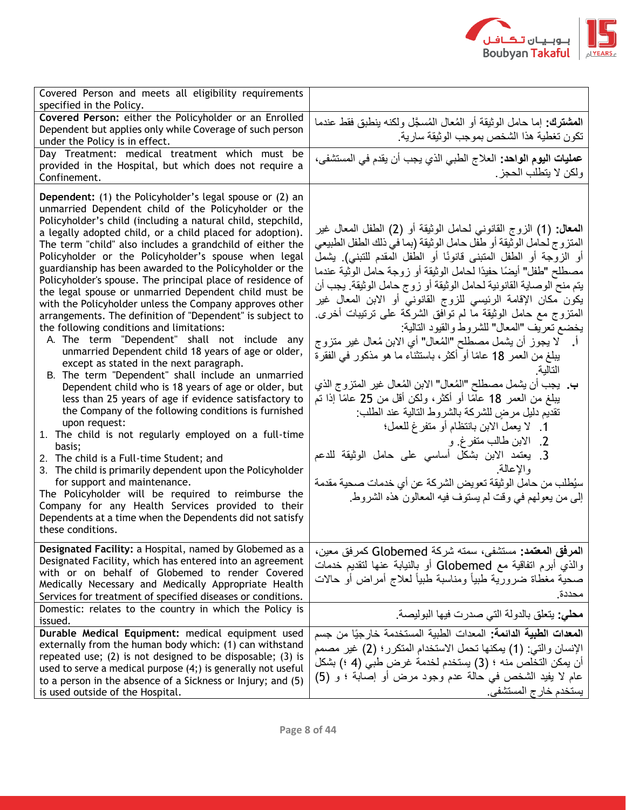

| Covered Person and meets all eligibility requirements<br>specified in the Policy.                                                                                                                                                                                                                                                                                                                                                                                                                                                                                                                                                                                                                                                                                                                                                                                                                                                                                                                                                                                                                                                                                                                                                                                                                                                                                                                                                                                                                                                           |                                                                                                                                                                                                                                                                                                                                                                                                                                                                                                                                                                                                                                                                                                                                                                                                                                                                                                                                                                                                                                                                                                                                           |
|---------------------------------------------------------------------------------------------------------------------------------------------------------------------------------------------------------------------------------------------------------------------------------------------------------------------------------------------------------------------------------------------------------------------------------------------------------------------------------------------------------------------------------------------------------------------------------------------------------------------------------------------------------------------------------------------------------------------------------------------------------------------------------------------------------------------------------------------------------------------------------------------------------------------------------------------------------------------------------------------------------------------------------------------------------------------------------------------------------------------------------------------------------------------------------------------------------------------------------------------------------------------------------------------------------------------------------------------------------------------------------------------------------------------------------------------------------------------------------------------------------------------------------------------|-------------------------------------------------------------------------------------------------------------------------------------------------------------------------------------------------------------------------------------------------------------------------------------------------------------------------------------------------------------------------------------------------------------------------------------------------------------------------------------------------------------------------------------------------------------------------------------------------------------------------------------------------------------------------------------------------------------------------------------------------------------------------------------------------------------------------------------------------------------------------------------------------------------------------------------------------------------------------------------------------------------------------------------------------------------------------------------------------------------------------------------------|
| Covered Person: either the Policyholder or an Enrolled<br>Dependent but applies only while Coverage of such person<br>under the Policy is in effect.                                                                                                                                                                                                                                                                                                                                                                                                                                                                                                                                                                                                                                                                                                                                                                                                                                                                                                                                                                                                                                                                                                                                                                                                                                                                                                                                                                                        | ا <b>لمشترك:</b> إما حامل الوثيقة أو المُعال المُسجَّل ولكنه بنطبق فقط عندما<br>تكون تغطية هذا الشخص بموجب الوثيقة سارية                                                                                                                                                                                                                                                                                                                                                                                                                                                                                                                                                                                                                                                                                                                                                                                                                                                                                                                                                                                                                  |
| Day Treatment: medical treatment which must be<br>provided in the Hospital, but which does not require a<br>Confinement.                                                                                                                                                                                                                                                                                                                                                                                                                                                                                                                                                                                                                                                                                                                                                                                                                                                                                                                                                                                                                                                                                                                                                                                                                                                                                                                                                                                                                    | <b>عمليات اليوم الواحد:</b> العلاج الطبي الذي يجب أن يقدم في المستشفى،<br>ولكن لا يتطلب الحجز .                                                                                                                                                                                                                                                                                                                                                                                                                                                                                                                                                                                                                                                                                                                                                                                                                                                                                                                                                                                                                                           |
| <b>Dependent:</b> (1) the Policyholder's legal spouse or (2) an<br>unmarried Dependent child of the Policyholder or the<br>Policyholder's child (including a natural child, stepchild,<br>a legally adopted child, or a child placed for adoption).<br>The term "child" also includes a grandchild of either the<br>Policyholder or the Policyholder's spouse when legal<br>guardianship has been awarded to the Policyholder or the<br>Policyholder's spouse. The principal place of residence of<br>the legal spouse or unmarried Dependent child must be<br>with the Policyholder unless the Company approves other<br>arrangements. The definition of "Dependent" is subject to<br>the following conditions and limitations:<br>A. The term "Dependent" shall not include any<br>unmarried Dependent child 18 years of age or older,<br>except as stated in the next paragraph.<br>B. The term "Dependent" shall include an unmarried<br>Dependent child who is 18 years of age or older, but<br>less than 25 years of age if evidence satisfactory to<br>the Company of the following conditions is furnished<br>upon request:<br>1. The child is not regularly employed on a full-time<br>basis;<br>2. The child is a Full-time Student; and<br>3. The child is primarily dependent upon the Policyholder<br>for support and maintenance.<br>The Policyholder will be required to reimburse the<br>Company for any Health Services provided to their<br>Dependents at a time when the Dependents did not satisfy<br>these conditions. | ا <b>لمعال: (1)</b> الزوج القانونـي لـحامل الوثيقة أو (2) الطفل المعال غير<br>المتز وج لحامل الوثيقة أو طفل حامل الوثيقة (بما في ذلك الطفل الطبيعي<br>أو الزوجة أو الطفل المتبنى قانونًا أو الطفل المقدم للتبني). يشمل<br>مصطلح "طفل" أيضًا حفيدًا لحامل الوثيقة أو زوجة حامل الوثية عندما<br>يتم منح الوصاية القانونية لحامل الوثيقة أو زوج حامل الوثيقة. يجب أن<br>يكون مكان الإقامة الرئيسي للزوج القانوني أو الابن المعال غير<br>المنزوج مع حامل الوثيقة ما لم نوافق الشركة على نرتيبات أخرى<br>يخضع تعريف "المعال" للشروط والقيود التالية:<br>لا يجوز أن يشمل مصطلح "المُعال" أي الابن مُعال غير متزوج<br>بيلغ من العمر 18 عامًا أو أكثر، باستثناء ما هو مذكور في الفقرة<br>التالىة<br>ب. يجب أن يشمل مصطلح "المُعال" الابن المُعال غير المنزوج الذي<br>بيلغ من العمر 18 عامًا أو أكثر، ولكن أقل من 25 عامًا إذا تم<br>تقديم دليل مرضٍ للشركة بالشروط التالية عند الطلب:<br>1. لا يعمل الابن بانتظام أو متفرغ للعمل؛<br>2. الابن طالب متفرغ و<br>3. يعتمد الابن بشكل أساسي على حامل الوثيقة للدعم<br>والإعالة<br>سيُطلب من حامل الوثيقة تعويض الشركة عن أي خدمات صحية مقدمة<br>إلى من يعولهم في وقت لم يستوف فيه المعالون هذه الشروط |
| Designated Facility: a Hospital, named by Globemed as a<br>Designated Facility, which has entered into an agreement<br>with or on behalf of Globemed to render Covered<br>Medically Necessary and Medically Appropriate Health<br>Services for treatment of specified diseases or conditions.                                                                                                                                                                                                                                                                                                                                                                                                                                                                                                                                                                                                                                                                                                                                                                                                                                                                                                                                                                                                                                                                                                                                                                                                                                               | العرفق المعتمد: مستشفى، سمته شركة Globemed كمرفق معين،<br>والذي أبرم اتفاقية مع Globemed أو بالنيابة عنها لتقديم خدمات<br>صحبة مغطاة ضرورية طبيأ ومناسبة طبيأ لعلاج أمراض أو حالات<br>محددة                                                                                                                                                                                                                                                                                                                                                                                                                                                                                                                                                                                                                                                                                                                                                                                                                                                                                                                                               |
| Domestic: relates to the country in which the Policy is<br>issued.                                                                                                                                                                                                                                                                                                                                                                                                                                                                                                                                                                                                                                                                                                                                                                                                                                                                                                                                                                                                                                                                                                                                                                                                                                                                                                                                                                                                                                                                          | <b>محلي:</b> يتعلق بالدولة التي صدرت فيها البوليصة.                                                                                                                                                                                                                                                                                                                                                                                                                                                                                                                                                                                                                                                                                                                                                                                                                                                                                                                                                                                                                                                                                       |
| Durable Medical Equipment: medical equipment used<br>externally from the human body which: (1) can withstand<br>repeated use; (2) is not designed to be disposable; (3) is<br>used to serve a medical purpose (4;) is generally not useful<br>to a person in the absence of a Sickness or Injury; and (5)<br>is used outside of the Hospital.                                                                                                                                                                                                                                                                                                                                                                                                                                                                                                                                                                                                                                                                                                                                                                                                                                                                                                                                                                                                                                                                                                                                                                                               | المعدات الطبية الدائمة: المعدات الطبية المستخدمة خارجيًا من جسم<br>الإنسان والتي: (1) يمكنها تحمل الاستخدام المتكرر؛ (2) غير مصمم<br>أن يمكن التخلص منه ؛ (3) يستخدم لخدمة غرض طبي (4 ؛) بشكل<br>عام لا يفيد الشخص في حالة عدم وجود مرض أو إصابة ؛ و (5)<br>يستخدم خارج المستشفى                                                                                                                                                                                                                                                                                                                                                                                                                                                                                                                                                                                                                                                                                                                                                                                                                                                          |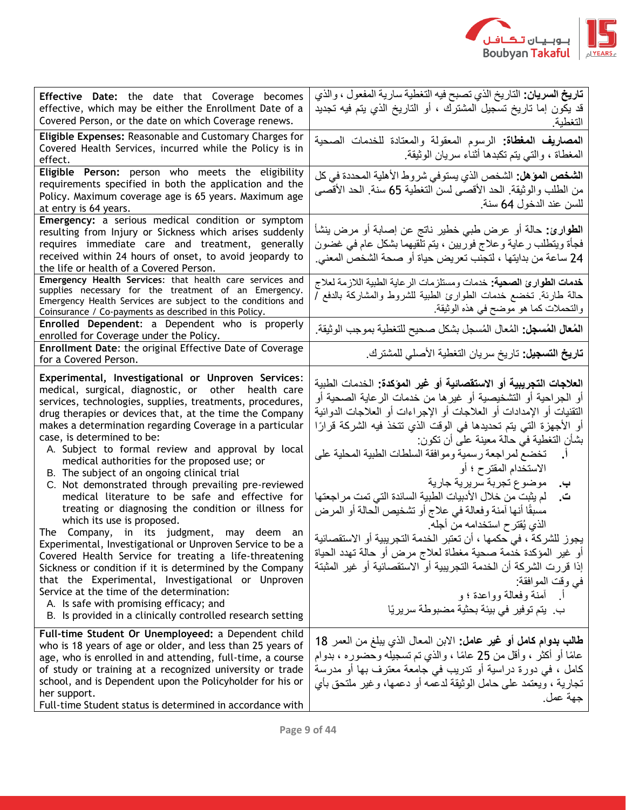

| Effective Date: the date that Coverage becomes<br>effective, which may be either the Enrollment Date of a<br>Covered Person, or the date on which Coverage renews.                                                                                                                                                                                                                                                                                                                                                                                                                                                                                                                                                                                                                                                                                                                                                                                                                                                                                                                                                          | <b>تاريخ السريان:</b> التاريخ الذي تصبح فيه التغطية سارية المفعول ، والذي<br>قد يكون إما تاريخ تسجيل المشترك ، أو التاريخ الذي يتم فيه تجديد<br>التغطية                                                                                                                                                                                                                                                                                                                                                                                                                                                                                                                                                                                                                                                                                                                                                                   |
|-----------------------------------------------------------------------------------------------------------------------------------------------------------------------------------------------------------------------------------------------------------------------------------------------------------------------------------------------------------------------------------------------------------------------------------------------------------------------------------------------------------------------------------------------------------------------------------------------------------------------------------------------------------------------------------------------------------------------------------------------------------------------------------------------------------------------------------------------------------------------------------------------------------------------------------------------------------------------------------------------------------------------------------------------------------------------------------------------------------------------------|---------------------------------------------------------------------------------------------------------------------------------------------------------------------------------------------------------------------------------------------------------------------------------------------------------------------------------------------------------------------------------------------------------------------------------------------------------------------------------------------------------------------------------------------------------------------------------------------------------------------------------------------------------------------------------------------------------------------------------------------------------------------------------------------------------------------------------------------------------------------------------------------------------------------------|
| Eligible Expenses: Reasonable and Customary Charges for<br>Covered Health Services, incurred while the Policy is in<br>effect.                                                                                                                                                                                                                                                                                                                                                                                                                                                                                                                                                                                                                                                                                                                                                                                                                                                                                                                                                                                              | ا <b>لمصاريف المغطاة:</b> الرسوم المعقولة والمعتادة للخدمات الصحية<br>المغطاة ، والتبي يتم تكبدها أثناء سريان الوثيقة                                                                                                                                                                                                                                                                                                                                                                                                                                                                                                                                                                                                                                                                                                                                                                                                     |
| Eligible Person: person who meets the eligibility<br>requirements specified in both the application and the<br>Policy. Maximum coverage age is 65 years. Maximum age<br>at entry is 64 years.                                                                                                                                                                                                                                                                                                                                                                                                                                                                                                                                                                                                                                                                                                                                                                                                                                                                                                                               | ا <b>لشخص الموّهل:</b> الشخص الذي يستوفي شروط الأهلية المحددة في كل<br>من الطلب والوثيقة. الحد الأقصى لسن التغطية 65 سنة. الحد الأقصى<br>للسن عند الدخول 64 سنة.                                                                                                                                                                                                                                                                                                                                                                                                                                                                                                                                                                                                                                                                                                                                                          |
| Emergency: a serious medical condition or symptom<br>resulting from Injury or Sickness which arises suddenly<br>requires immediate care and treatment, generally<br>received within 24 hours of onset, to avoid jeopardy to<br>the life or health of a Covered Person.                                                                                                                                                                                                                                                                                                                                                                                                                                                                                                                                                                                                                                                                                                                                                                                                                                                      | ا <b>لطوارئ:</b> حالة أو عرض طبي خطير ناتج عن إصابة أو مرض بنشأ<br>فجأة ويتطلب رعاية وعلاج فوريين ، يتم تلقيهما بشكل عام في غضون<br>24 ساعة من بدايتها ، لتجنب تعريض حياة أو صحة الشخص المعنى.                                                                                                                                                                                                                                                                                                                                                                                                                                                                                                                                                                                                                                                                                                                            |
| Emergency Health Services: that health care services and<br>supplies necessary for the treatment of an Emergency.<br>Emergency Health Services are subject to the conditions and<br>Coinsurance / Co-payments as described in this Policy.                                                                                                                                                                                                                                                                                                                                                                                                                                                                                                                                                                                                                                                                                                                                                                                                                                                                                  | خدمات الطوارئ الصحية: خدمات ومستلزمات الرعاية الطبية اللازمة لعلاج<br>حالة طارئة. تخضع خدمات الطوارئ الطبية للشروط والمشاركة بالدفع أ<br>والتحملات كما هو موضح في هذه الوثيقة.                                                                                                                                                                                                                                                                                                                                                                                                                                                                                                                                                                                                                                                                                                                                            |
| Enrolled Dependent: a Dependent who is properly<br>enrolled for Coverage under the Policy.                                                                                                                                                                                                                                                                                                                                                                                                                                                                                                                                                                                                                                                                                                                                                                                                                                                                                                                                                                                                                                  | ا <b>لمُعال المُسجل:</b> المُعال المُسجل بشكل صحيح للتغطية بموجب الوثيقة.                                                                                                                                                                                                                                                                                                                                                                                                                                                                                                                                                                                                                                                                                                                                                                                                                                                 |
| Enrollment Date: the original Effective Date of Coverage<br>for a Covered Person.                                                                                                                                                                                                                                                                                                                                                                                                                                                                                                                                                                                                                                                                                                                                                                                                                                                                                                                                                                                                                                           | <b>تاريخ التسجيل:</b> تاريخ سريان التغطية الأصلي للمشترك.                                                                                                                                                                                                                                                                                                                                                                                                                                                                                                                                                                                                                                                                                                                                                                                                                                                                 |
| Experimental, Investigational or Unproven Services:<br>medical, surgical, diagnostic, or other health care<br>services, technologies, supplies, treatments, procedures,<br>drug therapies or devices that, at the time the Company<br>makes a determination regarding Coverage in a particular<br>case, is determined to be:<br>A. Subject to formal review and approval by local<br>medical authorities for the proposed use; or<br>B. The subject of an ongoing clinical trial<br>C. Not demonstrated through prevailing pre-reviewed<br>medical literature to be safe and effective for<br>treating or diagnosing the condition or illness for<br>which its use is proposed.<br>The Company, in its judgment, may deem an<br>Experimental, Investigational or Unproven Service to be a<br>Covered Health Service for treating a life-threatening<br>Sickness or condition if it is determined by the Company<br>that the Experimental, Investigational or Unproven<br>Service at the time of the determination:<br>A. Is safe with promising efficacy; and<br>B. Is provided in a clinically controlled research setting | العلاجات التجريبية أو الاستقصائية أو غير المؤكدة: الخدمات الطبية<br>أو الجراحية أو التشخيصية أو غيرها من خدمات الرعاية الصحية أو<br>النقنيات أو الإمدادات أو العلاجات أو الإجراءات أو العلاجات الدوائية<br>أو الأجهزة التي يتم تحديدها في الوقت الذي تتخذ فيه الشركة قرارًا<br>بشأن التغطية في حالة معينة على أن تكون:<br>تخضع لمراجعة رسمية وموافقة السلطات الطبية المحلية على<br>الاستخدام المقترح ؛ أو<br>موضوع تجربة سريرية جارية<br>پ.<br>لم يثبت من خلال الأدبيات الطبية السائدة التي تمت مر اجعتها<br>ت.<br>مسبقًا أنها أمنة وفعالة في علاج أو تشخيص الحالة أو المرض<br>الذي يُقترح استخدامه من أجله<br>يجوز للشركة ، في حكمها ، أن تعتبر الخدمة التجريبية أو الاستقصائية<br>أو غير المؤكدة خدمة صحية مغطاة لعلاج مرض أو حالة تهدد الحياة<br>إذا قر ر ت الشر كة أن الخدمة التجر يبية أو الاستقصائية أو  غير  المثبتة<br>في وقت الموافقة:<br>أ أمنة وفعالة وواعدة ؛ و<br>بِ. يتم توفير في بيئة بحثية مضبوطة سريريًا |
| Full-time Student Or Unemployeed: a Dependent child<br>who is 18 years of age or older, and less than 25 years of<br>age, who is enrolled in and attending, full-time, a course<br>of study or training at a recognized university or trade<br>school, and is Dependent upon the Policyholder for his or<br>her support.<br>Full-time Student status is determined in accordance with                                                                                                                                                                                                                                                                                                                                                                                                                                                                                                                                                                                                                                                                                                                                       | طالب بدوام كامل أو غير عامل: الابن المعال الذي يبلغ من العمر 18<br>عامًا أو أكثر ، وأقل من 25 عامًا ، والذي تم تسجيله وحضوره ، بدوام<br>كامل ، في دورة دراسية أو ندريب في جامعة معترف بها أو مدرسة<br>تجارية ، ويعتمد على حامل الوثيقة لدعمه أو دعمها، وغير ملتحق بأي<br>جهة عمل.                                                                                                                                                                                                                                                                                                                                                                                                                                                                                                                                                                                                                                         |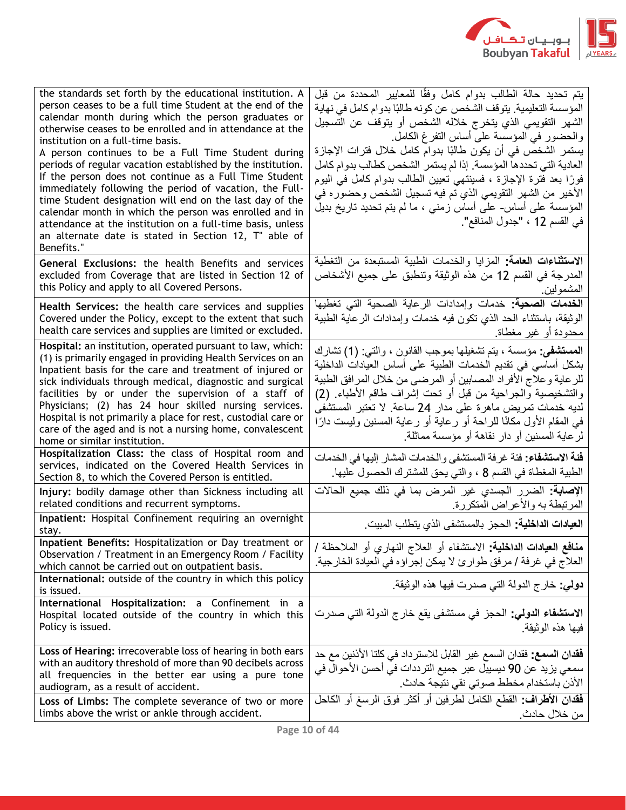

| the standards set forth by the educational institution. A<br>person ceases to be a full time Student at the end of the<br>calendar month during which the person graduates or<br>otherwise ceases to be enrolled and in attendance at the<br>institution on a full-time basis.<br>A person continues to be a Full Time Student during<br>periods of regular vacation established by the institution.<br>If the person does not continue as a Full Time Student<br>immediately following the period of vacation, the Full-<br>time Student designation will end on the last day of the<br>calendar month in which the person was enrolled and in<br>attendance at the institution on a full-time basis, unless<br>an alternate date is stated in Section 12, T" able of<br>Benefits." | يتم تحديد حالة الطالب بدوام كامل وفقًا للمعايير المحددة من قبل<br>المؤسسة التعليمية. يتوقف الشخص عن كونه طالبًا بدوام كامل في نهاية<br>الشهر التقويمي الذي يتخرج خلاله الشخص أو يتوقف عن التسجيل<br>والحضور في المؤسسة على أساس التفرغ الكامل<br>يستمر الشخص في أن يكون طالبًا بدوام كامل خلال فترات الإجازة<br>العادية التي تحددها المؤسسة. إذا لم يستمر الشخص كطالب بدوام كامل<br>فورًا بعد فترة الإجازة ، فسينتهي تعيين الطالب بدوام كامل في اليوم<br>الأخير من الشهر التقويمي الذي تم فيه تسجيل الشخص وحضوره في<br>المؤسسة على أساس- على أساس زمني ، ما لم يتم تحديد تاريخ بديل<br>في القسم 12 ، "جدول المنافع". |
|--------------------------------------------------------------------------------------------------------------------------------------------------------------------------------------------------------------------------------------------------------------------------------------------------------------------------------------------------------------------------------------------------------------------------------------------------------------------------------------------------------------------------------------------------------------------------------------------------------------------------------------------------------------------------------------------------------------------------------------------------------------------------------------|----------------------------------------------------------------------------------------------------------------------------------------------------------------------------------------------------------------------------------------------------------------------------------------------------------------------------------------------------------------------------------------------------------------------------------------------------------------------------------------------------------------------------------------------------------------------------------------------------------------------|
| General Exclusions: the health Benefits and services<br>excluded from Coverage that are listed in Section 12 of<br>this Policy and apply to all Covered Persons.                                                                                                                                                                                                                                                                                                                                                                                                                                                                                                                                                                                                                     | الاستثناءات العامة: المزايا والخدمات الطبية المستبعدة من التغطية<br>المدرجة في القسم 12 من هذه الوثيقة وتنطبق على جميع الأشخاص<br>المشمولين.                                                                                                                                                                                                                                                                                                                                                                                                                                                                         |
| Health Services: the health care services and supplies<br>Covered under the Policy, except to the extent that such<br>health care services and supplies are limited or excluded.                                                                                                                                                                                                                                                                                                                                                                                                                                                                                                                                                                                                     | الخدمات الصحية: خدمات وإمدادات الرعاية الصحية التي تغطيها<br>الوثيقة، باستثناء الحد الذي نكون فيه خدمات وإمدادات الرعاية الطبية<br>محدودة أو غير مغطاة                                                                                                                                                                                                                                                                                                                                                                                                                                                               |
| Hospital: an institution, operated pursuant to law, which:<br>(1) is primarily engaged in providing Health Services on an<br>Inpatient basis for the care and treatment of injured or<br>sick individuals through medical, diagnostic and surgical<br>facilities by or under the supervision of a staff of<br>Physicians; (2) has 24 hour skilled nursing services.<br>Hospital is not primarily a place for rest, custodial care or<br>care of the aged and is not a nursing home, convalescent<br>home or similar institution.                                                                                                                                                                                                                                                     | ا <b>لمستشفى:</b> مؤسسة ، يتم تشغيلها بموجب القانون ، والتبي: (1) تشارك<br>بشكل أساسي في تقديم الخدمات الطبية على أساس العيادات الداخلية<br>للرعاية وعلاج الأفراد المصابين أو المرضىي من خلال المرافق الطبية<br>والتشخيصية والجراحية من قبل أو تحت إشراف طاقم الأطباء. (2)<br>لديه خدمات تمريض ماهرة على مدار 24 ساعة. لا تعتبر المستشفى<br>في المقام الأول مكانًا للراحة أو رعاية أو رعاية المسنين وليست دارًا<br>لرعاية المسنين أو دار نقاهة أو مؤسسة مماثلة                                                                                                                                                       |
| Hospitalization Class: the class of Hospital room and<br>services, indicated on the Covered Health Services in<br>Section 8, to which the Covered Person is entitled.                                                                                                                                                                                                                                                                                                                                                                                                                                                                                                                                                                                                                | فَنة الاستشفاء: فئة غرفة المستشفى والخدمات المشار إليها في الخدمات<br>الطبية المغطاة في القسم 8 ، والتبي يحق للمشترك الحصول عليها.                                                                                                                                                                                                                                                                                                                                                                                                                                                                                   |
| Injury: bodily damage other than Sickness including all<br>related conditions and recurrent symptoms.                                                                                                                                                                                                                                                                                                                                                                                                                                                                                                                                                                                                                                                                                | الإ <b>صابة:</b> الضرر الجسدي غير المرض بما في ذلك جميع الحالات<br>المرتبطة به والأعراض المتكررة                                                                                                                                                                                                                                                                                                                                                                                                                                                                                                                     |
| Inpatient: Hospital Confinement requiring an overnight<br>stay.                                                                                                                                                                                                                                                                                                                                                                                                                                                                                                                                                                                                                                                                                                                      | ا <b>لعيادات الداخلية:</b> الحجز بالمستشفى الذي يتطلب المبيت.                                                                                                                                                                                                                                                                                                                                                                                                                                                                                                                                                        |
| Inpatient Benefits: Hospitalization or Day treatment or<br>Observation / Treatment in an Emergency Room / Facility<br>which cannot be carried out on outpatient basis.                                                                                                                                                                                                                                                                                                                                                                                                                                                                                                                                                                                                               | <b>منافع العيادات الداخلية:</b> الاستشفاء أو العلاج النهاري أو الملاحظة /<br>العلاج في غرفة / مرفق طوارئ لا يمكن إجراؤه في العيادة الخارجية.                                                                                                                                                                                                                                                                                                                                                                                                                                                                         |
| International: outside of the country in which this policy<br>is issued.                                                                                                                                                                                                                                                                                                                                                                                                                                                                                                                                                                                                                                                                                                             | دولي: خارج الدولة التي صدرت فيها هذه الوثيقة.                                                                                                                                                                                                                                                                                                                                                                                                                                                                                                                                                                        |
| International Hospitalization: a Confinement in a<br>Hospital located outside of the country in which this<br>Policy is issued.                                                                                                                                                                                                                                                                                                                                                                                                                                                                                                                                                                                                                                                      | الا <b>ستشفاء الدولي:</b> الحجز في مستشفى يقع خارج الدولة التي صدرت<br>فبها هذه الوثبقة                                                                                                                                                                                                                                                                                                                                                                                                                                                                                                                              |
| Loss of Hearing: irrecoverable loss of hearing in both ears<br>with an auditory threshold of more than 90 decibels across<br>all frequencies in the better ear using a pure tone<br>audiogram, as a result of accident.                                                                                                                                                                                                                                                                                                                                                                                                                                                                                                                                                              | <b>فقدان السمع:</b> فقدان السمع غير القابل للاسترداد في كلتا الأذنين مع حد<br>سمعي يزيد عن 90 ديسيبل عبر جميع الترددات في أحسن الأحوال في<br>الأذن باستخدام مخطط صوتي نقي نتيجة حادث                                                                                                                                                                                                                                                                                                                                                                                                                                 |
| Loss of Limbs: The complete severance of two or more<br>limbs above the wrist or ankle through accident.                                                                                                                                                                                                                                                                                                                                                                                                                                                                                                                                                                                                                                                                             | فقدان الأطراف: القطع الكامل لطرفين أو أكثر فوق الرسغ أو الكاحل<br>من خلال حادث.                                                                                                                                                                                                                                                                                                                                                                                                                                                                                                                                      |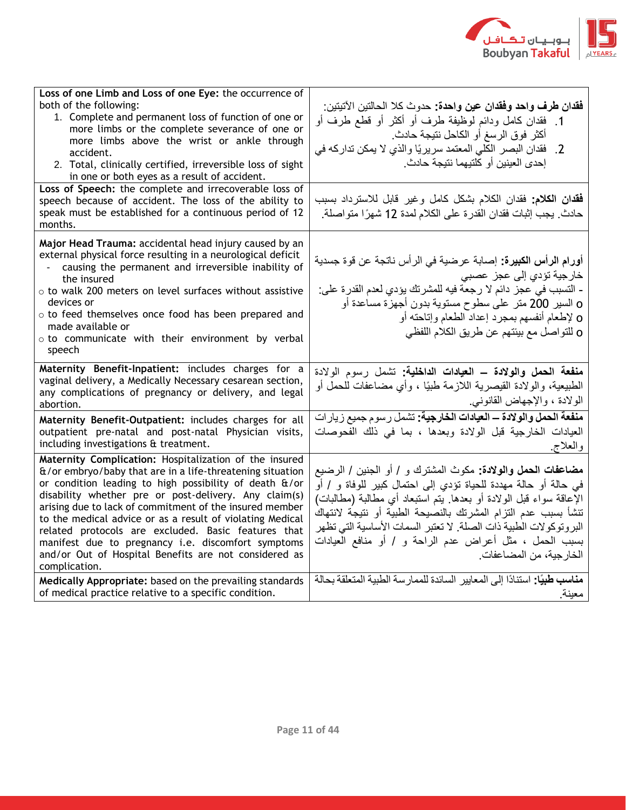

| Loss of one Limb and Loss of one Eye: the occurrence of<br>both of the following:<br>1. Complete and permanent loss of function of one or<br>more limbs or the complete severance of one or<br>more limbs above the wrist or ankle through<br>accident.<br>2. Total, clinically certified, irreversible loss of sight<br>in one or both eyes as a result of accident.                                                                                                                                                                                             | فقدان طرف واحد وفقدان عين واحدة: حدوث كلا الحالتين الآتيتين:<br>1.  فقدان كامل ودائم لوظيفة طرف أو أكثر أو قطع طرف أو<br>أكثر فوق الرسغ أو الكاحل نتيجة حادث.<br>فقدان البصر الكلي المعتمد سريريًا والذي لا يمكن تداركه في<br>$\cdot$ .2<br>إحدى العينين أو كلتيهما نتيجة حادث.                                                                                                                                                        |
|-------------------------------------------------------------------------------------------------------------------------------------------------------------------------------------------------------------------------------------------------------------------------------------------------------------------------------------------------------------------------------------------------------------------------------------------------------------------------------------------------------------------------------------------------------------------|----------------------------------------------------------------------------------------------------------------------------------------------------------------------------------------------------------------------------------------------------------------------------------------------------------------------------------------------------------------------------------------------------------------------------------------|
| Loss of Speech: the complete and irrecoverable loss of<br>speech because of accident. The loss of the ability to<br>speak must be established for a continuous period of 12<br>months.                                                                                                                                                                                                                                                                                                                                                                            | <b>فقدان الكلام:</b> فقدان الكلام بشكل كامل وغير قابل للاسترداد بسبب<br>حادث. يجب إثبات فقدان القدرة على الكلام لمدة 12 شهرًا متواصلة.                                                                                                                                                                                                                                                                                                 |
| Major Head Trauma: accidental head injury caused by an<br>external physical force resulting in a neurological deficit<br>causing the permanent and irreversible inability of<br>the insured<br>o to walk 200 meters on level surfaces without assistive<br>devices or<br>o to feed themselves once food has been prepared and<br>made available or<br>o to communicate with their environment by verbal<br>speech                                                                                                                                                 | أ <b>ورام الرأس الكبيرة:</b> إصابة عرضية في الرأس ناتجة عن قوة جسدية<br>خار جية تؤدي إلى عجز عصبي<br>- التسبب في عجز دائم لا رجعة فيه للمشرتك يؤدي لعدم القدرة على:<br>o السير 200 متر على سطوح مستوية بدون أجهزة مساعدة أو<br>O لإطعام أنفسهم بمجرد إعداد الطعام وإتاحته أو<br>0 للتواصل مع بيئتهم عن طريق الكلام اللفظي                                                                                                              |
| Maternity Benefit-Inpatient: includes charges for a<br>vaginal delivery, a Medically Necessary cesarean section,<br>any complications of pregnancy or delivery, and legal<br>abortion.                                                                                                                                                                                                                                                                                                                                                                            | منفعة الحمل والولادة – العيادات الداخلية: تشمل رسوم الولادة<br>الطبيعية، والولادة القيصرية اللازمة طبيًا ، وأي مضاعفات للحمل أو<br>الولادة ، والإجهاض القانوني                                                                                                                                                                                                                                                                         |
| Maternity Benefit-Outpatient: includes charges for all<br>outpatient pre-natal and post-natal Physician visits,<br>including investigations & treatment.                                                                                                                                                                                                                                                                                                                                                                                                          | م <b>نفعة الحمل والولادة – العيادات الخارجية:</b> تشمل رسوم جميع زيار ات<br>العيادات الخارجية قبل الولادة وبعدها ، بما في ذلك الفحوصات<br>والعلاج                                                                                                                                                                                                                                                                                      |
| Maternity Complication: Hospitalization of the insured<br>$\frac{f}{f}$ or embryo/baby that are in a life-threatening situation<br>or condition leading to high possibility of death &/or<br>disability whether pre or post-delivery. Any claim(s)<br>arising due to lack of commitment of the insured member<br>to the medical advice or as a result of violating Medical<br>related protocols are excluded. Basic features that<br>manifest due to pregnancy i.e. discomfort symptoms<br>and/or Out of Hospital Benefits are not considered as<br>complication. | <b>مضاعفات الحمل والولادة:</b> مكوث المشترك و / أو الجنين / الرضيع<br>في حالة أو حالة مهددة للحياة تؤدي إلى احتمال كبير للوفاة و / أو<br>الإعاقة سواء قبل الولادة أو بعدها. يتم استبعاد أي مطالبة (مطالبات)<br>تنشأ بسبب عدم التزام المشرتك بالنصيحة الطبية أو نتيجة لانتهاك<br>البروتوكولات الطبية ذات الصلة. لا تعتبر السمات الأساسية التي تظهر<br>بسبب الحمل ، مثل أعراض عدم الراحة و / أو منافع العيادات<br>الخارجية، من المضاعفات |
| Medically Appropriate: based on the prevailing standards<br>of medical practice relative to a specific condition.                                                                                                                                                                                                                                                                                                                                                                                                                                                 | مناسب طبيًا: استنادًا إلى المعايير السائدة للممارسة الطبية المتعلقة بحالة<br>معبنة                                                                                                                                                                                                                                                                                                                                                     |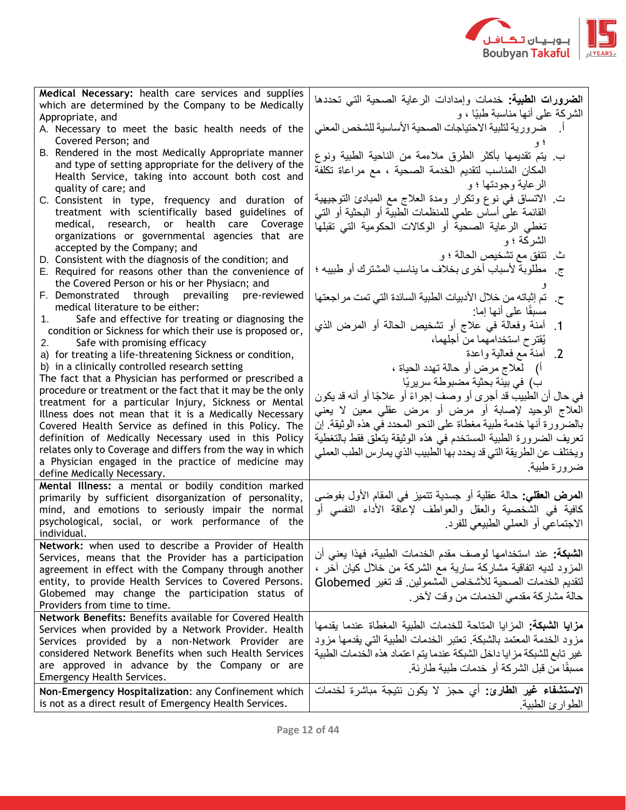

| Medical Necessary: health care services and supplies                                                            |                                                                          |
|-----------------------------------------------------------------------------------------------------------------|--------------------------------------------------------------------------|
| which are determined by the Company to be Medically                                                             | ا <b>لضرورات الطبية:</b> خدمات وإمدادات الرعاية الصحية التي تحددها       |
| Appropriate, and                                                                                                | الشركة على أنها مناسبة طبيًا ، و                                         |
| A. Necessary to meet the basic health needs of the                                                              | أسمضر ورية لتلبية الاحتياجات الصحية الأساسية للشخص المعنى                |
| Covered Person; and                                                                                             |                                                                          |
| B. Rendered in the most Medically Appropriate manner                                                            |                                                                          |
| and type of setting appropriate for the delivery of the                                                         | ب  يتم تقديمها بأكثر  الطرق ملاءمة من الناحية الطبية ونوع                |
| Health Service, taking into account both cost and                                                               | المكان المناسب لتقديم الخدمة الصحية ، مع مراعاة تكلفة                    |
| quality of care; and                                                                                            | الرعاية وجودتها ؛ و                                                      |
| C. Consistent in type, frequency and duration of                                                                | ت الانساق في نوع ونكرار ومدة العلاج مع المبادئ النوجيهية                 |
| treatment with scientifically based guidelines of                                                               | القائمة على أساس علمي للمنظمات الطبية أو البحثية أو التبي                |
| medical, research, or health care Coverage                                                                      |                                                                          |
| organizations or governmental agencies that are                                                                 | تغطى الرعاية الصحية أو الوكالات الحكومية التي تقبلها                     |
| accepted by the Company; and                                                                                    | الشركة ؛ و                                                               |
| D. Consistent with the diagnosis of the condition; and                                                          | ث تتفق مع تشخيص الحالة ؛ و                                               |
| E. Required for reasons other than the convenience of                                                           | ج_ مطلوبة لأسباب أخرى بخلاف ما يناسب المشترك أو طبيبه ؛                  |
| the Covered Person or his or her Physiacn; and                                                                  |                                                                          |
| F. Demonstrated through prevailing pre-reviewed                                                                 | تم إثباته من خلال الأدبيات الطبية السائدة التي تمت مر اجعتها             |
| medical literature to be either:                                                                                |                                                                          |
| Safe and effective for treating or diagnosing the<br>1.                                                         | مسبقًا على أنها إما:                                                     |
| condition or Sickness for which their use is proposed or,                                                       | أمنة وفعالة في علاج أو تشخيص الحالة أو المرض الذي<br>$\cdot$ 1           |
| Safe with promising efficacy<br>2.                                                                              | يُقترح استخدامهما من أجلهما،                                             |
| a) for treating a life-threatening Sickness or condition,                                                       | 2. أمنة مع فعالية واعدة                                                  |
| b) in a clinically controlled research setting                                                                  | أ)    لعلاج مرض أو حالة تهدد الحياة ،                                    |
| The fact that a Physician has performed or prescribed a                                                         |                                                                          |
| procedure or treatment or the fact that it may be the only                                                      | ب) في بيئة بحثية مضبوطة سريريًا                                          |
| treatment for a particular Injury, Sickness or Mental                                                           | في حال أن الطبيب قد أجرى أو وصف إجراءً أو علاجًا أو أنه قد يكون          |
| Illness does not mean that it is a Medically Necessary                                                          | العلاج الوحيد لإصابة أو مرض أو مرض عقلي معين لا يعني                     |
| Covered Health Service as defined in this Policy. The                                                           | بالضرورة أنها خدمة طبية مغطاة على النحو المحدد في هذه الوثيقة ۖ إن       |
| definition of Medically Necessary used in this Policy                                                           | تعريف الضرورة الطبية المستخدم في هذه الوثيقة يتعلق فقط بالتغطية          |
| relates only to Coverage and differs from the way in which                                                      |                                                                          |
| a Physician engaged in the practice of medicine may                                                             | ويختلف عن الطريقة التي قد يحدد بها الطبيب الذي يمارس الطب العملي         |
| define Medically Necessary.                                                                                     | ضرورة طبية                                                               |
| Mental Illness: a mental or bodily condition marked                                                             |                                                                          |
| primarily by sufficient disorganization of personality,                                                         | ا <b>لمرض العقلي:</b> حالة عقلية أو جسدية تتميز في المقام الأول بفوضى    |
| mind, and emotions to seriously impair the normal                                                               | كافية في الشخصية والعقل والعواطف لإعاقة الأداء النفسي أو                 |
| psychological, social, or work performance of the                                                               | الاجتماعي أو العملي الطبيعي للفرد.                                       |
| individual.                                                                                                     |                                                                          |
| Network: when used to describe a Provider of Health                                                             |                                                                          |
| Services, means that the Provider has a participation                                                           | ا <b>لشبكة:</b> عند استخدامها لوصف مقدم الخدمات الطبية، فهذا يعني أن     |
| agreement in effect with the Company through another                                                            | المزود لديه انفاقية مشاركة سارية مع الشركة من خلال كيان أخر ،            |
| entity, to provide Health Services to Covered Persons.                                                          | لتقديم الخدمات الصحية للأشخاص المشمولين. قد تغير Globemed                |
| Globemed may change the participation status of                                                                 |                                                                          |
| Providers from time to time.                                                                                    | حالة مشاركة مقدمي الخدمات من وقت لأخر .                                  |
| Network Benefits: Benefits available for Covered Health                                                         |                                                                          |
| Services when provided by a Network Provider. Health                                                            | <b>مزايا الشبكة:</b> المزابا المتاحة للخدمات الطببة المغطاة عندما بقدمها |
| Services provided by a non-Network Provider are                                                                 | مزود الخدمة المعتمد بالشبكة تعتبر الخدمات الطبية التي يقدمها مزود        |
| considered Network Benefits when such Health Services                                                           | غير تابع للشبكة مز ايا داخل الشبكة عندما يتم اعتماد هذه الخدمات الطبية   |
| are approved in advance by the Company or are                                                                   |                                                                          |
| Emergency Health Services.                                                                                      | مسبقًا من قبل الشر كة أو خدمات طببة طار ئة ِ                             |
|                                                                                                                 | الاستشفاء غير الطارئ: أي حجز لا يكون نتيجة مباشرة لخدمات                 |
| Non-Emergency Hospitalization: any Confinement which<br>is not as a direct result of Emergency Health Services. | الطوارئ الطبية.                                                          |
|                                                                                                                 |                                                                          |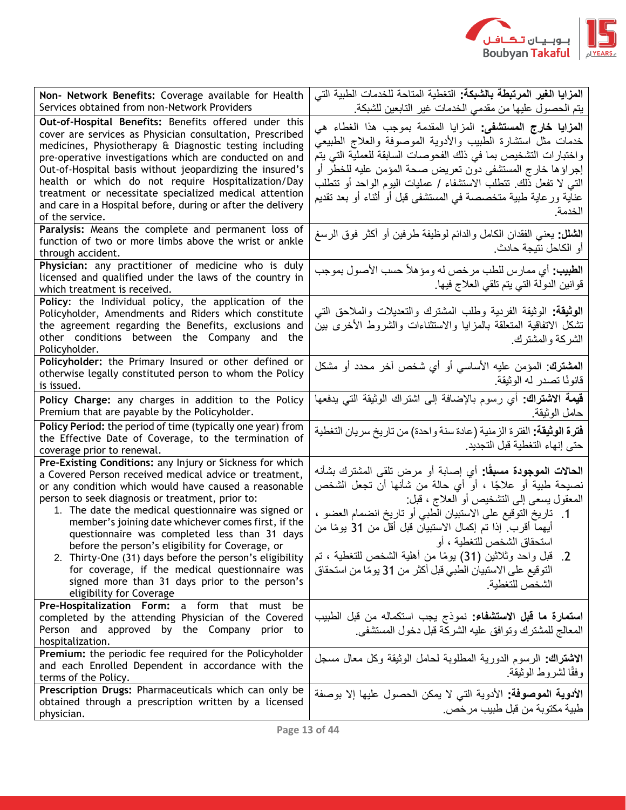

| Non- Network Benefits: Coverage available for Health<br>Services obtained from non-Network Providers                                                                                                                                                                                                                                                                                                                                                                                                                                                                                                                                           | ا <b>لمزايا الغير المرتبطة بالشبكة:</b> التغطية المتاحة للخدمات الطبية التي<br>يتم الحصول عليها من مقدمي الخدمات غير التابعين للشبكة                                                                                                                                                                                                                                                                                                                                                               |
|------------------------------------------------------------------------------------------------------------------------------------------------------------------------------------------------------------------------------------------------------------------------------------------------------------------------------------------------------------------------------------------------------------------------------------------------------------------------------------------------------------------------------------------------------------------------------------------------------------------------------------------------|----------------------------------------------------------------------------------------------------------------------------------------------------------------------------------------------------------------------------------------------------------------------------------------------------------------------------------------------------------------------------------------------------------------------------------------------------------------------------------------------------|
| Out-of-Hospital Benefits: Benefits offered under this<br>cover are services as Physician consultation, Prescribed<br>medicines, Physiotherapy & Diagnostic testing including<br>pre-operative investigations which are conducted on and<br>Out-of-Hospital basis without jeopardizing the insured's<br>health or which do not require Hospitalization/Day<br>treatment or necessitate specialized medical attention<br>and care in a Hospital before, during or after the delivery<br>of the service.                                                                                                                                          | ا <b>لمزايا خارج المستشفى:</b> المزايا المقدمة بموجب هذا الغطاء هي<br>خدمات مثل استشارة الطبيب والأدوية الموصوفة والعلاج الطبيعي<br>واختبارات التشخيص بما في ذلك الفحوصات السابقة للعملية التي يتم<br>إجراؤها خارج المستشفى دون تعريض صحة المؤمن عليه للخطر أو<br>التـَّى لا تفعل ذلك. تتطلَّب الاستشفاء / عمليات اليوم الواحد أو تتطلَّب<br>عناية ورعاية طبية متخصصة في المستشفى قبل أو أثناء أو بعد تقديم<br>الخدمة                                                                              |
| Paralysis: Means the complete and permanent loss of<br>function of two or more limbs above the wrist or ankle<br>through accident.                                                                                                                                                                                                                                                                                                                                                                                                                                                                                                             | ا <b>لشلل:</b> يعني الفقدان الكامل والدائم لوظيفة طرفين أو أكثر فوق الرسغ<br>أو الكاحل نتيجة حادث                                                                                                                                                                                                                                                                                                                                                                                                  |
| Physician: any practitioner of medicine who is duly<br>licensed and qualified under the laws of the country in<br>which treatment is received.                                                                                                                                                                                                                                                                                                                                                                                                                                                                                                 | ا <b>لطبيب:</b> أي ممارس للطب مرخص له ومؤهلاً حسب الأصول بموجب<br>قوانين الدولة التي يتم تلقي العلاج فيها                                                                                                                                                                                                                                                                                                                                                                                          |
| Policy: the Individual policy, the application of the<br>Policyholder, Amendments and Riders which constitute<br>the agreement regarding the Benefits, exclusions and<br>other conditions between the Company and the<br>Policyholder.                                                                                                                                                                                                                                                                                                                                                                                                         | ا <b>لوثيقة:</b> الوثيقة الفردية وطلب المشترك والتعديلات والملاحق التبي<br>نشكل الاتفاقية المتعلقة بالمزايا والاستثناءات والشروط الأخرى بين<br>الشركة والمشترك                                                                                                                                                                                                                                                                                                                                     |
| Policyholder: the Primary Insured or other defined or<br>otherwise legally constituted person to whom the Policy<br>is issued.                                                                                                                                                                                                                                                                                                                                                                                                                                                                                                                 | ا <b>لمشترك</b> : المؤمن عليه الأساسي أو أي شخص آخر محدد أو مشكل<br>قانونًا تصدر له الوثيقة.                                                                                                                                                                                                                                                                                                                                                                                                       |
| Policy Charge: any charges in addition to the Policy<br>Premium that are payable by the Policyholder.                                                                                                                                                                                                                                                                                                                                                                                                                                                                                                                                          | <b>قيمة الاشتراك:</b> أي رسوم بالإضافة إلى اشتراك الوثيقة التي يدفعها<br>حامل الوثيقة                                                                                                                                                                                                                                                                                                                                                                                                              |
| Policy Period: the period of time (typically one year) from<br>the Effective Date of Coverage, to the termination of<br>coverage prior to renewal.                                                                                                                                                                                                                                                                                                                                                                                                                                                                                             | فَترة الوثيقة: الفترة الزمنية (عادة سنة واحدة) من تاريخ سريان التغطية<br>حتى إنهاء التغطية قبل التجديد                                                                                                                                                                                                                                                                                                                                                                                             |
| Pre-Existing Conditions: any Injury or Sickness for which<br>a Covered Person received medical advice or treatment,<br>or any condition which would have caused a reasonable<br>person to seek diagnosis or treatment, prior to:<br>1. The date the medical questionnaire was signed or<br>member's joining date whichever comes first, if the<br>questionnaire was completed less than 31 days<br>before the person's eligibility for Coverage, or<br>2. Thirty-One (31) days before the person's eligibility<br>for coverage, if the medical questionnaire was<br>signed more than 31 days prior to the person's<br>eligibility for Coverage | ا <b>لحالات الموجودة مسبقًا:</b> أي إصابة أو مرض تلقى المشترك بشأنه<br>نصيحة طبية أو علاجًا ، أو أي حالة من شأنها أن تجعل الشخص<br>المعقول يسعى إلى التشخيص أو العلاج ، قبل:<br>1.   تاريخ التوقيع على الاستبيان الطبي أو تاريخ انضمام العضو  ،<br>أيهما أقرب. إذا تم إكمال الاستبيان قبل أقل من 31 يومًا من<br>استحقاق الشخص للتغطية ، أو<br>2_ قُبْلُ واحدٌ وثلاثين (31) يومًا من أهلية الشَّخص للتَّغطية ، تمَّ<br>التوقيع على الاستبيان الطبي قبل أكثر من 31 يومًا من استحقاق<br>الشخص للتغطبة |
| <b>Pre-Hospitalization Form:</b> a form that must<br>be<br>completed by the attending Physician of the Covered<br>Person and approved by the Company prior to<br>hospitalization.                                                                                                                                                                                                                                                                                                                                                                                                                                                              | <b>استمارة ما قبل الاستشفاء:</b> نموذج يجب استكماله من قبل الطبيب<br>المعالج للمشترك وتوافق عليه الشركة قبل دخول المستشفى                                                                                                                                                                                                                                                                                                                                                                          |
| Premium: the periodic fee required for the Policyholder<br>and each Enrolled Dependent in accordance with the<br>terms of the Policy.                                                                                                                                                                                                                                                                                                                                                                                                                                                                                                          | الاشتراك: الرسوم الدورية المطلوبة لحامل الوثيقة وكل معال مسجل<br>وفقًا لشروط الوثيقة.                                                                                                                                                                                                                                                                                                                                                                                                              |
| <b>Prescription Drugs: Pharmaceuticals which can only be</b><br>obtained through a prescription written by a licensed<br>physician.                                                                                                                                                                                                                                                                                                                                                                                                                                                                                                            | الأدوية الموصوفة: الأدوية التي لا يمكن الحصول عليها إلا بوصفة<br>طبية مكتوبة من قبل طبيب مرخص.                                                                                                                                                                                                                                                                                                                                                                                                     |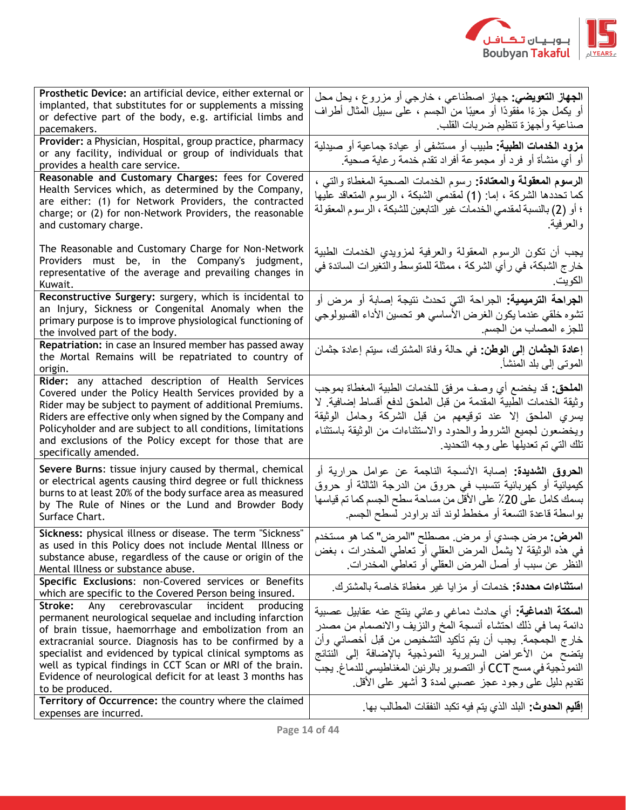

| Prosthetic Device: an artificial device, either external or                                                            | ا <b>لجهاز التعويضي:</b> جهاز اصطناعي ، خارجي أو مزروع ، يحل محل          |
|------------------------------------------------------------------------------------------------------------------------|---------------------------------------------------------------------------|
| implanted, that substitutes for or supplements a missing                                                               | أو يكمل جزءًا مفقودًا أو معيبًا من الجسم ، على سبيل المثال أطراف          |
| or defective part of the body, e.g. artificial limbs and<br>pacemakers.                                                | صناعية وأجهزة تنظيم ضربات القلب                                           |
| Provider: a Physician, Hospital, group practice, pharmacy                                                              |                                                                           |
| or any facility, individual or group of individuals that                                                               | <b>مزود الخدمات الطبية:</b> طبيب أو مستشفى أو عيادة جماعية أو صبدلية      |
| provides a health care service.                                                                                        | أو أي منشأة أو فرد أو مجموعة أفراد تقدم خدمة رعاية صحية.                  |
| Reasonable and Customary Charges: fees for Covered                                                                     | ا <b>لرسوم المعقولة والمعتادة:</b> رسوم الخدمات الصحية المغطاة والتي ،    |
| Health Services which, as determined by the Company,                                                                   | كما تحددها الشركة ، إما: (1) لمقدمي الشبكة ، الرسوم المتعاقد عليها        |
| are either: (1) for Network Providers, the contracted<br>charge; or (2) for non-Network Providers, the reasonable      | ؛ أو (2) بالنسبة لمقدمي الخدمات غير التابعين للشبكة ، الرسوم المعقولة     |
| and customary charge.                                                                                                  | والعرفية                                                                  |
|                                                                                                                        |                                                                           |
| The Reasonable and Customary Charge for Non-Network                                                                    | يجب أن نكون الرسوم المعقولة والعرفية لمزويدي الخدمات الطبية               |
| Providers must be, in the Company's judgment,                                                                          | خار ج الشبكة، في ر أي الشركة ، ممثلة للمتوسط والتغير ات السائدة في        |
| representative of the average and prevailing changes in                                                                | الكويت.                                                                   |
| Kuwait.<br>Reconstructive Surgery: surgery, which is incidental to                                                     |                                                                           |
| an Injury, Sickness or Congenital Anomaly when the                                                                     | ا <b>لجراحة الترميمية:</b> الجراحة التي تحدث نتيجة إصابة أو مرض أو        |
| primary purpose is to improve physiological functioning of                                                             | تشوه خلقي عندما يكون الغرض الأساسي هو تحسين الأداء الفسيولوجي             |
| the involved part of the body.                                                                                         | للجزء المصاب من الجسم.                                                    |
| Repatriation: in case an Insured member has passed away                                                                | إ <b>عادة الجثمان إلى الوطن:</b> في حالة وفاة المشترك، سيتم إعادة جثمان   |
| the Mortal Remains will be repatriated to country of<br>origin.                                                        | الموتبي إلى بلد المنشأ                                                    |
| Rider: any attached description of Health Services                                                                     |                                                                           |
| Covered under the Policy Health Services provided by a                                                                 | ا <b>لملحق:</b> قد يخضع أي وصف مرفق للخدمات الطبية المغطاة بموجب          |
| Rider may be subject to payment of additional Premiums.                                                                | وثيقة الخدمات الطبية المقدمة من قبل الملحق لدفع أقساط إضافية. لا          |
| Riders are effective only when signed by the Company and                                                               | يسري الملحق إلا عند توقيعهم من قبل الشركة وحامل الوثيقة                   |
| Policyholder and are subject to all conditions, limitations<br>and exclusions of the Policy except for those that are  | ويخضعون لجميع الشروط والحدود والاستثناءات من الوثيقة باستثناء             |
| specifically amended.                                                                                                  | تلك التي تم تعديلها على وجه التحديد.                                      |
| Severe Burns: tissue injury caused by thermal, chemical                                                                | ا <b>لحروق الشديدة:</b> إصابة الأنسجة الناجمة عن عوامل حرارية أو          |
| or electrical agents causing third degree or full thickness                                                            | كيميائية أو كهربائية تتسبب في حروق من الدرجة الثالثة أو حروق              |
| burns to at least 20% of the body surface area as measured                                                             | بسمك كامل على 20٪ على الأقل من مساحة سطح الجسم كما تم قياسها              |
| by The Rule of Nines or the Lund and Browder Body                                                                      | بواسطة قاعدة التسعة أو مخطط لوند أند براودر لسطح الجسم                    |
| Surface Chart.                                                                                                         |                                                                           |
| Sickness: physical illness or disease. The term "Sickness"                                                             | ِ ا <b>لمرض:</b> مرض جسدي أو مرض <sub>.</sub> مصطلح "المرض" كما هو مستخدم |
| as used in this Policy does not include Mental Illness or<br>substance abuse, regardless of the cause or origin of the | في هذه الوثيقة لا يشمل المرض العقلي أو تعاطي المخدرات ، بغض               |
| Mental Illness or substance abuse.                                                                                     | النظر عن سبب أو أصل المرض العقلي أو تعاطي المخدر ات.                      |
| Specific Exclusions: non-Covered services or Benefits                                                                  | <b>استثناءات محددة:</b> خدمات أو مز ايا غير مغطاة خاصة بالمشترك.          |
| which are specific to the Covered Person being insured.                                                                |                                                                           |
| Any cerebrovascular<br>incident<br>Stroke:<br>producing                                                                | ا <b>لسكنة الدماغية:</b> أي حادث دماغي وعائي ينتج عنه عقابيل عصبية        |
| permanent neurological sequelae and including infarction                                                               | دائمة بما في ذلك احتشاء أنسجة المخ والنزيف والانصمام من مصدر              |
| of brain tissue, haemorrhage and embolization from an<br>extracranial source. Diagnosis has to be confirmed by a       | خارج الجمجمة. يجب أن يتم تأكيد التشخيص من قبل أخصائي وأن                  |
| specialist and evidenced by typical clinical symptoms as                                                               | يتضح من الأعراض السريرية النموذجية بالإضافة إلى النتائج                   |
| well as typical findings in CCT Scan or MRI of the brain.                                                              | النموذجية في مسح CCT أو التصوير بالرنين المغناطيسي للدماغ. يجب            |
| Evidence of neurological deficit for at least 3 months has                                                             | تقديم دليل على وجود عجز عصبي لمدة 3 أشهر على الأقل.                       |
| to be produced.                                                                                                        |                                                                           |
| Territory of Occurrence: the country where the claimed<br>expenses are incurred.                                       | ِ إِ <b>قْلِيمِ الحدوث:</b> البلد الذي يتم فيه تكبد النفقات المطالب بها.  |
|                                                                                                                        |                                                                           |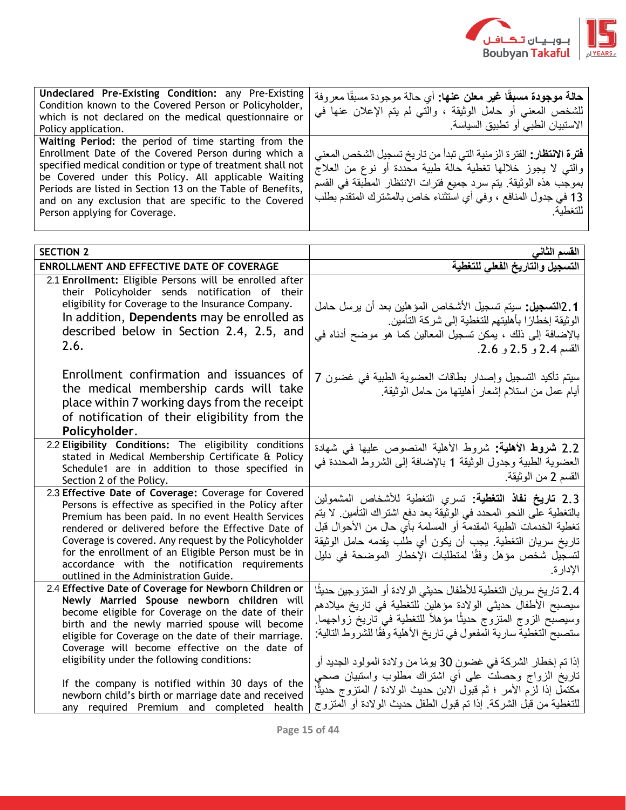

| Undeclared Pre-Existing Condition: any Pre-Existing<br>Condition known to the Covered Person or Policyholder,<br>which is not declared on the medical questionnaire or<br>Policy application.                                                                                                                                                                                              | حالة موجودة مسبقًا غير معلن عنها: أي حالة موجودة مسبقًا معروفة<br>للشخص المعنى أو حامل الوثيقة ، والتي لم يتم الإعلان عنها في<br>  الاستبيان الطبي أو تطبيق السياسة                                                                                                                                  |
|--------------------------------------------------------------------------------------------------------------------------------------------------------------------------------------------------------------------------------------------------------------------------------------------------------------------------------------------------------------------------------------------|------------------------------------------------------------------------------------------------------------------------------------------------------------------------------------------------------------------------------------------------------------------------------------------------------|
| Waiting Period: the period of time starting from the<br>Enrollment Date of the Covered Person during which a<br>specified medical condition or type of treatment shall not<br>be Covered under this Policy. All applicable Waiting<br>Periods are listed in Section 13 on the Table of Benefits,<br>and on any exclusion that are specific to the Covered<br>Person applying for Coverage. | <b>فترة الانتظار :</b> الفترة الزمنية التي تبدأ من تاريخ تسجيل الشخص المعنى<br>  والتبي لا يجوز خلالها تغطية حالة طبية معَّددة أو نوع من العلاجَّ<br>  بموجب هذه الوثيقة. يتم سرد جميع فترات الانتظار المطبقة في القسم<br>  13 في جدول المنافع ، وفي أي استثناء خاص بالمشترك المتقدم بطلب<br>للتغطية |

| <b>SECTION 2</b>                                                                                                                                                                                                                                                                                                                                                                                                                                                               | القسم الثاني                                                                                                                                                                                                                                                                                                                                                                                                                                                             |
|--------------------------------------------------------------------------------------------------------------------------------------------------------------------------------------------------------------------------------------------------------------------------------------------------------------------------------------------------------------------------------------------------------------------------------------------------------------------------------|--------------------------------------------------------------------------------------------------------------------------------------------------------------------------------------------------------------------------------------------------------------------------------------------------------------------------------------------------------------------------------------------------------------------------------------------------------------------------|
| ENROLLMENT AND EFFECTIVE DATE OF COVERAGE                                                                                                                                                                                                                                                                                                                                                                                                                                      | التسجيل والتاريخ الفعلى للتغطبة                                                                                                                                                                                                                                                                                                                                                                                                                                          |
| 2.1 Enrollment: Eligible Persons will be enrolled after<br>their Policyholder sends notification of their<br>eligibility for Coverage to the Insurance Company.<br>In addition, Dependents may be enrolled as<br>described below in Section 2.4, 2.5, and<br>2.6.                                                                                                                                                                                                              | 1 .2ا <b>لتسجيل:</b> سيتم تسجيل الأشخاص المؤهلين بعد أن يرسل حامل<br>الوثيقة إخطارًا بأهليتهم للتغطية إلى شركة التأمين<br>بالإضافة إلى ذلك ، يمكن تسجيل المعالين كما هو موضح أدناه في<br>القسم 2.4 و 2.5 و 2.6.                                                                                                                                                                                                                                                          |
| Enrollment confirmation and issuances of<br>the medical membership cards will take<br>place within 7 working days from the receipt<br>of notification of their eligibility from the<br>Policyholder.                                                                                                                                                                                                                                                                           | سيتم تأكيد التسجيل وإصدار بطاقات العضوية الطبية في غضون 7<br>أيام عمل من استلام إشعار أهليتها من حامل الوثيقة                                                                                                                                                                                                                                                                                                                                                            |
| 2.2 Eligibility Conditions: The eligibility conditions<br>stated in Medical Membership Certificate & Policy<br>Schedule1 are in addition to those specified in<br>Section 2 of the Policy.                                                                                                                                                                                                                                                                                     | 2.2 شروط الأهلية: شروط الأهلية المنصوص عليها في شهادة<br>العضوية الطبية وجدول الوثيقة 1 بالإضافة إلى الشروط المحددة في<br>القسم 2 من الوثيقة.                                                                                                                                                                                                                                                                                                                            |
| 2.3 Effective Date of Coverage: Coverage for Covered<br>Persons is effective as specified in the Policy after<br>Premium has been paid. In no event Health Services<br>rendered or delivered before the Effective Date of<br>Coverage is covered. Any request by the Policyholder<br>for the enrollment of an Eligible Person must be in<br>accordance with the notification requirements<br>outlined in the Administration Guide.                                             | 2.3 <b>تاريخ نفاذ التغطية:</b> تسرى التغطية للأشخاص المشمولين<br>بالتغطية على النحو المحدد في الوثيقة بعد دفع اشتراك التأمين. لا يتم<br>تغطية الخدمات الطبية المقدمة أو المسلمة بأي حال من الأحوال قبل<br>تاريخ سريان التغطية. يجب أن يكون أي طلب يقدمه حامل الوثيقة<br>لتسجيل شخص مؤهل وفقًا لمتطلبات الإخطار الموضحة في دليل<br>الإدارة                                                                                                                                |
| 2.4 Effective Date of Coverage for Newborn Children or<br>Newly Married Spouse newborn children will<br>become eligible for Coverage on the date of their<br>birth and the newly married spouse will become<br>eligible for Coverage on the date of their marriage.<br>Coverage will become effective on the date of<br>eligibility under the following conditions:<br>If the company is notified within 30 days of the<br>newborn child's birth or marriage date and received | 2.4 تاريخ سريان التغطية للأطفال حديثي الولادة أو المتزوجين حديثًا<br>سيصبح الأطفال حديثي الولادة مؤهلين للتغطية في تاريخ ميلادهم<br>وسيصبح الزوج المنزوج حديثًا مؤهلاً للتغطية في ناريخ زواجهما.<br>ستصبح التغطية سارية المفعول في تاريخ الأهلية وفقًا للشروط التالية:<br>إذا تم إخطار الشركة في غضون 30 يومًا من ولادة المولود الجديد أو<br>تاريخ الزواج وحصلت على أي اشتراك مطلوب واستبيان صحي<br>مكتملَ إذا لزَّم الأمر ؛ ثم قبول الابن حديث الولادة / المنزوج حديثًا |
| any required Premium and completed health                                                                                                                                                                                                                                                                                                                                                                                                                                      | للتغطية من قبل الشركة. إذا نم قبول الطفل حديث الولادة أو المنزوج                                                                                                                                                                                                                                                                                                                                                                                                         |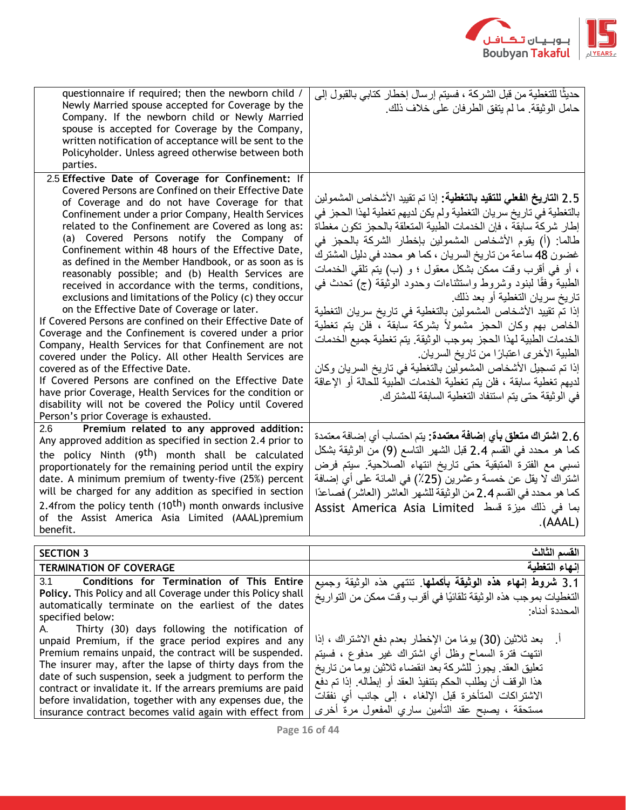

المحددة أدناه:

| questionnaire if required; then the newborn child /<br>Newly Married spouse accepted for Coverage by the<br>Company. If the newborn child or Newly Married<br>spouse is accepted for Coverage by the Company,<br>written notification of acceptance will be sent to the<br>Policyholder. Unless agreed otherwise between both<br>parties.                                                                                                                                                                                                                                                                                                                                                                                                                                                                                                                                                                                                                                                                                                                                                                                                                       | حديثًا للتغطية من قبل الشركة ، فسيتم إرسال إخطار كتابي بالقبول إلى<br>حامل الوثيقة. ما لم يتفق الطرفان على خلاف ذلك.                                                                                                                                                                                                                                                                                                                                                                                                                                                                                                                                                                                                                                                                                                                                                                                                                                      |
|-----------------------------------------------------------------------------------------------------------------------------------------------------------------------------------------------------------------------------------------------------------------------------------------------------------------------------------------------------------------------------------------------------------------------------------------------------------------------------------------------------------------------------------------------------------------------------------------------------------------------------------------------------------------------------------------------------------------------------------------------------------------------------------------------------------------------------------------------------------------------------------------------------------------------------------------------------------------------------------------------------------------------------------------------------------------------------------------------------------------------------------------------------------------|-----------------------------------------------------------------------------------------------------------------------------------------------------------------------------------------------------------------------------------------------------------------------------------------------------------------------------------------------------------------------------------------------------------------------------------------------------------------------------------------------------------------------------------------------------------------------------------------------------------------------------------------------------------------------------------------------------------------------------------------------------------------------------------------------------------------------------------------------------------------------------------------------------------------------------------------------------------|
| 2.5 Effective Date of Coverage for Confinement: If<br>Covered Persons are Confined on their Effective Date<br>of Coverage and do not have Coverage for that<br>Confinement under a prior Company, Health Services<br>related to the Confinement are Covered as long as:<br>(a) Covered Persons notify the Company of<br>Confinement within 48 hours of the Effective Date,<br>as defined in the Member Handbook, or as soon as is<br>reasonably possible; and (b) Health Services are<br>received in accordance with the terms, conditions,<br>exclusions and limitations of the Policy (c) they occur<br>on the Effective Date of Coverage or later.<br>If Covered Persons are confined on their Effective Date of<br>Coverage and the Confinement is covered under a prior<br>Company, Health Services for that Confinement are not<br>covered under the Policy. All other Health Services are<br>covered as of the Effective Date.<br>If Covered Persons are confined on the Effective Date<br>have prior Coverage, Health Services for the condition or<br>disability will not be covered the Policy until Covered<br>Person's prior Coverage is exhausted. | 2.5 ا <b>لتاريخ الفعلى للتقيد بالتغطية</b> : إذا تم تقييد الأشخاص المشمولين<br>بالتغطية في تاريخ سريان التغطية ولم يكن لديهم تغطية لهذا الحجز في<br>إطار شركة سابقة ، فإن الخدمات الطبية المتعلقة بالحجز تكون مغطاة<br>طالما: (أ) يقوم الأشخاص المشمولين بإخطار الشركة بالحجز في<br>غضون 48 ساعة من تاريخ السريان ، كما هو محدد في دليل المشترك<br>، أو في أقرب وقت ممكن بشكل معقول ؛ و (ب) بنم تلقى الخدمات<br>الطبية وفقًا لبنود وشروط واستثناءات وحدود الوثيقة (ج) تحدث في<br>تاريخ سريان التغطية أو بعد ذلك<br>إذا تم تقييد الأشخاص المشمولين بالتغطية في تاريخ سريان التغطية<br>الخاص بهم وكان الحجز مشمولاً بشركة سابقة ، فلن يتم تغطية<br>الخدمات الطبية لهذا الحجز بموجب الوثيقة. يتم تغطية جميع الخدمات<br>الطبية الأخرى اعتبارًا من تاريخ السريان<br>إذا تم تسجيل الأشخاص المشمولين بالتغطية في تاريخ السريان وكان<br>لديهم تغطية سابقة ، فلن يتم تغطية الخدمات الطبية للحالة أو الإعاقة<br>في الوثيقة حتى يتم استنفاد التغطية السابقة للمشترك. |
| Premium related to any approved addition:<br>2.6                                                                                                                                                                                                                                                                                                                                                                                                                                                                                                                                                                                                                                                                                                                                                                                                                                                                                                                                                                                                                                                                                                                | 2.6 ا <b>شتراك متعلق بأي إضافة معتمدة:</b> يتم احتساب أي إضـافة معتمدة                                                                                                                                                                                                                                                                                                                                                                                                                                                                                                                                                                                                                                                                                                                                                                                                                                                                                    |
| Any approved addition as specified in section 2.4 prior to<br>the policy Ninth (9 <sup>th</sup> ) month shall be calculated<br>proportionately for the remaining period until the expiry<br>date. A minimum premium of twenty-five (25%) percent<br>will be charged for any addition as specified in section<br>2.4from the policy tenth (10 <sup>th</sup> ) month onwards inclusive<br>of the Assist America Asia Limited (AAAL)premium<br>benefit.                                                                                                                                                                                                                                                                                                                                                                                                                                                                                                                                                                                                                                                                                                            | كما هو محدد في القسم 2.4 قبل الشهر التاسع (9) من الوثيقة بشكل<br>نسبي مع الفترة المتبقية حتى تاريخ انتهاء الصلاحية. سيتم فرض<br>اشنراك لا يقل عن خمسة وعشرين (25٪) في المائة على أي إضافة<br>كما هو محدد في القسم 2.4 من الوثيقة للشهر العاشر (العاشر) فصاعدًا<br>بما في ذلك ميزة قسط  Assist America Asia Limited<br>(AAAL)                                                                                                                                                                                                                                                                                                                                                                                                                                                                                                                                                                                                                              |
| <b>SECTION 3</b>                                                                                                                                                                                                                                                                                                                                                                                                                                                                                                                                                                                                                                                                                                                                                                                                                                                                                                                                                                                                                                                                                                                                                | القسم الثالث                                                                                                                                                                                                                                                                                                                                                                                                                                                                                                                                                                                                                                                                                                                                                                                                                                                                                                                                              |
| <b>TERMINATION OF COVERAGE</b>                                                                                                                                                                                                                                                                                                                                                                                                                                                                                                                                                                                                                                                                                                                                                                                                                                                                                                                                                                                                                                                                                                                                  | إنهاء التغطبة                                                                                                                                                                                                                                                                                                                                                                                                                                                                                                                                                                                                                                                                                                                                                                                                                                                                                                                                             |
| 3.1<br>Conditions for Termination of This Entire                                                                                                                                                                                                                                                                                                                                                                                                                                                                                                                                                                                                                                                                                                                                                                                                                                                                                                                                                                                                                                                                                                                | 3.1 شروط إنهاء هذه الوثيقة بأكملها. تنتهى هذه الوثيقة وجميع                                                                                                                                                                                                                                                                                                                                                                                                                                                                                                                                                                                                                                                                                                                                                                                                                                                                                               |
| Policy. This Policy and all Coverage under this Policy shall                                                                                                                                                                                                                                                                                                                                                                                                                                                                                                                                                                                                                                                                                                                                                                                                                                                                                                                                                                                                                                                                                                    | التغطيات بموجب هذه الوثيقة تلقائيًا في أقرب وقت ممكن من التواريخ                                                                                                                                                                                                                                                                                                                                                                                                                                                                                                                                                                                                                                                                                                                                                                                                                                                                                          |
| ومرجله المرابات والملحوظ<br>والمستركب والمتحالين والمستحدث والمستحدث والمستحدث                                                                                                                                                                                                                                                                                                                                                                                                                                                                                                                                                                                                                                                                                                                                                                                                                                                                                                                                                                                                                                                                                  |                                                                                                                                                                                                                                                                                                                                                                                                                                                                                                                                                                                                                                                                                                                                                                                                                                                                                                                                                           |

automatically terminate on the earliest of the dates specified below: A. Thirty (30) days following the notification of unpaid Premium, if the grace period expires and any Premium remains unpaid, the contract will be suspended. The insurer may, after the lapse of thirty days from the date of such suspension, seek a judgment to perform the contract or invalidate it. If the arrears premiums are paid before invalidation, together with any expenses due, the insurance contract becomes valid again with effect from

بعد ثلاثين (30) يومًا من الإخطار بعدم دفع الاشتراك ، إذا انتهت فترة السماح وظل أي اشتراك غير مدفوع ، فسيتم تعليق العقد. يجوز للشركة بعد انقضاء ثالثين يوما من تاريخ هذا الوقف أن يطلب الحكم بتنفيذ العقد أو إبطاله. إذا تم دفع االشتراكات المتأخرة قبل اإللغاء ، إلى جانب أي نفقات مستحقة ، يصبح عقد التأمين ساري المفعول مرة أخرى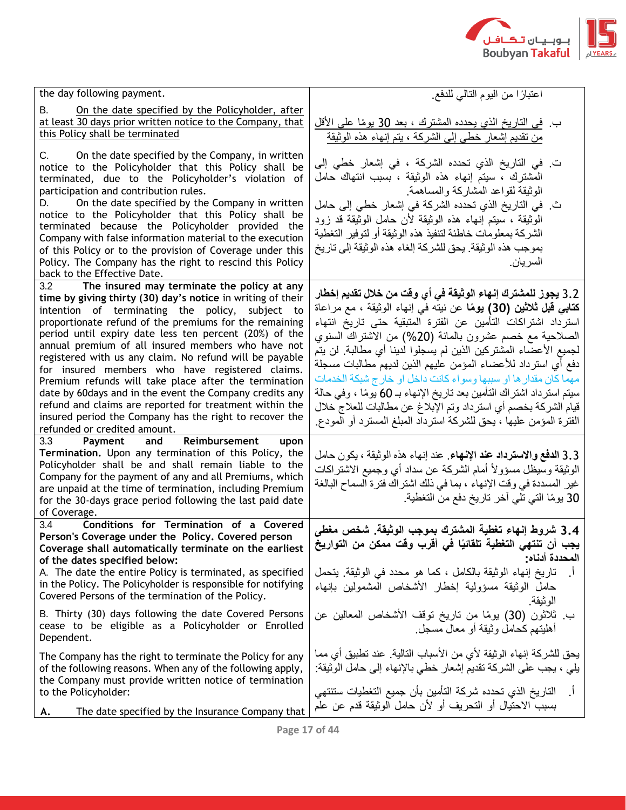

| the day following payment.                                                                                            | اعتبارًا من اليوم التالي للدفع                                          |
|-----------------------------------------------------------------------------------------------------------------------|-------------------------------------------------------------------------|
| On the date specified by the Policyholder, after<br>В.                                                                |                                                                         |
| at least 30 days prior written notice to the Company, that<br>this Policy shall be terminated                         | ب في التاريخ الذي يحدده المشترك ، بعد 30 يومًا على الأقل                |
|                                                                                                                       | من تقديم إشعار خطي إلى الشركة ، يتم إنهاء هذه الوثيقة                   |
| On the date specified by the Company, in written<br>C.                                                                | ت في التاريخ الذي تحدده الشركة ، في إشعار خطي إلى                       |
| notice to the Policyholder that this Policy shall be                                                                  | المشترك ، سيتم إنهاء هذه الوثيقة ، بسبب انتهاك حامل                     |
| terminated, due to the Policyholder's violation of<br>participation and contribution rules.                           | الوثيقة لقواعد المشاركة والمساهمة                                       |
| On the date specified by the Company in written<br>D.                                                                 | ث في التاريخ الذي تحدده الشركة في إشعار خطي إلى حامل                    |
| notice to the Policyholder that this Policy shall be                                                                  | الوثيقة ، سيتم إنهاء هذه الوثيقة لأن حامل الوثيقة قد زود                |
| terminated because the Policyholder provided the                                                                      | الشركة بمعلومات خاطئة لتنفيذ هذه الوثيقة أو لتوفير التغطية              |
| Company with false information material to the execution<br>of this Policy or to the provision of Coverage under this | بموجب هذه الوثيقة. يحق للشركة إلغاء هذه الوثيقة إلى تاريخ               |
| Policy. The Company has the right to rescind this Policy                                                              | السر يان.                                                               |
| back to the Effective Date.                                                                                           |                                                                         |
| 3.2<br>The insured may terminate the policy at any                                                                    | 3.2 يجوز للمشترك إنهاء الوثيقة في أي وقت من خلال تقديم إخطار            |
| time by giving thirty (30) day's notice in writing of their<br>intention of terminating the policy, subject to        | <b>كتابي قبل ثلاثين (30) يومًا</b> عن نيته في إنهاء الوثيقة ، مع مراعاة |
| proportionate refund of the premiums for the remaining                                                                | استرداد اشتراكات التأمين عن الفترة المتبقية حتى تاريخ انتهاء            |
| period until expiry date less ten percent (20%) of the                                                                | الصلاحية مع خصم عشرون بالمائة (20%) من الاشتراك السنوي                  |
| annual premium of all insured members who have not                                                                    | لجميع الأعضاء المشتركين الذين لم يسجلوا لدينا أي مطالبة. لن يتم         |
| registered with us any claim. No refund will be payable<br>for insured members who have registered claims.            | دفع أي استرداد للأعضاء المؤمن عليهم الذين لديهم مطالبات مسجلة           |
| Premium refunds will take place after the termination                                                                 | مهما كان مقدار ها او سببها وسواء كانت داخل او خارج شبكة الخدمات         |
| date by 60 days and in the event the Company credits any                                                              | سيتم استر داد اشتر اك التأمين بعد تاريخ الإنهاء بـ 60 يومًا ، وفي حالة  |
| refund and claims are reported for treatment within the                                                               | قيام الشركة بخصم أي استرداد وتم الإبلاغ عن مطالبات للعلاج خلال          |
| insured period the Company has the right to recover the                                                               | الفترة المؤمن عليها ، يحق للشركة استرداد المبلغ المسترد أو المودع       |
| refunded or credited amount.<br>Reimbursement<br>3.3<br>Payment<br>and<br>upon                                        |                                                                         |
| Termination. Upon any termination of this Policy, the                                                                 | 3.3 الدفع والاسترداد عند الإنهاء عند إنهاء هذه الوثيقة ، يكون حامل      |
| Policyholder shall be and shall remain liable to the                                                                  | الوثيقة وسيظل مسؤولأ أمام الشركة عن سداد أي وجميع الاشتراكات            |
| Company for the payment of any and all Premiums, which<br>are unpaid at the time of termination, including Premium    | غير المسددة في وقت الإنهاء ، بما في ذلك اشتراك فترة السماح البالغة      |
| for the 30-days grace period following the last paid date                                                             | 30 يومًا التي تلي آخر تاريخ دفع من التغطية.                             |
| of Coverage.                                                                                                          |                                                                         |
| Conditions for Termination of a Covered<br>3.4                                                                        | 3.4 شروط إنهاء تغطية المشترك بموجب الوثيقة. شخص مغطى                    |
| Person's Coverage under the Policy. Covered person                                                                    | يجب أن تنتهى التغطية تلقائيًا في أقرب وقت ممكن من التواريخ              |
| Coverage shall automatically terminate on the earliest<br>of the dates specified below:                               | المحددة أدناه:                                                          |
| A. The date the entire Policy is terminated, as specified                                                             | تاريخ إنهاء الوثيقة بالكامل ، كما هو محدد في الوثيقة. يتحمل             |
| in the Policy. The Policyholder is responsible for notifying                                                          | حامل الوثيقة مسؤولية إخطار الأشخاص المشمولين بإنهاء                     |
| Covered Persons of the termination of the Policy.                                                                     | الو ثيقة.                                                               |
| B. Thirty (30) days following the date Covered Persons                                                                | ب ثلاثون (30) يومًا من تاريخ توقف الأشخاص المعالين عن                   |
| cease to be eligible as a Policyholder or Enrolled                                                                    | أهليتهم كحامل وثيقة أو معال مسجل                                        |
| Dependent.                                                                                                            |                                                                         |
| The Company has the right to terminate the Policy for any                                                             | يحق للشركة إنهاء الوثيقة لأي من الأسباب التالية. عند تطبيق أي مما       |
| of the following reasons. When any of the following apply,                                                            | يلِّمي ، يجب على الشركة تقديم إشعار خطي بالإنهاء إلى حامل الوثيقة:      |
| the Company must provide written notice of termination<br>to the Policyholder:                                        | التاريخ الذي تحدده شركة التأمين بأن جميع التغطيات ستنتهي                |
|                                                                                                                       | بسبب الاحتيال أو التحريف أو لأن حامل الوثيقة قدم عن علم                 |
| The date specified by the Insurance Company that<br>А.                                                                |                                                                         |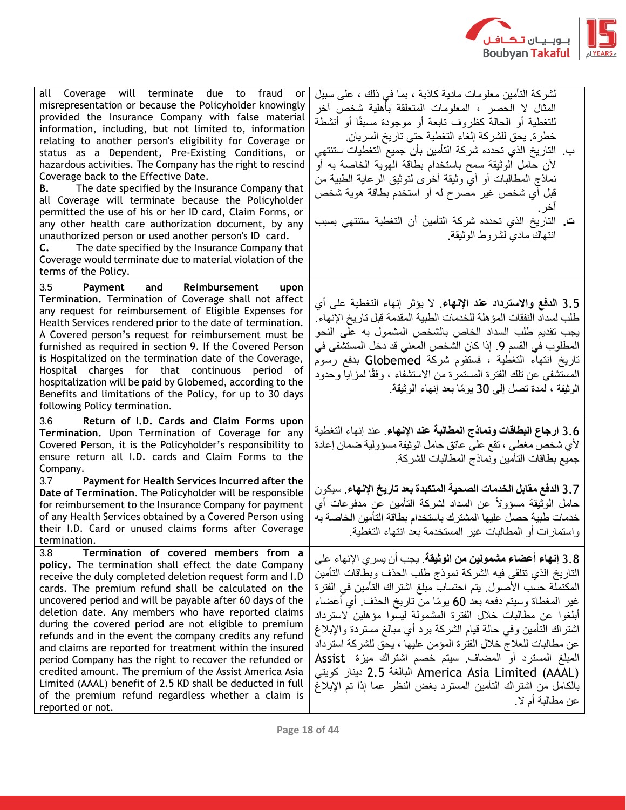

| all Coverage will terminate due to fraud<br>or<br>misrepresentation or because the Policyholder knowingly<br>provided the Insurance Company with false material<br>information, including, but not limited to, information<br>relating to another person's eligibility for Coverage or<br>status as a Dependent, Pre-Existing Conditions, or<br>hazardous activities. The Company has the right to rescind<br>Coverage back to the Effective Date.<br>The date specified by the Insurance Company that<br>В.<br>all Coverage will terminate because the Policyholder<br>permitted the use of his or her ID card, Claim Forms, or<br>any other health care authorization document, by any<br>unauthorized person or used another person's ID card.<br>The date specified by the Insurance Company that<br>C.<br>Coverage would terminate due to material violation of the<br>terms of the Policy. | لشركة التأمين معلومات مادية كاذبة ، بما في ذلك ، على سبيل<br>المثال لا الحصر ، المعلومات المتعلقة بأهلية شخص أخر<br>للتغطية أو الحالة كظروف نابعة أو موجودة مسبقًا أو أنشطة<br>خطرة. يحق للشركة إلغاء التغطية حتى تاريخ السريان.<br>ب. التاريخ الذي تحدده شركة التأمين بأن جميع التغطيات ستنتهى<br>لأن حامل الوثيقة سمح باستخدام بطاقة الـهوية الخاصـة بـه أو<br>نماذج المطالبات أو أي وثيقة أخرى لتوثيق الرعاية الطبية من<br>قبل أي شخص غير مصرح له أو استخدم بطاقة هوية شخص<br>اخر ۔<br><b>ت.</b> التاريخ الذي تحدده شركة التأمين أن التغطية ستنتهي بسبب<br>انتهاك مادي لشروط الوثيقة                                                                                      |
|--------------------------------------------------------------------------------------------------------------------------------------------------------------------------------------------------------------------------------------------------------------------------------------------------------------------------------------------------------------------------------------------------------------------------------------------------------------------------------------------------------------------------------------------------------------------------------------------------------------------------------------------------------------------------------------------------------------------------------------------------------------------------------------------------------------------------------------------------------------------------------------------------|------------------------------------------------------------------------------------------------------------------------------------------------------------------------------------------------------------------------------------------------------------------------------------------------------------------------------------------------------------------------------------------------------------------------------------------------------------------------------------------------------------------------------------------------------------------------------------------------------------------------------------------------------------------------------|
| 3.5<br>Payment<br>Reimbursement<br>and<br>upon<br>Termination. Termination of Coverage shall not affect<br>any request for reimbursement of Eligible Expenses for<br>Health Services rendered prior to the date of termination.<br>A Covered person's request for reimbursement must be<br>furnished as required in section 9. If the Covered Person<br>is Hospitalized on the termination date of the Coverage,<br>Hospital charges for that continuous period of<br>hospitalization will be paid by Globemed, according to the<br>Benefits and limitations of the Policy, for up to 30 days<br>following Policy termination.                                                                                                                                                                                                                                                                   | 3.5 الدفع والاسترداد عند الإنهاء لا يؤثر إنهاء النغطية على أي<br>طلب لسداد النفقات المؤهلة للخدمات الطبية المقدمة قبل تاريخ الإنهاء<br>يجب تقديم طلب السداد الخاص بالشخص المشمول به على النحو<br>المطلوب في القسم 9. إذا كان الشخص المعنى قد دخل المستشفى في<br>تاريخ انتهاء التغطية ، فستقوم شركة Globemed بدفع رسوم<br>المستشفى عن تلك الفترة المستمرة من الاستشفاء ، وفقًا لمزايا وحدود<br>الوثيقة ، لمدة تصل إلى 30 يومًا بعد إنهاء الوثيقة                                                                                                                                                                                                                              |
| Return of I.D. Cards and Claim Forms upon<br>3.6<br>Termination. Upon Termination of Coverage for any<br>Covered Person, it is the Policyholder's responsibility to<br>ensure return all I.D. cards and Claim Forms to the<br>Company.                                                                                                                                                                                                                                                                                                                                                                                                                                                                                                                                                                                                                                                           | 3.6 ارجاع البطاقات ونماذج المطالبة عند الإنهاء. عند إنهاء التغطية<br>لأي شخص مغطى ، تقع على عاتق حامل الوثيقة مسؤولية ضمان إعادة<br>جميع بطاقات التأمين ونماذج المطالبات للشركة                                                                                                                                                                                                                                                                                                                                                                                                                                                                                              |
| Payment for Health Services Incurred after the<br>3.7<br>Date of Termination. The Policyholder will be responsible<br>for reimbursement to the Insurance Company for payment<br>of any Health Services obtained by a Covered Person using<br>their I.D. Card or unused claims forms after Coverage<br>termination.                                                                                                                                                                                                                                                                                                                                                                                                                                                                                                                                                                               | 3.7 الدفع مقابل الخدمات الصحية المتكبدة بعد تاريخ الإنهاء. سيكون<br>حامل الوثيقة مسؤولأ عن السداد لشركة التأمين عن مدفوعات أي<br>خدمات طبية حصل عليها المشترك باستخدام بطاقة التأمين الخاصة به<br>واستمارات أو المطالبات غير المستخدمة بعد انتهاء التغطية                                                                                                                                                                                                                                                                                                                                                                                                                    |
| 3.8<br>Termination of covered members from a<br>policy. The termination shall effect the date Company<br>receive the duly completed deletion request form and I.D<br>cards. The premium refund shall be calculated on the<br>uncovered period and will be payable after 60 days of the<br>deletion date. Any members who have reported claims<br>during the covered period are not eligible to premium<br>refunds and in the event the company credits any refund<br>and claims are reported for treatment within the insured<br>period Company has the right to recover the refunded or<br>credited amount. The premium of the Assist America Asia<br>Limited (AAAL) benefit of 2.5 KD shall be deducted in full<br>of the premium refund regardless whether a claim is<br>reported or not.                                                                                                     | 3.8 إنهاء أعضاء مشمولين من الوثيقة. يجب أن يسر ي الإنهاء على<br>التاريخ الذي تتلقى فيه الشركة نموذج طلب الحذف وبطاقات التأمين<br>المكتملة حسب الأصول. يتم احتساب مبلغ اشتراك التأمين في الفترة<br>غير المغطاة وسيتم دفعه بعد 60 يومًا من تاريخ الحذف ٍ أي أعضاء<br>أبلغوا عن مطالبات خلال الفترة المشمولة ليسوا مؤهلين لاسترداد<br>اشتراك التأمين وفي حالة قيام الشركة برد أي مبالغ مستردة والإبلاغ<br>عن مطالبات للعلاج خلال الفترة المؤمن عليها ، يحق للشركة استرداد<br>المبلغ المسترد أو المضاف سيتم خصم اشتراك ميزة Assist<br>البالغة 2.5 دينار كويتي America Asia Limited (AAAL)<br>بالكامل من اشتراك التأمين المسترد بغض النظر عما إذا تم الإبلاغ<br>عن مطالبة أم لا . |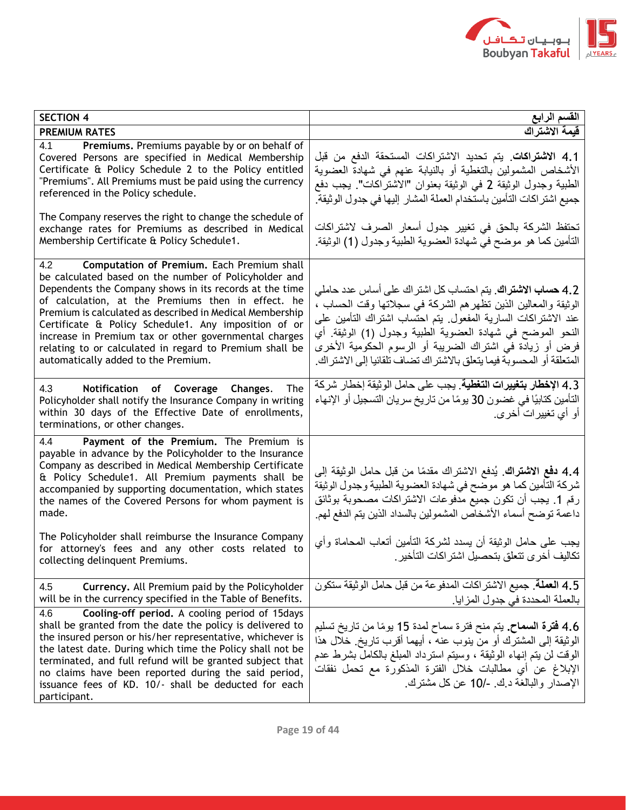

| <b>SECTION 4</b>                                                                                                                                                                                                                                                                                                                                                                                                                                                                                           | القسم الرابع                                                                                                                                                                                                                                                                                                                                                                                           |
|------------------------------------------------------------------------------------------------------------------------------------------------------------------------------------------------------------------------------------------------------------------------------------------------------------------------------------------------------------------------------------------------------------------------------------------------------------------------------------------------------------|--------------------------------------------------------------------------------------------------------------------------------------------------------------------------------------------------------------------------------------------------------------------------------------------------------------------------------------------------------------------------------------------------------|
| <b>PREMIUM RATES</b>                                                                                                                                                                                                                                                                                                                                                                                                                                                                                       | فيمة الاشتراك                                                                                                                                                                                                                                                                                                                                                                                          |
| Premiums. Premiums payable by or on behalf of<br>4.1<br>Covered Persons are specified in Medical Membership<br>Certificate & Policy Schedule 2 to the Policy entitled<br>"Premiums". All Premiums must be paid using the currency<br>referenced in the Policy schedule.<br>The Company reserves the right to change the schedule of                                                                                                                                                                        | 4.1 الاشتراكات. يتم تحديد الاشتراكات المستحقة الدفع من قبل<br>الأشخاص المشمولين بالتغطية أو بالنيابة عنهم في شهادة العضوية<br>الطبية وجدول الوثيقة 2 في الوثيقة بعنوان "الاشتراكات". يجب دفع<br>جميع اشتراكات التأمين باستخدام العملة المشار إليها في جدول الوثيقة.                                                                                                                                    |
| exchange rates for Premiums as described in Medical<br>Membership Certificate & Policy Schedule1.                                                                                                                                                                                                                                                                                                                                                                                                          | تحتفظ الشركة بالحق في تغيير جدول أسعار الصرف لاشتراكات<br>التأمين كما هو موضح في شهادة العضوية الطبية وجدول (1) الوثيقة.                                                                                                                                                                                                                                                                               |
| 4.2<br>Computation of Premium. Each Premium shall<br>be calculated based on the number of Policyholder and<br>Dependents the Company shows in its records at the time<br>of calculation, at the Premiums then in effect. he<br>Premium is calculated as described in Medical Membership<br>Certificate & Policy Schedule1. Any imposition of or<br>increase in Premium tax or other governmental charges<br>relating to or calculated in regard to Premium shall be<br>automatically added to the Premium. | 4.2 <b>حساب الاشتراك</b> . يتم احتساب كل اشتر اك على أساس عدد حاملي<br>الوثيقة والمعالين الذين تظهرهم الشركة في سجلاتها وقت الحساب ،<br>عند الاشتراكات السارية المفعول بتم احتساب اشتراك التأمين على<br>النحو الموضح في شهادة العضوية الطبية وجدول (1) الوثيقة أي<br>فرض أو زيادة في اشتراك الضريبة أو الرسوم الحكومية الأخرى<br>المتعلقة أو المحسوبة فيما يتعلق بالاشتر اك تضاف تلقائيا إلى الاشتر اك |
| 4.3<br>Notification of Coverage Changes.<br>The<br>Policyholder shall notify the Insurance Company in writing<br>within 30 days of the Effective Date of enrollments,<br>terminations, or other changes.                                                                                                                                                                                                                                                                                                   | 4.3 الإخطار بتغييرات التغطية. يجب على حامل الوثيقة إخطار شركة<br>التأمين كتابيًا في غضون 30 يومًا من تاريخ سريان التسجيل أو الإنهاء<br>أو أي تغييرات أخر ي <sub>.</sub>                                                                                                                                                                                                                                |
| Payment of the Premium. The Premium is<br>4.4<br>payable in advance by the Policyholder to the Insurance<br>Company as described in Medical Membership Certificate<br>& Policy Schedule1. All Premium payments shall be<br>accompanied by supporting documentation, which states<br>the names of the Covered Persons for whom payment is<br>made.                                                                                                                                                          | 4.4 دفع الاشتراك. يُدفع الاشتراك مقدمًا من قبل حامل الوثيقة إلى<br>شركة التأمين كما هو موضح في شهادة العضوية الطبية وجدول الوثيقة<br>رقم 1. يجب أن تكون جميع مدفوعات الاشتراكات مصحوبة بوثائق<br>داعمة توضح أسماء الأشخاص المشمولين بالسداد الذين يتم الدفع لهم                                                                                                                                        |
| The Policyholder shall reimburse the Insurance Company<br>for attorney's fees and any other costs related to<br>collecting delinquent Premiums.                                                                                                                                                                                                                                                                                                                                                            | يجب على حامل الوثيقة أن يسدد لشركة النامين أتعاب المحاماة وأي<br>تكاليف أخرى تتعلق بتحصيل اشتر اكات التأخير                                                                                                                                                                                                                                                                                            |
| Currency. All Premium paid by the Policyholder<br>4.5<br>will be in the currency specified in the Table of Benefits.                                                                                                                                                                                                                                                                                                                                                                                       | 4.5 العملة. جميع الاشتراكات المدفوعة من قبل حامل الوثيقة ستكون<br>بالعملة المحددة في جدول المزايا.                                                                                                                                                                                                                                                                                                     |
| Cooling-off period. A cooling period of 15days<br>4.6<br>shall be granted from the date the policy is delivered to<br>the insured person or his/her representative, whichever is<br>the latest date. During which time the Policy shall not be<br>terminated, and full refund will be granted subject that<br>no claims have been reported during the said period,<br>issuance fees of KD. 10/- shall be deducted for each<br>participant.                                                                 | 4.6 <b>فترة السماح.</b> يتم منح فترة سماح لمدة 15 يومًا من تاريخ تسليم<br>الوثيقة إلى المشترك أو من ينوب عنه ، أيهما أقرب تاريخ ِ خلال هذا<br>الوقت لن يتم إنهاء الوثيقة ، وسيتم استرداد المبلغ بالكامل بشرط عدم<br>الإبلاغ عن أي مطالبات خلال الفترة المذكورة مع تحمل نفقات<br>الإصدار والبالغة د ك -/10 عن كل مشترك                                                                                  |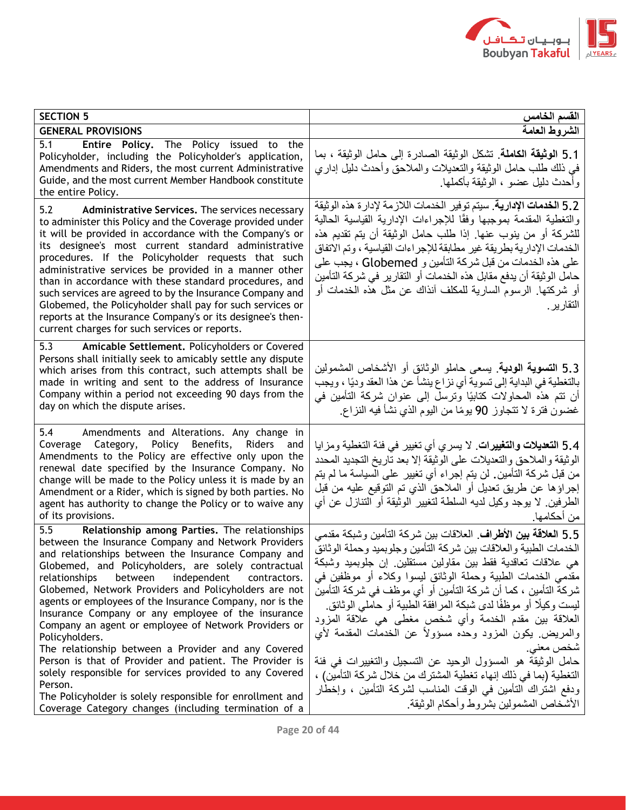

| <b>SECTION 5</b>                                                                                                                                                                                                                                                                                                                                                                                                                                                                                                                                                                                                                                                                                                                  | القسم الخامس                                                                                                                                                                                                                                                                                                                                                                                                                                                                                                                                                                                                                                                                                                                                    |
|-----------------------------------------------------------------------------------------------------------------------------------------------------------------------------------------------------------------------------------------------------------------------------------------------------------------------------------------------------------------------------------------------------------------------------------------------------------------------------------------------------------------------------------------------------------------------------------------------------------------------------------------------------------------------------------------------------------------------------------|-------------------------------------------------------------------------------------------------------------------------------------------------------------------------------------------------------------------------------------------------------------------------------------------------------------------------------------------------------------------------------------------------------------------------------------------------------------------------------------------------------------------------------------------------------------------------------------------------------------------------------------------------------------------------------------------------------------------------------------------------|
| <b>GENERAL PROVISIONS</b>                                                                                                                                                                                                                                                                                                                                                                                                                                                                                                                                                                                                                                                                                                         | الشروط العامة                                                                                                                                                                                                                                                                                                                                                                                                                                                                                                                                                                                                                                                                                                                                   |
| 5.1<br>Entire Policy. The Policy issued to the<br>Policyholder, including the Policyholder's application,<br>Amendments and Riders, the most current Administrative<br>Guide, and the most current Member Handbook constitute<br>the entire Policy.                                                                                                                                                                                                                                                                                                                                                                                                                                                                               | 5.1 ا <b>لوثيقة الكاملة</b> . تشكل الوثيقة الصادرة إلى حامل الوثيقة ، بما<br>في ذلك طلب حامل الوثيقة والتعديلات والملاحق وأحدث دليل إداري<br>وأحدث دليل عضو ، الوثيقة بأكملها                                                                                                                                                                                                                                                                                                                                                                                                                                                                                                                                                                   |
| 5.2<br>Administrative Services. The services necessary<br>to administer this Policy and the Coverage provided under<br>it will be provided in accordance with the Company's or<br>its designee's most current standard administrative<br>procedures. If the Policyholder requests that such<br>administrative services be provided in a manner other<br>than in accordance with these standard procedures, and<br>such services are agreed to by the Insurance Company and<br>Globemed, the Policyholder shall pay for such services or<br>reports at the Insurance Company's or its designee's then-<br>current charges for such services or reports.                                                                            | 5.2 ا <b>لخدمات الإدارية</b> . سيتم توفير الخدمات اللازمة لإدارة هذه الوثيقة<br>والتغطية المقدمة بموجبها وفقًا للإجراءات الإدارية القياسية الحالية<br>للشركة أو من ينوب عنها. إذا طلب حامل الوثيقة أن يتم تقديم هذه<br>الخدمات الإدارية بطريقة غير مطابقة للإجراءات القياسية ، وتم الاتفاق<br>على هذه الخدمات من قبل شركة التأمين و Globemed ، يجب على<br>حامل الوثيقة أن يدفع مقابل هذه الخدمات أو التقارير في شركة التأمين<br>أو شركتها. الرسوم السارية للمكلف آنذاك عن مثل هذه الخدمات أو<br>التقارير                                                                                                                                                                                                                                        |
| 5.3<br>Amicable Settlement. Policyholders or Covered<br>Persons shall initially seek to amicably settle any dispute<br>which arises from this contract, such attempts shall be<br>made in writing and sent to the address of Insurance<br>Company within a period not exceeding 90 days from the<br>day on which the dispute arises.                                                                                                                                                                                                                                                                                                                                                                                              | 5.3 ال <b>تسوية الودية</b> . يسعى حاملو الوثائق أو الأشخاص المشمولين<br>بالتغطية في البداية إلى تسوية أي نز اع ينشأ عن هذا العقد وديًا ، ويجب<br>أن نتم هذه المحاولات كتابيًا ونرسل إلى عنوان شركة التأمين في<br>غضون فترة لا نتجاوز 90 يومًا من اليوم الذي نشأ فيه النزاع.                                                                                                                                                                                                                                                                                                                                                                                                                                                                     |
| 5.4<br>Amendments and Alterations. Any change in<br>Coverage Category, Policy Benefits, Riders<br>and<br>Amendments to the Policy are effective only upon the<br>renewal date specified by the Insurance Company. No<br>change will be made to the Policy unless it is made by an<br>Amendment or a Rider, which is signed by both parties. No<br>agent has authority to change the Policy or to waive any<br>of its provisions.                                                                                                                                                                                                                                                                                                  | 5.4 ا <b>لتعديلات والتغييرات</b> . لا يسري أي تغيير في فئة التغطية ومزايا<br>الوثيقة والملاحق والتعديلات على الوثيقة إلا بعد تاريخ التجديد المحدد<br>من قبل شركة التأمين. لن يتم إجراء أي تغيير  على السياسة ما لم يتم<br>إجراؤها عن طريق تعديل أو الملاحق الذي تم التوقيع عليه من قبل<br>الطرفين. لا يوجد وكيل لديه السلطة لتغيير الوثيقة أو التنازل عن أي<br>من أحكامها.                                                                                                                                                                                                                                                                                                                                                                      |
| 5.5<br>Relationship among Parties. The relationships<br>between the Insurance Company and Network Providers<br>and relationships between the Insurance Company and<br>Globemed, and Policyholders, are solely contractual<br>between<br>independent<br>relationships<br>contractors.<br>Globemed, Network Providers and Policyholders are not<br>agents or employees of the Insurance Company, nor is the<br>Insurance Company or any employee of the insurance<br>Company an agent or employee of Network Providers or<br>Policyholders.<br>The relationship between a Provider and any Covered<br>Person is that of Provider and patient. The Provider is<br>solely responsible for services provided to any Covered<br>Person. | . 5.5 ا <b>لعلاقة بين الأطراف</b> . العلاقات بين شركة التأمين وشبكة مقدمي<br>الخدمات الطبية والعلاقات بين شركة التأمين وجلوبميد وحملة الوثائق<br>هي علاقات تعاقدية فقط بين مقاولين مستقلين إن جلوبميد وشبكة<br>مقدمي الخدمات الطبية وحملة الوثائق ليسوا وكلاء أو موظفين في<br>شركة التأمين ، كما أن شركة التأمين أو أي موظف في شركة التأمين<br>ليست وكيلًا أو موظفًا لدى شبكة المر افقة الطبية أو حاملي الوثائق<br>العلاقة بين مقدم الخدمة وأي شخص مغطى هي علاقة المزود<br>والمريض يكون المزود وحده مسؤولاً عن الخدمات المقدمة لأي<br>شخص معنى<br>حامل الوثيقة هو المسؤول الوحيد عن التسجيل والتغييرات في فئة<br>التغطية (بما في ذلك إنهاء تغطية المشترك من خلال شركة التأمين) ،<br>ودفع اشتراك التأمين في الوقت المناسب لشركة التأمين ، وإخطار |
| The Policyholder is solely responsible for enrollment and<br>Coverage Category changes (including termination of a                                                                                                                                                                                                                                                                                                                                                                                                                                                                                                                                                                                                                | الأشخاص المشمولين بشروط وأحكام الوثيقة                                                                                                                                                                                                                                                                                                                                                                                                                                                                                                                                                                                                                                                                                                          |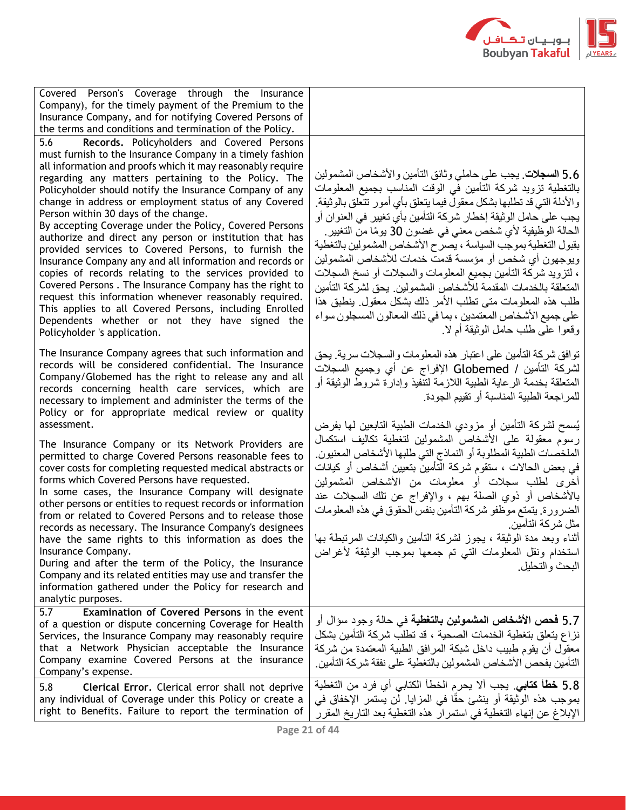

| Covered Person's Coverage through the Insurance<br>Company), for the timely payment of the Premium to the<br>Insurance Company, and for notifying Covered Persons of<br>the terms and conditions and termination of the Policy.                                                                                                                                                                                                                                                                                                                                                                                                                                                                                                                                                                                                                                                                                                                                       |                                                                                                                                                                                                                                                                                                                                                                                                                                                                                                                                                                                                                                                                                                                                                                              |
|-----------------------------------------------------------------------------------------------------------------------------------------------------------------------------------------------------------------------------------------------------------------------------------------------------------------------------------------------------------------------------------------------------------------------------------------------------------------------------------------------------------------------------------------------------------------------------------------------------------------------------------------------------------------------------------------------------------------------------------------------------------------------------------------------------------------------------------------------------------------------------------------------------------------------------------------------------------------------|------------------------------------------------------------------------------------------------------------------------------------------------------------------------------------------------------------------------------------------------------------------------------------------------------------------------------------------------------------------------------------------------------------------------------------------------------------------------------------------------------------------------------------------------------------------------------------------------------------------------------------------------------------------------------------------------------------------------------------------------------------------------------|
| 5.6<br>Records. Policyholders and Covered Persons<br>must furnish to the Insurance Company in a timely fashion<br>all information and proofs which it may reasonably require<br>regarding any matters pertaining to the Policy. The<br>Policyholder should notify the Insurance Company of any<br>change in address or employment status of any Covered<br>Person within 30 days of the change.<br>By accepting Coverage under the Policy, Covered Persons<br>authorize and direct any person or institution that has<br>provided services to Covered Persons, to furnish the<br>Insurance Company any and all information and records or<br>copies of records relating to the services provided to<br>Covered Persons. The Insurance Company has the right to<br>request this information whenever reasonably required.<br>This applies to all Covered Persons, including Enrolled<br>Dependents whether or not they have signed the<br>Policyholder 's application. | 5.6 ا <b>لسجلات</b> . يجب على حاملي وثائق التأمين والأشخاص المشمولين<br>بالتغطية تزويد شركة التأمين في الوقت المناسب بجميع المعلومات<br>والأدلة التي قد تطلبها بشكل معقول فيما يتعلق بأي أمور تتعلق بالوثيقة<br>يجب على حامل الوثيقة إخطار شركة التأمين بأي تغيير في العنوان أو<br>الحالة الوظيفية لأي شخص معنى في غضون 30 يومًا من التغيير ِ<br>بقبول التغطية بموجب السياسة ، يصرح الأشخاص المشمولين بالتغطية<br>ويوجهون أي شخص أو مؤسسة قدمت خدمات للأشخاص المشمولين<br>، لتزويد شركة التأمين بجميع المعلومات والسجلات أو نسخ السجلات<br>المتعلقة بالخدمات المقدمة للأشخاص المشمولين. يحق لشركة التأمين<br>طلب هذه المعلومات متى تطلب الأمر ذلك بشكل معقول بنطبق هذا<br>على جميع الأشخاص المعتمدين ، بما في ذلك المعالون المسجلون سواء<br>وقعوا على طلب حامل الوثيقة أم لا |
| The Insurance Company agrees that such information and<br>records will be considered confidential. The Insurance<br>Company/Globemed has the right to release any and all<br>records concerning health care services, which are<br>necessary to implement and administer the terms of the<br>Policy or for appropriate medical review or quality<br>assessment.                                                                                                                                                                                                                                                                                                                                                                                                                                                                                                                                                                                                       | توافق شركة التأمين على اعتبار هذه المعلومات والسجلات سرية. يحق<br>لشركة التأمين / Globemed الإفراج عن أي وجميع السجلات<br>المتعلقة بخدمة الرعاية الطبية اللازمة لتنفيذ وإدارة شروط الوثيقة أو<br>للمراجعة الطبية المناسبة أو تقييم الجودة<br>يُسمح لشركة التأمين أو مزودي الخدمات الطبية التابعين لمها بفرض                                                                                                                                                                                                                                                                                                                                                                                                                                                                  |
| The Insurance Company or its Network Providers are<br>permitted to charge Covered Persons reasonable fees to<br>cover costs for completing requested medical abstracts or<br>forms which Covered Persons have requested.<br>In some cases, the Insurance Company will designate<br>other persons or entities to request records or information<br>from or related to Covered Persons and to release those<br>records as necessary. The Insurance Company's designees<br>have the same rights to this information as does the<br>Insurance Company.<br>During and after the term of the Policy, the Insurance<br>Company and its related entities may use and transfer the<br>information gathered under the Policy for research and<br>analytic purposes.                                                                                                                                                                                                             | رسوم معقولة على الأشخاص المشمولين لتغطية تكاليف استكمال<br>الملخصات الطبية المطلوبة أو النماذج التي طلبها الأشخاص المعنيون.<br>في بعض الحالات ، ستقوم شركة التأمين بتعيين أشخاص أو كيانات<br>أخرى لطلب سجلات أو معلومات من الأشخاص المشمولين<br>بالأشخاص أو ذوي الصلة بهم ، والإفراج عن تلك السجلات عند<br>الضرورة. يتمتع موظفو شركة التأمين بنفس الحقوق في هذه المعلومات<br>مثل شر كة التأمين<br>أثناء وبعد مدة الوثيقة ، يجوز لشركة التأمين والكيانات المرتبطة بها<br>استخدام ونقل المعلومات التبي تم جمعها بموجب الوثيقة لأغراض<br>البحث و التحليل                                                                                                                                                                                                                        |
| Examination of Covered Persons in the event<br>5.7<br>of a question or dispute concerning Coverage for Health<br>Services, the Insurance Company may reasonably require<br>that a Network Physician acceptable the Insurance<br>Company examine Covered Persons at the insurance<br>Company's expense.                                                                                                                                                                                                                                                                                                                                                                                                                                                                                                                                                                                                                                                                | 5.7 <b>فحص الأشخاص المشمولين بالنغطية</b> في حالة وجود سؤال أو<br>نزاع يتعلَّق بتغطية الخدمات الصحية ، قد تطلب شركة التأمين بشكل<br>معقول أن يقوم طبيب داخل شبكة المرافق الطبية المعتمدة من شركة<br>التأمين بفحص الأشخاص المشمولين بالتغطية على نفقة شركة التأمين                                                                                                                                                                                                                                                                                                                                                                                                                                                                                                            |
| Clerical Error. Clerical error shall not deprive<br>5.8<br>any individual of Coverage under this Policy or create a<br>right to Benefits. Failure to report the termination of                                                                                                                                                                                                                                                                                                                                                                                                                                                                                                                                                                                                                                                                                                                                                                                        | 5.8 فطأ كتابي. يجب ألا يحرم الخطأ الكتابي أي فرد من التغطية<br>بموجب هذه الوثيقة أو ينشئ حقًا في المزايا. لن يستمر الإخفاق في<br>الإبلاغ عن إنهاء التغطية في استمرار هذه التغطية بعد التاريخ المقرر                                                                                                                                                                                                                                                                                                                                                                                                                                                                                                                                                                          |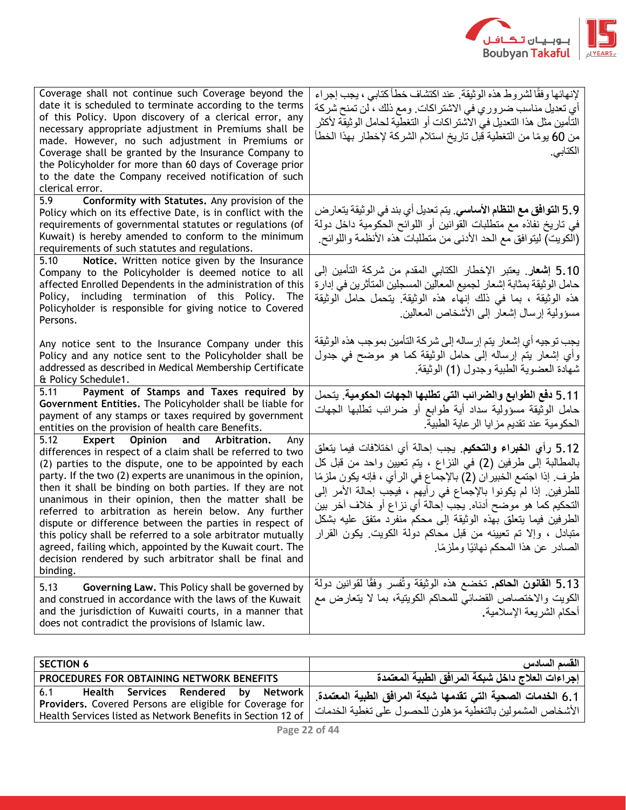

| Coverage shall not continue such Coverage beyond the<br>date it is scheduled to terminate according to the terms<br>of this Policy. Upon discovery of a clerical error, any<br>necessary appropriate adjustment in Premiums shall be<br>made. However, no such adjustment in Premiums or<br>Coverage shall be granted by the Insurance Company to<br>the Policyholder for more than 60 days of Coverage prior<br>to the date the Company received notification of such<br>clerical error.                                                                                                                                                                                                      | لإنهائها وفقًا لشروط هذه الوثيقة. عند اكتشاف خطأ كتابي ، يجب إجراء<br>أي تعديل مناسب ضروري في الاشتراكات. ومع ذلك ، لن تمنح شركة<br>التأمين مثل هذا التعديل في الاشتر اكات أو التغطية لحامل الوثيقة لأكثر<br>من 60 يومًا من التغطية قبل تاريخ استلام الشركة لإخطار بهذا الخطأ<br>الكتابي                                                                                                                                                                                                                                  |
|------------------------------------------------------------------------------------------------------------------------------------------------------------------------------------------------------------------------------------------------------------------------------------------------------------------------------------------------------------------------------------------------------------------------------------------------------------------------------------------------------------------------------------------------------------------------------------------------------------------------------------------------------------------------------------------------|---------------------------------------------------------------------------------------------------------------------------------------------------------------------------------------------------------------------------------------------------------------------------------------------------------------------------------------------------------------------------------------------------------------------------------------------------------------------------------------------------------------------------|
| Conformity with Statutes. Any provision of the<br>5.9<br>Policy which on its effective Date, is in conflict with the<br>requirements of governmental statutes or regulations (of<br>Kuwait) is hereby amended to conform to the minimum<br>requirements of such statutes and regulations.                                                                                                                                                                                                                                                                                                                                                                                                      | 5.9 ا <b>لتوافق مع النظام الأساسي</b> . يتم تعديل أي بند في الوثيقة يتعار ض<br>في تاريخ نفاذه مع متطلبات القوانين أو اللوائح الحكومية داخل دولة<br>(الْكويتِ) ليتوافق مع الحد الأدنى من متطلبات هذه الأنظمة واللوائح                                                                                                                                                                                                                                                                                                      |
| Notice. Written notice given by the Insurance<br>5.10<br>Company to the Policyholder is deemed notice to all<br>affected Enrolled Dependents in the administration of this<br>Policy, including termination of this Policy. The<br>Policyholder is responsible for giving notice to Covered<br>Persons.                                                                                                                                                                                                                                                                                                                                                                                        | 5.10 إ <b>شعار</b> . يعتبر الإخطار الكتابي المقدم من شركة التأمين إلى<br>حامل الوثيقة بمثابة إشعار لجميع المعالين المسجلين المتأثرين في إدارة<br>هذه الوثيقة ، بما في ذلك إنهاء هذه الوثيقة يتحمل حامل الوثيقة<br>مسؤولية إرسال إشعار إلى الأشخاص المعالين                                                                                                                                                                                                                                                                |
| Any notice sent to the Insurance Company under this<br>Policy and any notice sent to the Policyholder shall be<br>addressed as described in Medical Membership Certificate<br>& Policy Schedule1.                                                                                                                                                                                                                                                                                                                                                                                                                                                                                              | يجب توجيه أي إشعار يتم إرساله إلى شركة التأمين بموجب هذه الوثيقة<br>وأي إشعار بنم إرساله إلى حامل الوثيقة كما هو موضح في جدول<br>شهادة العضوية الطبية وجدول (1) الوثيقة.                                                                                                                                                                                                                                                                                                                                                  |
| Payment of Stamps and Taxes required by<br>5.11<br>Government Entities. The Policyholder shall be liable for<br>payment of any stamps or taxes required by government<br>entities on the provision of health care Benefits.                                                                                                                                                                                                                                                                                                                                                                                                                                                                    | 5.11 دفع الطوابع والضرائب التي تطلبها الجهات الحكومية. يتحمل<br>حامل الوثيقة مسؤولية سداد أية طوابع أو ضرائب تطلبها الجهات<br>الحكومية عند تقديم مزايا الرعاية الطبية                                                                                                                                                                                                                                                                                                                                                     |
| $\overline{5.12}$<br>Expert Opinion and Arbitration.<br>Any<br>differences in respect of a claim shall be referred to two<br>(2) parties to the dispute, one to be appointed by each<br>party. If the two (2) experts are unanimous in the opinion,<br>then it shall be binding on both parties. If they are not<br>unanimous in their opinion, then the matter shall be<br>referred to arbitration as herein below. Any further<br>dispute or difference between the parties in respect of<br>this policy shall be referred to a sole arbitrator mutually<br>agreed, failing which, appointed by the Kuwait court. The<br>decision rendered by such arbitrator shall be final and<br>binding. | 5.12 رأي ا <b>لخبراء والتحكيم</b> . يجب إحالة أي اختلافات فيما يتعلق<br>بالمطالبة إلى طرفين (2) في النزاع ، يتم تعيين واحد من قبل كل<br>طرف ۖ إذا اجتمع الخبير ان (2) بالإجماع في الرأي ، فإنه يكون ملزمًا<br>للطرفين. إذا لم يكونوا بالإجماع في رأيهم ، فيجب إحالة الأمر إلى<br>التحكيم كما هو موضح أدناه. يجب إحالة أي نزاع أو خلاف آخر بين<br>الطرفين فيما يتعلق بهذه الوثيقة إلى محكم منفرد متفق عليه بشكل<br>متبادل ، وإلا تم تعيينه من قبل محاكم دولة الكويت ِ يكون القرار<br>الصادر عن هذا المحكم نـهائيًا وملزمًا |
| 5.13<br>Governing Law. This Policy shall be governed by<br>and construed in accordance with the laws of the Kuwait<br>and the jurisdiction of Kuwaiti courts, in a manner that<br>does not contradict the provisions of Islamic law.                                                                                                                                                                                                                                                                                                                                                                                                                                                           | 5.13 القانون الحاكم تخضع هذه الوثيقة وتُفسر وفقًا لقوانين دولة<br>الكويت والاختصاص القضائي للمحاكم الكويتية، بما لا يتعارض مع<br>أحكام الشريعة الإسلامية.                                                                                                                                                                                                                                                                                                                                                                 |

| <b>SECTION 6</b>                                                                                       | القسم السادس                                                                                                              |
|--------------------------------------------------------------------------------------------------------|---------------------------------------------------------------------------------------------------------------------------|
| PROCEDURES FOR OBTAINING NETWORK BENEFITS                                                              | إجراءات العلاج داخل شبكة المرافق الطبية المعتمدة                                                                          |
| Health Services Rendered by Network<br>6.1<br>Providers. Covered Persons are eligible for Coverage for | 6.1 الخدمات الصحية التي تقدمها شبكة المرافق الطبية المعتمدة<br>الأشخاص المشمولين بالتغطية مؤهلون للحصول على تغطية الخدمات |
| Health Services listed as Network Benefits in Section 12 of                                            |                                                                                                                           |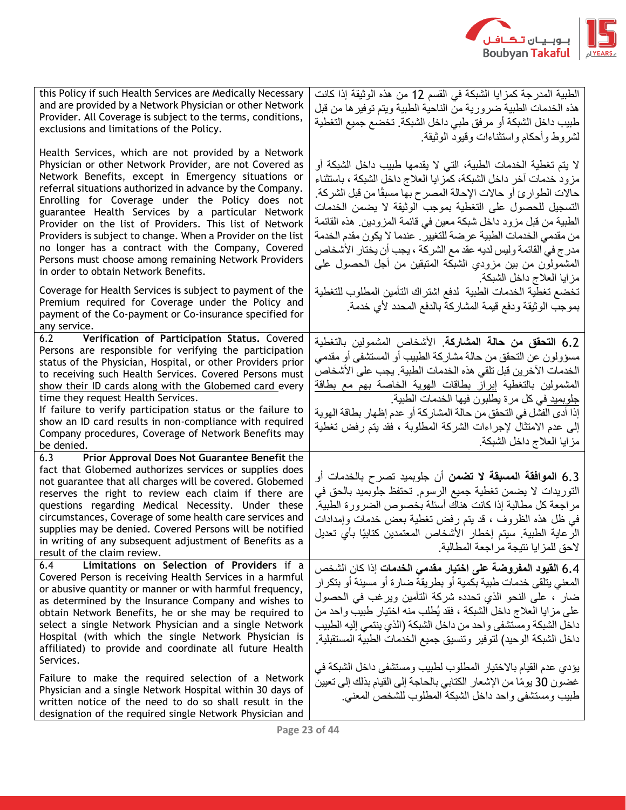

| this Policy if such Health Services are Medically Necessary<br>and are provided by a Network Physician or other Network<br>Provider. All Coverage is subject to the terms, conditions,<br>exclusions and limitations of the Policy.<br>Health Services, which are not provided by a Network                                                                                                                                                                                                                                                                           | الطبية المدرجة كمزايا الشبكة في القسم 12 من هذه الوثيقة إذا كانت<br>هذه الخدمات الطبية ضرورية من الناحية الطبية ويتم توفير ها من قبل<br>طبيب داخل الشبكة أو مرفق طبي داخل الشبكة. تخضع جميع التغطية<br>لشروط وأحكام واستثناءات وقيود الوثيقة                                                                                                                                                                                                                                                                                                                            |
|-----------------------------------------------------------------------------------------------------------------------------------------------------------------------------------------------------------------------------------------------------------------------------------------------------------------------------------------------------------------------------------------------------------------------------------------------------------------------------------------------------------------------------------------------------------------------|-------------------------------------------------------------------------------------------------------------------------------------------------------------------------------------------------------------------------------------------------------------------------------------------------------------------------------------------------------------------------------------------------------------------------------------------------------------------------------------------------------------------------------------------------------------------------|
| Physician or other Network Provider, are not Covered as<br>Network Benefits, except in Emergency situations or<br>referral situations authorized in advance by the Company.<br>Enrolling for Coverage under the Policy does not<br>guarantee Health Services by a particular Network<br>Provider on the list of Providers. This list of Network<br>Providers is subject to change. When a Provider on the list<br>no longer has a contract with the Company, Covered<br>Persons must choose among remaining Network Providers<br>in order to obtain Network Benefits. | لا يتم تغطية الخدمات الطبية، التي لا يقدمها طبيب داخل الشبكة أو<br>مزود خدمات أخر داخل الشبكة، كمز ايا العلاج داخل الشبكة ، باستثناء<br>حالات الطوارئ أو حالات الإحالة المصرح بها مسبقًا من قبل الشركة.<br>التسجيل للحصول على التغطية بموجب الوثيقة لا يضمن الخدمات<br>الطبية من قبل مزود داخل شبكة معين في قائمة المزودين ٍ هذه القائمة<br>من مقدمي الخدمات الطبية عرضة للتغيير . عندما لا يكون مقدم الخدمة<br>مدر ج في القائمة وليس لديه عقد مع الشركة ، يجب أن يختار الأشخاص<br>المشمولون من بين مزودي الشبكة المتبقين من أجل الحصول على<br>مزايا العلاج داخل الشبكة |
| Coverage for Health Services is subject to payment of the<br>Premium required for Coverage under the Policy and<br>payment of the Co-payment or Co-insurance specified for<br>any service.                                                                                                                                                                                                                                                                                                                                                                            | تخضع تغطية الخدمات الطبية لدفع اشتراك التأمين المطلوب للتغطية<br>بموجب الوثيقة ودفع قيمة المشاركة بالدفع المحدد لأي خدمة                                                                                                                                                                                                                                                                                                                                                                                                                                                |
| 6.2<br>Verification of Participation Status. Covered<br>Persons are responsible for verifying the participation<br>status of the Physician, Hospital, or other Providers prior<br>to receiving such Health Services. Covered Persons must<br>show their ID cards along with the Globemed card every<br>time they request Health Services.<br>If failure to verify participation status or the failure to<br>show an ID card results in non-compliance with required<br>Company procedures, Coverage of Network Benefits may<br>be denied.                             | 6.2 ا <b>لتحقق من حالة المشاركة</b> . الأشخاص المشمولين بالتغطية<br>مسؤولون عن التحقق من حالة مشاركة الطبيب أو المستشفى أو مقدمي<br>الخدمات الآخرين قبل تلقى هذه الخدمات الطبية. يجب على الأشخاص<br>المشمولين بالتغطية إبراز بطاقات الهوية الخاصة بهم مع بطاقة<br>جلوبميد في كل مرة يطلبون فيها الخدمات الطبية<br>إذا أدى الفشل في التحقق من حالة المشاركة أو عدم إظهار بطاقة الهوية<br>إلى عدم الامتثال لإجراءات الشركة المطلوبة ، فقد يتم رفض تغطية<br>مزايا العلاج داخل الشبكة                                                                                       |
| Prior Approval Does Not Guarantee Benefit the<br>6.3<br>fact that Globemed authorizes services or supplies does<br>not guarantee that all charges will be covered. Globemed<br>reserves the right to review each claim if there are<br>questions regarding Medical Necessity. Under these<br>circumstances, Coverage of some health care services and<br>supplies may be denied. Covered Persons will be notified<br>in writing of any subsequent adjustment of Benefits as a<br>result of the claim review.                                                          | 6.3 ا <b>لموافقة المسبقة لا تضمن</b> أن جلوبميد تصرح بالخدمات أو<br>التوريدات لا يضمن تغطية جميع الرسوم. تحتفظ جلوبميد بالحق في<br>مراجعة كل مطالبة إذا كانت هناك أسئلة بخصوص الضرورة الطبية<br>في ظل هذه الظروف ، قد يتم رفض تغطية بعض خدمات وإمدادات<br>الرعاية الطبية. سيتم إخطار الأشخاص المعتمدين كتابيًا بأي تعديل<br>لاحق للمز ايا نتيجة مر اجعة المطالبة.                                                                                                                                                                                                       |
| Limitations on Selection of Providers if a<br>6.4<br>Covered Person is receiving Health Services in a harmful<br>or abusive quantity or manner or with harmful frequency,<br>as determined by the Insurance Company and wishes to<br>obtain Network Benefits, he or she may be required to<br>select a single Network Physician and a single Network<br>Hospital (with which the single Network Physician is<br>affiliated) to provide and coordinate all future Health<br>Services.                                                                                  | 6.4 القيود المفروضة على اختيار مقدمى الخدمات إذا كان الشخص<br>المعنى يتلقى خدمات طبية بكمية أو بطريقة ضارة أو مسيئة أو بتكر ار<br>ضار ، على النحو الذي نحدده شركة التأمين ويرغب في الحصول<br>على مزايا العلاج داخل الشبكة ، فقد يُطلب منه اختيار طبيب واحد من<br>داخل الشبكة ومستشفى واحد من داخل الشبكة (الذي ينتمي إليه الطبيب<br>داخل الشبكة الوحيد) لتوفير وتنسيق جميع الخدمات الطبية المستقبلية                                                                                                                                                                    |
| Failure to make the required selection of a Network<br>Physician and a single Network Hospital within 30 days of<br>written notice of the need to do so shall result in the<br>designation of the required single Network Physician and                                                                                                                                                                                                                                                                                                                               | يؤدي عدم القيام بالاختيار المطلوب لطبيب ومستشفى داخل الشبكة في<br>غضون 30 يومًا من الإشعار الكتابي بالحاجة إلى القيام بذلك إلى تعيين<br>طبيب ومستشفى واحد داخل الشبكة المطلوب للشخص المعنى                                                                                                                                                                                                                                                                                                                                                                              |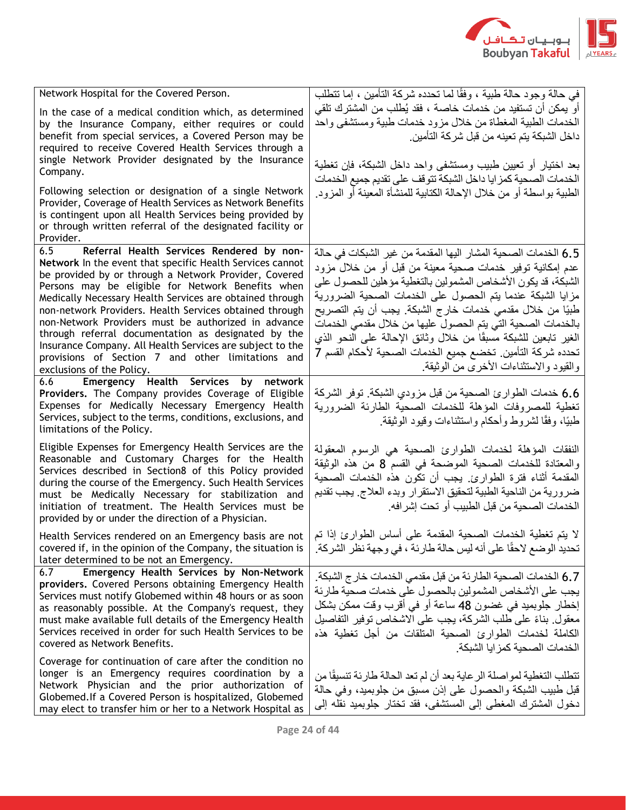

| Network Hospital for the Covered Person.                                                                                                                                                                                                                                                                                                                                                                                                                                                                                                                                                                        | في حالة وجود حالة طبية ، وفقًا لما تحدده شركة التأمين ، إما تتطلب                                                                                                                                                                                                                                                                                                                                                                                                                                                                                                  |
|-----------------------------------------------------------------------------------------------------------------------------------------------------------------------------------------------------------------------------------------------------------------------------------------------------------------------------------------------------------------------------------------------------------------------------------------------------------------------------------------------------------------------------------------------------------------------------------------------------------------|--------------------------------------------------------------------------------------------------------------------------------------------------------------------------------------------------------------------------------------------------------------------------------------------------------------------------------------------------------------------------------------------------------------------------------------------------------------------------------------------------------------------------------------------------------------------|
| In the case of a medical condition which, as determined<br>by the Insurance Company, either requires or could<br>benefit from special services, a Covered Person may be<br>required to receive Covered Health Services through a<br>single Network Provider designated by the Insurance<br>Company.                                                                                                                                                                                                                                                                                                             | أو يمكن أن تستفيد من خدمات خاصـة ، فقد يُطلب من المشترك تلقي<br>الخدمات الطبية المغطاة من خلال مزود خدمات طبية ومستشفى واحد<br>داخل الشبكة يتم تعينه من قبل شركة التأمين.<br>بعد اختيار أو تعيين طبيب ومستشفى واحد داخل الشبكة، فإن تغطية<br>الخدمات الصحية كمزايا داخل الشبكة تتوقف على تقديم جميع الخدمات                                                                                                                                                                                                                                                        |
| Following selection or designation of a single Network<br>Provider, Coverage of Health Services as Network Benefits<br>is contingent upon all Health Services being provided by<br>or through written referral of the designated facility or<br>Provider.                                                                                                                                                                                                                                                                                                                                                       | الطبية بواسطة أو من خلال الإحالة الكتابية للمنشأة المعينة أو المزود                                                                                                                                                                                                                                                                                                                                                                                                                                                                                                |
| Referral Health Services Rendered by non-<br>6.5<br>Network In the event that specific Health Services cannot<br>be provided by or through a Network Provider, Covered<br>Persons may be eligible for Network Benefits when<br>Medically Necessary Health Services are obtained through<br>non-network Providers. Health Services obtained through<br>non-Network Providers must be authorized in advance<br>through referral documentation as designated by the<br>Insurance Company. All Health Services are subject to the<br>provisions of Section 7 and other limitations and<br>exclusions of the Policy. | 6.5 الخدمات الصحية المشار اليها المقدمة من غير الشبكات في حالة<br>عدم إمكانية توفير خدمات صحية معينة من قبل أو من خلال مزود<br>الشبكة، قد يكون الأشخاص المشمولين بالتغطية مؤ هلين للحصول على<br>مزايا الشبكة عندما يتم الحصول على الخدمات الصحية الضرورية<br>طبيًا من خلال مقدمي خدمات خارج الشبكة. يجب أن يتم التصريح<br>بالخدمات الصحية التي يتم الحصول عليها من خلال مقدمي الخدمات<br>الغير تابعين للشبكة مسبقًا من خلال وثائق الإحالة على النحو الذي<br>تحدده شركة التأمين. تخضع جميع الخدمات الصحية لأحكام القسم 7<br>والقيود والاستثناءات الأخرى من الوثيقة. |
| 6.6 Emergency Health Services by network<br>Providers. The Company provides Coverage of Eligible<br>Expenses for Medically Necessary Emergency Health<br>Services, subject to the terms, conditions, exclusions, and<br>limitations of the Policy.                                                                                                                                                                                                                                                                                                                                                              | 6.6 خدمات الطوارئ الصحية من قبل مزودي الشبكة. توفر الشركة<br>تغطية للمصروفات المؤهلة للخدمات الصحية الطارئة الضرورية<br>طبيًا، وفقًا لشروط وأحكام واستثناءات وقيود الوثيقة.                                                                                                                                                                                                                                                                                                                                                                                        |
| Eligible Expenses for Emergency Health Services are the<br>Reasonable and Customary Charges for the Health<br>Services described in Section8 of this Policy provided<br>during the course of the Emergency. Such Health Services<br>must be Medically Necessary for stabilization and<br>initiation of treatment. The Health Services must be<br>provided by or under the direction of a Physician.                                                                                                                                                                                                             | النفقات المؤهلة لخدمات الطوارئ الصحية هي الرسوم المعقولة<br>والمعتادة للخدمات الصحية الموضحة في القسم 8 من هذه الوثيقة<br>المقدمة أثناء فترة الطوارئ يجب أن تكون هذه الخدمات الصحية<br>ضرورية من الناحية الطبية لتحقيق الاستقرار وبدء العلاج يجب تقديم<br>الخدمات الصحية من قبل الطبيب أو تحت إشرافه.                                                                                                                                                                                                                                                              |
| Health Services rendered on an Emergency basis are not<br>covered if, in the opinion of the Company, the situation is<br>later determined to be not an Emergency.                                                                                                                                                                                                                                                                                                                                                                                                                                               | لا يتم تغطية الخدمات الصحية المقدمة على أساس الطوارئ إذا تم<br>تحديد الوضع لاحقًا على أنه ليس حالة طارئة ، في وجهة نظر الشركة ـ                                                                                                                                                                                                                                                                                                                                                                                                                                    |
| Emergency Health Services by Non-Network<br>6.7<br>providers. Covered Persons obtaining Emergency Health<br>Services must notify Globemed within 48 hours or as soon<br>as reasonably possible. At the Company's request, they<br>must make available full details of the Emergency Health<br>Services received in order for such Health Services to be<br>covered as Network Benefits.                                                                                                                                                                                                                         | 6.7 الخدمات الصحية الطارئة من قبل مقدمي الخدمات خار ج الشبكة.<br>يجب على الأشخاص المشمولين بالحصول على خدمات صحية طارئة<br>إخطار جلوبميد في غضون 48 ساعة أو في أقرب وقت ممكن بشكل<br>معقول. بناءً على طلب الشركة، يجب على الاشخاص توفير التفاصيل<br>الكاملة لخدمات الطوارئ الصحية المتلقات من أجل تغطية هذه<br>الخدمات الصحبة كمز ابا الشبكة                                                                                                                                                                                                                       |
| Coverage for continuation of care after the condition no<br>longer is an Emergency requires coordination by a<br>Network Physician and the prior authorization of<br>Globemed. If a Covered Person is hospitalized, Globemed<br>may elect to transfer him or her to a Network Hospital as                                                                                                                                                                                                                                                                                                                       | تتطلب التغطية لمواصلة الر عاية بعد أن لم تعد الحالة طارئة تنسيقًا من<br>قبل طبيب الشبكة والحصول على إذن مسبق من جلوبميد، وفي حالة<br>دخول المشترك المغطي إلى المستشفى، فقد تختار جلوبميد نقله إلى                                                                                                                                                                                                                                                                                                                                                                  |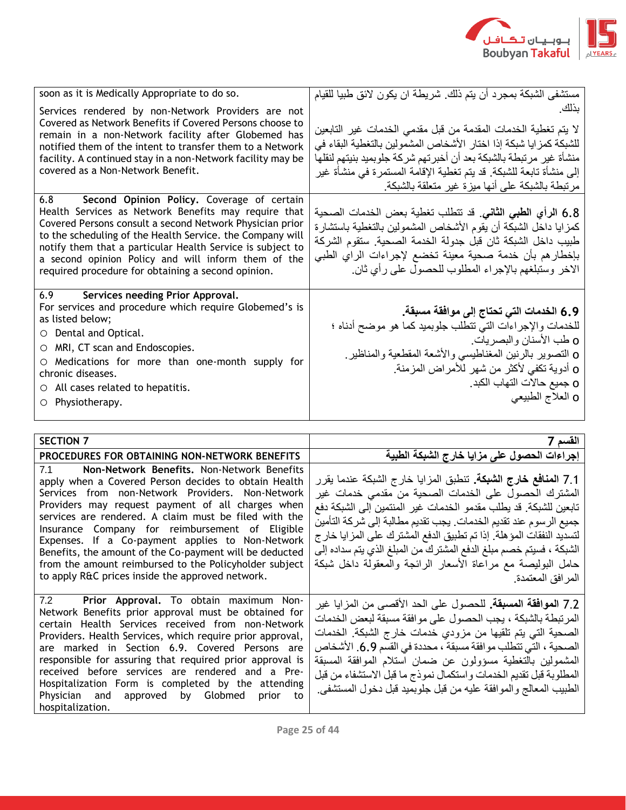

| soon as it is Medically Appropriate to do so.                                                                                                                                                                                                                                                                                                                                                              | مستشفى الشبكة بمجرد أن يتم ذلك. شريطة ان يكون لائق طبيا للقيام                                                                                                                                                                                                                                                                               |
|------------------------------------------------------------------------------------------------------------------------------------------------------------------------------------------------------------------------------------------------------------------------------------------------------------------------------------------------------------------------------------------------------------|----------------------------------------------------------------------------------------------------------------------------------------------------------------------------------------------------------------------------------------------------------------------------------------------------------------------------------------------|
| Services rendered by non-Network Providers are not<br>Covered as Network Benefits if Covered Persons choose to<br>remain in a non-Network facility after Globemed has<br>notified them of the intent to transfer them to a Network<br>facility. A continued stay in a non-Network facility may be<br>covered as a Non-Network Benefit.                                                                     | بذلك<br>لا يتم تغطية الخدمات المقدمة من قبل مقدمي الخدمات غير التابعين<br>للشبكة كمز ايا شبكة إذا اختار الأشخاص المشمولين بالتغطية البقاء في<br>منشأة غير مرتبطة بالشبكة بعد أن أخبرتهم شركة جلوبميد بنيتهم لنقلها<br>إلى منشأة تابعة للشبكة ٍ قد يتم تغطية الإقامة المستمرة في منشأة غير<br>مرتبطة بالشبكة على أنها ميزة غير متعلقة بالشبكة |
| 6.8 Second Opinion Policy. Coverage of certain<br>Health Services as Network Benefits may require that<br>Covered Persons consult a second Network Physician prior<br>to the scheduling of the Health Service, the Company will<br>notify them that a particular Health Service is subject to<br>a second opinion Policy and will inform them of the<br>required procedure for obtaining a second opinion. | 6.8 الرأي الطبي الثاني. قد تتطلب تغطية بعض الخدمات الصحية<br>كمزايا داخل الشبكة أن يقوم الأشخاص المشمولين بالتغطية باستشارة<br>طبيب داخل الشبكة ثان قبل جدولة الخدمة الصحية. ستقوم الشركة<br>بإخطارهم بأن خدمة صحية معينة تخضع لإجراءات الراي الطبي<br>الاخر وستبلغهم بالإجراء المطلوب للحصول على رأي ثان.                                   |
| 6.9 Services needing Prior Approval.<br>For services and procedure which require Globemed's is<br>as listed below;<br>$\circ$ Dental and Optical.<br>$\circ$ MRI, CT scan and Endoscopies.<br>O Medications for more than one-month supply for<br>chronic diseases.<br>$\circ$ All cases related to hepatitis.<br>O Physiotherapy.                                                                         | 6.9 الخدمات التي تحتاج إلى موافقة مسبقة.<br>للخدمات والإجراءات التبي نتطلب جلوبميد كما هو موضح أدناه ؛<br>0 طب الأسنان والبصريات.<br>0 التصوير بالرنين المغناطيسي والأشعة المقطعية والمناظير<br>0 أدوية تكفي لأكثر من شهر للأمراض المزمنة.<br>O جميع حالات التهاب الكبد .<br>0 العلاج الطبيعي                                                |

| SECTION 7                                                                                                                                                                                                                                                                                                                                                                                                                                                                                                                                                | القسم 7                                                                                                                                                                                                                                                                                                                                                                                                                                                                                                |
|----------------------------------------------------------------------------------------------------------------------------------------------------------------------------------------------------------------------------------------------------------------------------------------------------------------------------------------------------------------------------------------------------------------------------------------------------------------------------------------------------------------------------------------------------------|--------------------------------------------------------------------------------------------------------------------------------------------------------------------------------------------------------------------------------------------------------------------------------------------------------------------------------------------------------------------------------------------------------------------------------------------------------------------------------------------------------|
| PROCEDURES FOR OBTAINING NON-NETWORK BENEFITS                                                                                                                                                                                                                                                                                                                                                                                                                                                                                                            | إجراءات الحصول على مزايا خارج الشبكة الطبية                                                                                                                                                                                                                                                                                                                                                                                                                                                            |
| 7.1 Non-Network Benefits. Non-Network Benefits<br>apply when a Covered Person decides to obtain Health<br>Services from non-Network Providers. Non-Network<br>Providers may request payment of all charges when<br>services are rendered. A claim must be filed with the<br>Insurance Company for reimbursement of Eligible<br>Expenses. If a Co-payment applies to Non-Network<br>Benefits, the amount of the Co-payment will be deducted<br>from the amount reimbursed to the Policyholder subject<br>to apply R&C prices inside the approved network. | 7.1 ا <b>لمنافع خارج الشبكة.</b> تنطبق المزايا خارج الشبكة عندما يقرر<br>المشترك الحصول على الخدمات الصحية من مقدمي خدمات غير<br>تابعين للشبكة. قد يطلب مقدمو الخدمات غير المنتمين إلى الشبكة دفع<br>جميع الرسوم عند تقديم الخدمات. يجب تقديم مطالبة إلى شركة التأمين<br>لتسديد النفقات المؤهلة. إذا تم تطبيق الدفع المشترك على المزايا خار ج<br>الشبكة ، فسيتم خصم مبلغ الدفع المشترك من المبلغ الذي يتم سداده إلى<br>حامل البوليصة مع مراعاة الأسعار الرائجة والمعقولة داخل شبكة<br>المرافق المعتمدة |
| 7.2 Prior Approval. To obtain maximum Non-<br>Network Benefits prior approval must be obtained for<br>certain Health Services received from non-Network<br>Providers. Health Services, which require prior approval,<br>are marked in Section 6.9. Covered Persons are<br>responsible for assuring that required prior approval is<br>received before services are rendered and a Pre-<br>Hospitalization Form is completed by the attending<br>Physician and approved by Globmed prior to<br>hospitalization.                                           | 7.2 ا <b>لموافقة المسبقة.</b> للحصول على الحد الأقصـي من المزايا غير<br>المرتبطة بالشبكة ، يجب الحصول على موافقة مسبقة لبعض الخدمات<br>الصحية التي يتم تلقيها من مزودي خدمات خارج الشبكة الخدمات<br>الصحية ، التي تتطلب موافقة مسبقة ، محددة في القسم 6.9. الأشخاص<br>المشمولين بالتغطية مسؤولون عن ضمان استلام الموافقة المسبقة<br>المطلوبة قبل تقديم الخدمات واستكمال نموذج ما قبل الاستشفاء من قبل<br>الطبيب المعالج والموافقة عليه من قبل جلوبميد قبل دخول المستشفى                                |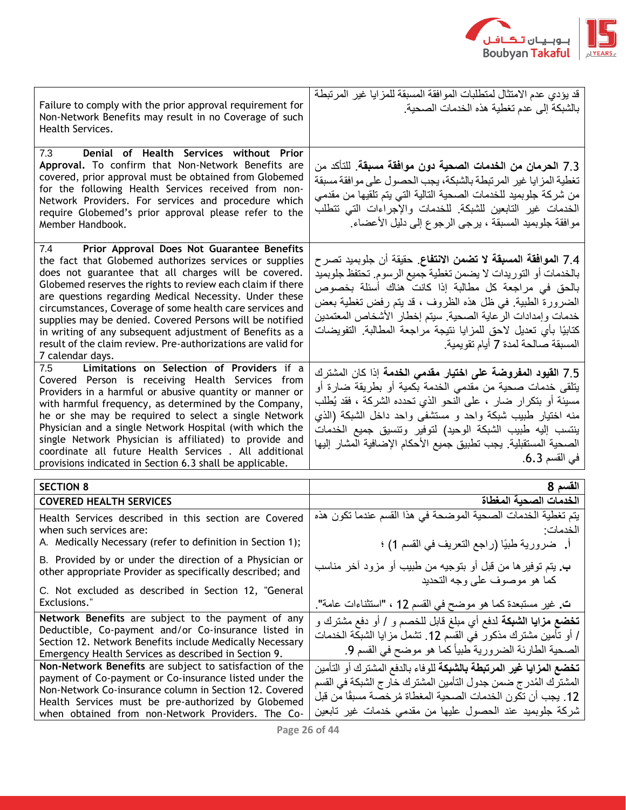

| Failure to comply with the prior approval requirement for<br>Non-Network Benefits may result in no Coverage of such<br>Health Services.                                                                                                                                                                                                                                                                                                                                                                                                                             | قد يؤدي عدم الامتثال لمتطلبات الموافقة المسبقة للمزايا غير المرتبطة<br>بالشبكة إلى عدم تغطية هذه الخدمات الصحية                                                                                                                                                                                                                                                                                                                     |
|---------------------------------------------------------------------------------------------------------------------------------------------------------------------------------------------------------------------------------------------------------------------------------------------------------------------------------------------------------------------------------------------------------------------------------------------------------------------------------------------------------------------------------------------------------------------|-------------------------------------------------------------------------------------------------------------------------------------------------------------------------------------------------------------------------------------------------------------------------------------------------------------------------------------------------------------------------------------------------------------------------------------|
| Denial of Health Services without Prior<br>7.3<br>Approval. To confirm that Non-Network Benefits are<br>covered, prior approval must be obtained from Globemed<br>for the following Health Services received from non-<br>Network Providers. For services and procedure which<br>require Globemed's prior approval please refer to the<br>Member Handbook.                                                                                                                                                                                                          | 7.3 الحرمان من الخدمات الصحية دون موافقة مسبقة. للنأكد من<br>تغطية المزايا غير المرتبطة بالشبكة، يجب الحصول على موافقة مسبقة<br>من شركة جلوبميد للخدمات الصحية التالية التي يتم تلقيها من مقدمي<br>الخدمات غير التابعين للشبكة للخدمات والإجراءات التي تتطلب<br>موافقة جلوبميد المسبقة ، يرجى الرجوع إلى دليل الأعضاء                                                                                                               |
| Prior Approval Does Not Guarantee Benefits<br>7.4<br>the fact that Globemed authorizes services or supplies<br>does not guarantee that all charges will be covered.<br>Globemed reserves the rights to review each claim if there<br>are questions regarding Medical Necessity. Under these<br>circumstances, Coverage of some health care services and<br>supplies may be denied. Covered Persons will be notified<br>in writing of any subsequent adjustment of Benefits as a<br>result of the claim review. Pre-authorizations are valid for<br>7 calendar days. | 7.4 ا <b>لموافقة المسبقة لا تضمن الانتفاع</b> . حقيقة أن جلوبميد تصر ح<br>بالخدمات أو التوريدات لا يضمن تغطية جميع الرسوم. تحتفظ جلوبميد<br>بالحق في مراجعة كل مطالبة إذا كانت هناك أسئلة بخصوص<br>الضرورة الطبية ٍ في ظلَّ هذه الظروف ، قد يتم رفض تغطية بعض<br>خدمات وإمدادات الرعاية الصحية. سيتم إخطار الأشخاص المعتمدين<br>كتابيًا بأي تعديل لاحق للمزايا نتيجة مراجعة المطالبة التفويضات<br>المسبقة صالحة لمدة 7 أيام تقويمية |
| Limitations on Selection of Providers if a<br>7.5<br>Covered Person is receiving Health Services from<br>Providers in a harmful or abusive quantity or manner or<br>with harmful frequency, as determined by the Company,<br>he or she may be required to select a single Network<br>Physician and a single Network Hospital (with which the<br>single Network Physician is affiliated) to provide and<br>coordinate all future Health Services . All additional<br>provisions indicated in Section 6.3 shall be applicable.                                        | 7.5 القيود المفروضة على اختيار مقدمى الخدمة إذا كان المشترك<br>يتلقى خدمات صحية من مقدمي الخدمة بكمية أو بطريقة ضارة أو<br>مسيئة أو بتكرار ضار ، على النحو الذي تحدده الشركة ، فقد يُطلب<br>منه اختيار طبيب شبكة واحد و مستشفى واحد داخل الشبكة (الذي<br>ينتسب إليه طبيب الشبكة الوحيد) لتوفير وتنسيق جميع الخدمات<br>الصحية المستقبلية. يجب تطبيق جميع الأحكام الإضافية المشار إليها<br>في القسم 6.3.                              |
| <b>SECTION 8</b>                                                                                                                                                                                                                                                                                                                                                                                                                                                                                                                                                    | القسم 8                                                                                                                                                                                                                                                                                                                                                                                                                             |
| <b>COVERED HEALTH SERVICES</b>                                                                                                                                                                                                                                                                                                                                                                                                                                                                                                                                      | الخدمات الصحبة المغطاة                                                                                                                                                                                                                                                                                                                                                                                                              |
| Health Services described in this section are Covered<br>when such services are:<br>A. Medically Necessary (refer to definition in Section 1);                                                                                                                                                                                                                                                                                                                                                                                                                      | يتم تغطية الخدمات الصحية الموضحة في هذا القسم عندما تكون هذه<br>الخدمات:<br>أ.    ضرورية طبيًا (راجع التعريف في القسم 1) ؛                                                                                                                                                                                                                                                                                                          |
| B. Provided by or under the direction of a Physician or<br>other appropriate Provider as specifically described; and                                                                                                                                                                                                                                                                                                                                                                                                                                                | ب يتم توفير ها من قبل أو بتوجيه من طبيب أو مزود آخر مناسب<br>كما هو موصوف على وجه التحديد                                                                                                                                                                                                                                                                                                                                           |
| C. Not excluded as described in Section 12, "General<br><b>Exclusions."</b>                                                                                                                                                                                                                                                                                                                                                                                                                                                                                         | ت. غير مستبعدة كما هو موضح في القسم 12 ، "استثناءات عامة".                                                                                                                                                                                                                                                                                                                                                                          |
| Network Benefits are subject to the payment of any<br>Deductible, Co-payment and/or Co-insurance listed in<br>Section 12. Network Benefits include Medically Necessary<br>Emergency Health Services as described in Section 9.                                                                                                                                                                                                                                                                                                                                      | <b>تخضع مزايا الشبكة</b> لدفع أي مبلغ قابل للخصم و / أو دفع مشترك و<br>/ أو تأمين مشترك مذكور في القسم 12. نشمل مزايا الشبكة الخدمات<br>الصحية الطارئة الضرورية طبياً كما هو موضح في القسم 9.                                                                                                                                                                                                                                       |
| Non-Network Benefits are subject to satisfaction of the<br>payment of Co-payment or Co-insurance listed under the<br>Non-Network Co-insurance column in Section 12. Covered<br>Health Services must be pre-authorized by Globemed<br>when obtained from non-Network Providers. The Co-                                                                                                                                                                                                                                                                              | <b>تخضع المزايا غير المرتبطة بالشبكة ل</b> لوفاء بالدفع المشترك أو التأمين<br>المشترك المُدر ج ضمن جدول التأمين المشترك خار ج الشبكة في القسم<br>12. يجب أن تكون الخدمات الصحية المغطاة مُرخصـة مسبقًا من قبل<br>شركة جلوبميد عند الحصول عليها من مقدمي خدمات غير تابعين                                                                                                                                                            |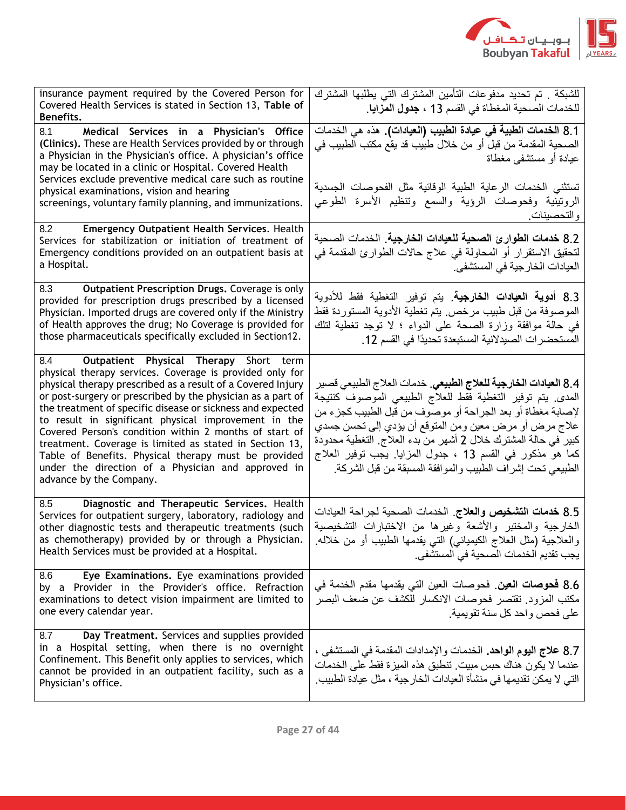

| insurance payment required by the Covered Person for<br>Covered Health Services is stated in Section 13, Table of<br>Benefits.                                                                                                                                                                                                                                                                                                                                                                                                                                                                                           | للشبكة . تم تحديد مدفوعات التأمين المشترك التي يطلبها المشترك<br>للخدمات الصحية المغطاة في القسم 13 ، <b>جدول المزايا</b> .                                                                                                                                                                                                                                                                                                                                |
|--------------------------------------------------------------------------------------------------------------------------------------------------------------------------------------------------------------------------------------------------------------------------------------------------------------------------------------------------------------------------------------------------------------------------------------------------------------------------------------------------------------------------------------------------------------------------------------------------------------------------|------------------------------------------------------------------------------------------------------------------------------------------------------------------------------------------------------------------------------------------------------------------------------------------------------------------------------------------------------------------------------------------------------------------------------------------------------------|
| 8.1<br>Medical Services in a Physician's Office<br>(Clinics). These are Health Services provided by or through<br>a Physician in the Physician's office. A physician's office<br>may be located in a clinic or Hospital. Covered Health<br>Services exclude preventive medical care such as routine<br>physical examinations, vision and hearing<br>screenings, voluntary family planning, and immunizations.                                                                                                                                                                                                            | 8.1 ا <b>لخدمات الطبية في عيادة الطبيب (العيادات).</b> هذه هي الخدمات<br>الصـحية المقدمة من قبل أو من خلال طبيب قد يقع مكتب الطبيب في<br>عيادة أو مستشفى مغطاة<br>تستثنى الخدمات الرعاية الطبية الوقائية مثل الفحوصات الجسدية<br>الروتينية وفحوصات الرؤية والسمع وتنظيم الأسرة الطوعي<br>والتحصينات                                                                                                                                                        |
| Emergency Outpatient Health Services. Health<br>8.2<br>Services for stabilization or initiation of treatment of<br>Emergency conditions provided on an outpatient basis at<br>a Hospital.                                                                                                                                                                                                                                                                                                                                                                                                                                | 8.2 خدمات الطوارئ الصحية للعيادات الخارجية. الخدمات الصحية<br>لتحقيق الاستقرار أو المحاولة في علاج حالات الطوارئ المقدمة في<br>العيادات الخارجية في المستشفى                                                                                                                                                                                                                                                                                               |
| Outpatient Prescription Drugs. Coverage is only<br>8.3<br>provided for prescription drugs prescribed by a licensed<br>Physician. Imported drugs are covered only if the Ministry<br>of Health approves the drug; No Coverage is provided for<br>those pharmaceuticals specifically excluded in Section12.                                                                                                                                                                                                                                                                                                                | 8.3 أ <b>دوية العيادات الخارجية</b> . يتم توفير التغطية فقط للأدوية<br>الموصوفة من قبل طبيب مرخص يتم تغطية الأدوية المستوردة فقط<br>في حالة موافقة وزارة الصحة على الدواء ؛ لا توجد تغطية لتلك<br>المستحضر ات الصيدلانية المستبعدة تحديدًا في القسم 12.                                                                                                                                                                                                    |
| 8.4 Outpatient Physical Therapy Short term<br>physical therapy services. Coverage is provided only for<br>physical therapy prescribed as a result of a Covered Injury<br>or post-surgery or prescribed by the physician as a part of<br>the treatment of specific disease or sickness and expected<br>to result in significant physical improvement in the<br>Covered Person's condition within 2 months of start of<br>treatment. Coverage is limited as stated in Section 13,<br>Table of Benefits. Physical therapy must be provided<br>under the direction of a Physician and approved in<br>advance by the Company. | 8.4 العيادات الخارجية للعلاج الطبيعي <sub>.</sub> خدمات العلاج الطبيعي قصير<br>المدى يتم توفير التغطية فقط للعلاج الطبيعي الموصوف كنتيجة<br>لإصابة مغطاة أو بعد الجراحة أو موصوف من قبل الطبيب كجزء من<br>علاج مرض أو مرض معين ومن المتوقع أن يؤدي إلى تحسن جسدي<br>كبير في حالة المشترك خلال 2 أشهر من بدء العلاج التغطية محدودة<br>كما هو مذكور في القسم 13 ، جدول المزايا. يجب توفير العلاج<br>الطبيعي تحت إشراف الطبيب والموافقة المسبقة من قبل الشركة |
| 8.5<br>Diagnostic and Therapeutic Services. Health<br>Services for outpatient surgery, laboratory, radiology and<br>other diagnostic tests and therapeutic treatments (such<br>as chemotherapy) provided by or through a Physician.<br>Health Services must be provided at a Hospital.                                                                                                                                                                                                                                                                                                                                   | 8.5 خدمات التشخيص والعلاج. الخدمات الصحبة لجراحة العبادات<br>الخارجية والمختبر والأشعة وغيرها من الاختبارات التشخيصية<br>والعلاجية (مثل العلاج الكيميائي) التي يقدمها الطبيب أو من خلاله.<br>يجب تقديم الخدمات الصحية في المستشفى.                                                                                                                                                                                                                         |
| Eye Examinations. Eye examinations provided<br>8.6<br>by a Provider in the Provider's office. Refraction<br>examinations to detect vision impairment are limited to<br>one every calendar year.                                                                                                                                                                                                                                                                                                                                                                                                                          | 8.6 <b>فحوصات العين</b> . فحوصات العين التي يقدمها مقدم الخدمة في<br>مكتب المزود. تقتصر فحوصات الانكسار للكشف عن ضعف البصر<br>على فحص واحد كل سنة تقويمية.                                                                                                                                                                                                                                                                                                 |
| 8.7<br>Day Treatment. Services and supplies provided<br>in a Hospital setting, when there is no overnight<br>Confinement. This Benefit only applies to services, which<br>cannot be provided in an outpatient facility, such as a<br>Physician's office.                                                                                                                                                                                                                                                                                                                                                                 | 8.7 علاج اليوم الواحد. الخدمات والإمدادات المقدمة في المستشفى ،<br>عندما لا يكون هناك حبس مبيت. تنطبق هذه الميز ة فقط على الخدمات<br>التي لا يمكن تقديمها في منشأة العيادات الخار جية ، مثل عيادة الطبيب                                                                                                                                                                                                                                                   |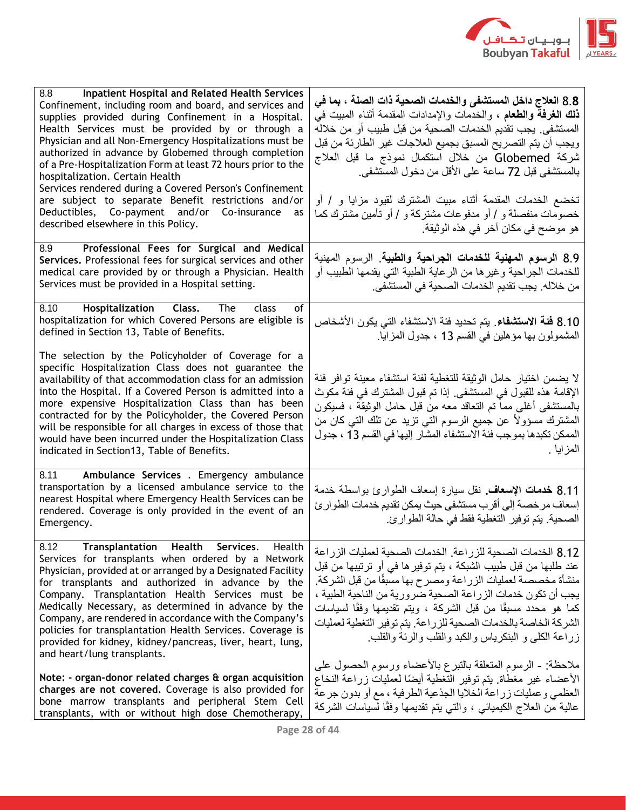

| <b>Inpatient Hospital and Related Health Services</b><br>8.8<br>Confinement, including room and board, and services and<br>supplies provided during Confinement in a Hospital.<br>Health Services must be provided by or through a<br>Physician and all Non-Emergency Hospitalizations must be<br>authorized in advance by Globemed through completion<br>of a Pre-Hospitalization Form at least 72 hours prior to the<br>hospitalization. Certain Health<br>Services rendered during a Covered Person's Confinement<br>are subject to separate Benefit restrictions and/or<br>Deductibles, Co-payment and/or Co-insurance<br>as<br>described elsewhere in this Policy. | 8.8 العلاج داخل المستشفى والخدمات الصحية ذات الصلة ، بما في<br><b>ذلك الـغرفـة والطعام</b> ، والـخدمات والإمدادات المقدمـة أثنـاء المبيت فـي<br>المستشفى. يجب تقديم الخدمات الصحية من قبل طبيب أو من خلاله<br>ويجب أن يتم التصريح المسبق بجميع العلاجات غير الطارئة من قبل<br>شركة Globemed من خلال استكمال نموذج ما قبل العلاج<br>بالمستشفى قبل 72 ساعة على الأقل من دخول المستشفى.<br>تخضع الخدمات المقدمة أثناء مبيت المشترك لقيود مزايا و / أو<br>خصومات منفصلة و / أو مدفوعات مشتركة و / أو تأمين مشترك كما<br>هو موضح في مكان آخر في هذه الوثيقة. |
|-------------------------------------------------------------------------------------------------------------------------------------------------------------------------------------------------------------------------------------------------------------------------------------------------------------------------------------------------------------------------------------------------------------------------------------------------------------------------------------------------------------------------------------------------------------------------------------------------------------------------------------------------------------------------|---------------------------------------------------------------------------------------------------------------------------------------------------------------------------------------------------------------------------------------------------------------------------------------------------------------------------------------------------------------------------------------------------------------------------------------------------------------------------------------------------------------------------------------------------------|
| 8.9 Professional Fees for Surgical and Medical<br>Services. Professional fees for surgical services and other<br>medical care provided by or through a Physician. Health<br>Services must be provided in a Hospital setting.                                                                                                                                                                                                                                                                                                                                                                                                                                            | 8.9 الرسوم ال <b>مهنية للخدمات الجراحية والطبية</b> . الرسوم المهنية<br>للخدمات الجراحية وغير ها من الرعاية الطبية التي يقدمها الطبيب أو<br>من خلاله. يجب نقديم الخدمات الصحية في المستشفى.                                                                                                                                                                                                                                                                                                                                                             |
| 8.10 Hospitalization Class. The<br>class<br>οf<br>hospitalization for which Covered Persons are eligible is<br>defined in Section 13, Table of Benefits.                                                                                                                                                                                                                                                                                                                                                                                                                                                                                                                | 8.10 فَنَةَ الاستشفاءِ. يتم تحديد فئة الاستشفاء التي يكون الأشخاص<br>المشمولون بها مؤهلين في القسم 13 ، جدول المزايا                                                                                                                                                                                                                                                                                                                                                                                                                                    |
| The selection by the Policyholder of Coverage for a<br>specific Hospitalization Class does not guarantee the<br>availability of that accommodation class for an admission<br>into the Hospital. If a Covered Person is admitted into a<br>more expensive Hospitalization Class than has been<br>contracted for by the Policyholder, the Covered Person<br>will be responsible for all charges in excess of those that<br>would have been incurred under the Hospitalization Class<br>indicated in Section13, Table of Benefits.                                                                                                                                         | لا يضمن اختيار حامل الوثيقة للتغطية لفئة استشفاء معينة توافر فئة<br>الإقامة هذه للقبول في المستشفى إذا تم قبول المشترك في فئة مكوث<br>بالمستشفى أغلبي مما تم التعاقد معه من قبل حامل الوثيقة ، فسيكون<br>المشترك مسؤولاً عن جميع الرسوم التي نزيد عن تلك التي كان من<br>الممكن تكبدها بموجب فئة الاستشفاء المشار إليها في القسم 13 ، جدول<br>المزايا .                                                                                                                                                                                                  |
| 8.11 Ambulance Services . Emergency ambulance<br>transportation by a licensed ambulance service to the<br>nearest Hospital where Emergency Health Services can be<br>rendered. Coverage is only provided in the event of an<br>Emergency.                                                                                                                                                                                                                                                                                                                                                                                                                               | 8.11 <b>خدمات الإسعاف</b> . نقل سيارة إسعاف الطوارئ بواسطة خدمة<br>إسعاف مرخصة إلى أقرب مستشفى حيث يمكن تقديم خدمات الطوارئ<br>الصحية. يتم توفير التغطية فقط في حالة الطوارئ.                                                                                                                                                                                                                                                                                                                                                                           |
| Transplantation Health Services.<br>8.12<br>Health<br>Services for transplants when ordered by a Network<br>Physician, provided at or arranged by a Designated Facility<br>for transplants and authorized in advance by the<br>Company. Transplantation Health Services must be<br>Medically Necessary, as determined in advance by the<br>Company, are rendered in accordance with the Company's<br>policies for transplantation Health Services. Coverage is<br>provided for kidney, kidney/pancreas, liver, heart, lung,<br>and heart/lung transplants.                                                                                                              | 8.12 الخدمات الصحية للزراعة الخدمات الصحية لعمليات الزراعة<br>عند طلبها من قبل طبيب الشبكة ، يتم توفير ها في أو ترتيبها من قبل<br>منشأة مخصصة لعمليات الزراعة ومصرح بها مسبقًا من قبل الشركة.<br>يجب أن تكون خدمات الزر اعة الصحية ضرورية من الناحية الطبية ،<br>كما هو محدد مسبقًا من قبل الشركة ، ويتم تقديمها وفقًا لسياسات<br>الشركة الخاصة بالخدمات الصحية للزراعة. يتم توفير التغطية لعمليات<br>زراعة الكلى و البنكرياس والكبد والقلب والرئة والقلب                                                                                               |
| Note: - organ-donor related charges & organ acquisition<br>charges are not covered. Coverage is also provided for<br>bone marrow transplants and peripheral Stem Cell<br>transplants, with or without high dose Chemotherapy,                                                                                                                                                                                                                                                                                                                                                                                                                                           | ملاحظة: ـ الرسوم المتعلقة بالتبرع بالأعضاء ورسوم الحصول على<br>الأعضاء غير مغطاة يتم توفير التغطية أيضًا لعمليات زراعة النخاع<br>العظمى وعمليات زراعة الخلايا الجذعية الطرفية ، مع أو بدون جرعة<br>عالية من العلاج الكيميائي ، والتـي يتم نقديمها وفقًا لسياسات الشركـة                                                                                                                                                                                                                                                                                 |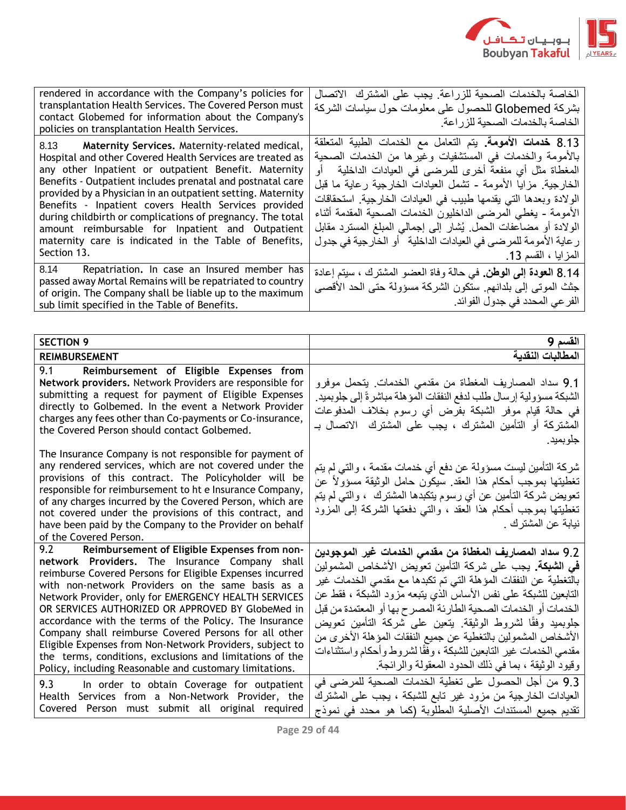

| rendered in accordance with the Company's policies for<br>transplantation Health Services. The Covered Person must<br>contact Globemed for information about the Company's<br>policies on transplantation Health Services.                                                                                                                                                                                                                                                                                                                              | الخاصة بالخدمات الصحية للزراعة. يجب على المشترك الاتصال<br>بشركة Globemed للحصول على معلومات حول سياسات الشركة<br>الخاصة بالخدمات الصحية للز راعة                                                                                                                                                                                                                                                                                                                                                                                                         |
|---------------------------------------------------------------------------------------------------------------------------------------------------------------------------------------------------------------------------------------------------------------------------------------------------------------------------------------------------------------------------------------------------------------------------------------------------------------------------------------------------------------------------------------------------------|-----------------------------------------------------------------------------------------------------------------------------------------------------------------------------------------------------------------------------------------------------------------------------------------------------------------------------------------------------------------------------------------------------------------------------------------------------------------------------------------------------------------------------------------------------------|
| 8.13 Maternity Services. Maternity-related medical,<br>Hospital and other Covered Health Services are treated as<br>any other Inpatient or outpatient Benefit. Maternity<br>Benefits - Outpatient includes prenatal and postnatal care<br>provided by a Physician in an outpatient setting. Maternity<br>Benefits - Inpatient covers Health Services provided<br>during childbirth or complications of pregnancy. The total<br>amount reimbursable for Inpatient and Outpatient<br>maternity care is indicated in the Table of Benefits,<br>Section 13. | 8.13 خدمات الأمومة. يتم التعامل مع الخدمات الطبية المتعلقة<br>بالأمومة والخدمات في المستشفيات وغيرها من الخدمات الصحية<br>المغطاة مثل أي منفعة أخرى للمرضىي في العيادات الداخلية   أو<br>الخارجية. مزايا الأمومة - تشمل العيادات الخارجية رعاية ما قبل<br>الولادة وبعدها التي يقدمها طبيب في العيادات الخارجية. استحقاقات<br>الأمومة - يغطي المرضى الداخليون الخدمات الصحية المقدمة أثناء<br>الولادة أو مضاعفات الحمل يُشار إلى إجمالي المبلغ المسترد مقابل<br>ر عاية الأمومة للمرضىي في العيادات الداخلية   أو الخارجية في جدول<br>  المزايا ، القسم 13. |
| 8.14 Repatriation. In case an Insured member has<br>passed away Mortal Remains will be repatriated to country<br>of origin. The Company shall be liable up to the maximum<br>sub limit specified in the Table of Benefits.                                                                                                                                                                                                                                                                                                                              | 8.14 العودة إلى الوطن. في حالة وفاة العضو المشترك ، سيتم إعادة<br>جثث الموتبي إلى بلدانهم. ستكون الشركة مسؤولة حتى الحد الأقصى<br>  الفر عي المحدد في جدول الفوائد.                                                                                                                                                                                                                                                                                                                                                                                       |

| <b>SECTION 9</b>                                                                                                                                                                                                                                                                                                                                                                                                                                                                                                                                                                                                                                                                                                                                                                                       | القسم 9                                                                                                                                                                                                                                                                                                                                                                                                                                                                                                                                                                                                                                                                                                                                                                           |
|--------------------------------------------------------------------------------------------------------------------------------------------------------------------------------------------------------------------------------------------------------------------------------------------------------------------------------------------------------------------------------------------------------------------------------------------------------------------------------------------------------------------------------------------------------------------------------------------------------------------------------------------------------------------------------------------------------------------------------------------------------------------------------------------------------|-----------------------------------------------------------------------------------------------------------------------------------------------------------------------------------------------------------------------------------------------------------------------------------------------------------------------------------------------------------------------------------------------------------------------------------------------------------------------------------------------------------------------------------------------------------------------------------------------------------------------------------------------------------------------------------------------------------------------------------------------------------------------------------|
| <b>REIMBURSEMENT</b>                                                                                                                                                                                                                                                                                                                                                                                                                                                                                                                                                                                                                                                                                                                                                                                   | المطالبات النقدبة                                                                                                                                                                                                                                                                                                                                                                                                                                                                                                                                                                                                                                                                                                                                                                 |
| 9.1<br>Reimbursement of Eligible Expenses from<br>Network providers. Network Providers are responsible for<br>submitting a request for payment of Eligible Expenses<br>directly to Golbemed. In the event a Network Provider<br>charges any fees other than Co-payments or Co-insurance,<br>the Covered Person should contact Golbemed.                                                                                                                                                                                                                                                                                                                                                                                                                                                                | 9.1 سداد المصاريف المغطاة من مقدمي الخدمات يتحمل موفرو<br>الشبكة مسؤولية إرسال طلب لدفع النفقات المؤهلة مباشرةً إلى جلوبميد<br>في حالة قيام موفر الشبكة بفرض أي رسوم بخلاف المدفوعات<br>المشتركة أو التأمين المشترك ، يجب على المشترك  الاتصال بـ<br>جلوبميد.                                                                                                                                                                                                                                                                                                                                                                                                                                                                                                                     |
| The Insurance Company is not responsible for payment of<br>any rendered services, which are not covered under the<br>provisions of this contract. The Policyholder will be<br>responsible for reimbursement to ht e Insurance Company,<br>of any charges incurred by the Covered Person, which are<br>not covered under the provisions of this contract, and<br>have been paid by the Company to the Provider on behalf<br>of the Covered Person.                                                                                                                                                                                                                                                                                                                                                      | شركة التأمين ليست مسؤولة عن دفع أي خدمات مقدمة ، والتبي لم يتم<br>تغطيتها بموجب أحكام هذا العقد سيكون حامل الوثيقة مسؤولأ عن<br>تعويض شركة التأمين عن أي رسوم يتكبدها المشترك  ، والتبي لم يتم<br>تغطيتها بموجب أحكام هذا العقد ، والتبي دفعتها الشركة إلىي المزود<br>نيابة عن المشترك .                                                                                                                                                                                                                                                                                                                                                                                                                                                                                          |
| 9.2<br>Reimbursement of Eligible Expenses from non-<br>network Providers. The Insurance Company shall<br>reimburse Covered Persons for Eligible Expenses incurred<br>with non-network Providers on the same basis as a<br>Network Provider, only for EMERGENCY HEALTH SERVICES<br>OR SERVICES AUTHORIZED OR APPROVED BY GlobeMed in<br>accordance with the terms of the Policy. The Insurance<br>Company shall reimburse Covered Persons for all other<br>Eligible Expenses from Non-Network Providers, subject to<br>the terms, conditions, exclusions and limitations of the<br>Policy, including Reasonable and customary limitations.<br>9.3<br>In order to obtain Coverage for outpatient<br>Health Services from a Non-Network Provider, the<br>Covered Person must submit all original required | 9.2 سداد المصاريف المغطاة من مقدمي الخدمات غير الموجودين<br><b>في الشبكة.</b> يجب على شركة التأمين تعويض الأشخاص المشمولين<br>بالتغطية عن النفقات المؤهلة التي تم تكبدها مع مقدمي الخدمات غير<br>التابعين للشبكة على نفس الأساس الذي يتبعه مزود الشبكة ، فقط عن<br>الخدمات أو الخدمات الصحية الطارئة المصرح بها أو المعتمدة من قبل<br>جلوبميد وفقًا لشروط الوثيقة. يتعين على شركة التأمين تعويض<br>الأشخاص المشمولين بالتغطية عن جميع النفقات المؤهلة الأخرى من<br>مقدمي الخدمات غير التابعين للشبكة ، وفقًا لشروط وأحكام واستثناءات<br>وقيود الوثيقة ، بما في ذلك الحدود المعقولة والرائجة<br>9.3 من أجل الحصول على تغطية الخدمات الصحية للمرضى في<br>العيادات الخارجية من مزود غير تابع للشبكة ، يجب على المشترك<br>تقديم جميع المستندات الأصلية المطلوبة (كما هو محدد في نموذج |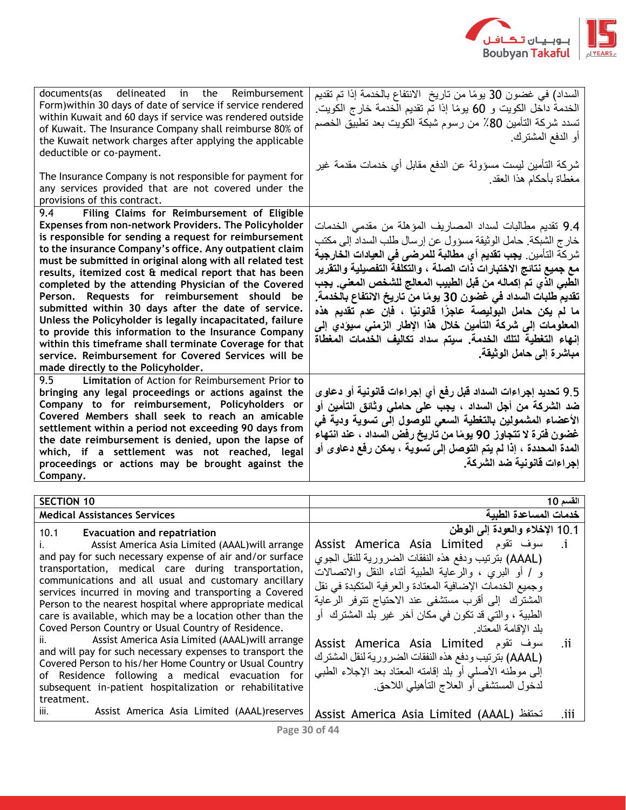

| documents(as delineated in the Reimbursement<br>Form) within 30 days of date of service if service rendered<br>within Kuwait and 60 days if service was rendered outside<br>of Kuwait. The Insurance Company shall reimburse 80% of<br>the Kuwait network charges after applying the applicable<br>deductible or co-payment.<br>The Insurance Company is not responsible for payment for<br>any services provided that are not covered under the                                                                                                                                                                                                                                                                                                                                                                         | السداد) في غضون 30 يومًا من تاريخ الانتفاع بالخدمة إذا تم تقديم<br>الخدمة داخل الكويت و 60 يومًا إذا تم تقديم الخدمة خارج الكويت.<br>تسدد شركة التأمين 80٪ من رسوم شبكة الكويت بعد تطبيق الخصم<br>أو الدفع المشترك<br>شركة التأمين ليست مسؤولة عن الدفع مقابل أي خدمات مقدمة غير<br>مغطاة بأحكام هذا العقد                                                                                                                                                                                                                                                                                                                                    |
|--------------------------------------------------------------------------------------------------------------------------------------------------------------------------------------------------------------------------------------------------------------------------------------------------------------------------------------------------------------------------------------------------------------------------------------------------------------------------------------------------------------------------------------------------------------------------------------------------------------------------------------------------------------------------------------------------------------------------------------------------------------------------------------------------------------------------|-----------------------------------------------------------------------------------------------------------------------------------------------------------------------------------------------------------------------------------------------------------------------------------------------------------------------------------------------------------------------------------------------------------------------------------------------------------------------------------------------------------------------------------------------------------------------------------------------------------------------------------------------|
| provisions of this contract.<br>Filing Claims for Reimbursement of Eligible<br>9.4                                                                                                                                                                                                                                                                                                                                                                                                                                                                                                                                                                                                                                                                                                                                       |                                                                                                                                                                                                                                                                                                                                                                                                                                                                                                                                                                                                                                               |
| Expenses from non-network Providers. The Policyholder<br>is responsible for sending a request for reimbursement<br>to the insurance Company's office. Any outpatient claim<br>must be submitted in original along with all related test<br>results, itemized cost & medical report that has been<br>completed by the attending Physician of the Covered<br>Person. Requests for reimbursement should be<br>submitted within 30 days after the date of service.<br>Unless the Policyholder is legally incapacitated, failure<br>to provide this information to the Insurance Company<br>within this timeframe shall terminate Coverage for that<br>service. Reimbursement for Covered Services will be<br>made directly to the Policyholder.<br>9.5<br>Limitation of Action for Reimbursement Prior to                    | 9.4 تقديم مطالبات لسداد المصاريف المؤهلة من مقدمي الخدمات<br>خارج الشبكة. حامل الوثيقة مسؤول عن إرسال طلب السداد إلى مكتب<br>شركة التأمين <sub>.</sub> ي <b>جب تقديم أي مطالبة للمرضى في العيادات الخارجية</b><br>مع جميع نتائج الاختبارات ذات الصلة ، والتكلفة التفصيلية والتقرير<br>الطبي الذي تم إكماله من قبل الطبيب المعالج للشخص المعنى. يجب<br>تقديم طلبات السداد في غضون 30 يومًا من تاريخ الانتفاع بالخدمة.<br>ما لم يكن حامل البوليصة عاجزًا فانونيًا ، فإن عدم نقديم هذه<br>المعلومات إلى شركة التأمين خلال هذا الإطار الزمني سيؤدي إلى<br>إنهاء التغطية لتلك الخدمة. سيتم سداد تكاليف الخدمات المغطاة<br>مباشرة إلى حامل الوثيقة. |
| bringing any legal proceedings or actions against the<br>Company to for reimbursement, Policyholders or<br>Covered Members shall seek to reach an amicable<br>settlement within a period not exceeding 90 days from<br>the date reimbursement is denied, upon the lapse of<br>which, if a settlement was not reached, legal<br>proceedings or actions may be brought against the<br>Company.                                                                                                                                                                                                                                                                                                                                                                                                                             | 9.5 تحديد إجراءات السداد قبل رفع أي إجراءات قانونية أو دعاوى<br>ضد الشركة من أجل السداد ، يجب على حاملى وثائق التأمين أو<br>الأعضاء المشمولين بالتغطية السعى للوصول إلى تسوية ودية في<br>غضون فُترة لا تتجاوز 90 يومًا من تاريخ رفض السداد ، عند انتهاء<br>المدة المحددة ، إذا لم يتم التوصل إلى تسوية ، يمكن رفع دعاو ى أو<br>إجراءات فالونية ضد الشركة.                                                                                                                                                                                                                                                                                     |
|                                                                                                                                                                                                                                                                                                                                                                                                                                                                                                                                                                                                                                                                                                                                                                                                                          |                                                                                                                                                                                                                                                                                                                                                                                                                                                                                                                                                                                                                                               |
| <b>SECTION 10</b>                                                                                                                                                                                                                                                                                                                                                                                                                                                                                                                                                                                                                                                                                                                                                                                                        | القسم 10                                                                                                                                                                                                                                                                                                                                                                                                                                                                                                                                                                                                                                      |
| <b>Medical Assistances Services</b>                                                                                                                                                                                                                                                                                                                                                                                                                                                                                                                                                                                                                                                                                                                                                                                      | خدمات المساعدة الطبية                                                                                                                                                                                                                                                                                                                                                                                                                                                                                                                                                                                                                         |
| 10.1<br><b>Evacuation and repatriation</b><br>Assist America Asia Limited (AAAL) will arrange<br>ı.<br>and pay for such necessary expense of air and/or surface<br>transportation, medical care during transportation,<br>communications and all usual and customary ancillary<br>services incurred in moving and transporting a Covered<br>Person to the nearest hospital where appropriate medical<br>care is available, which may be a location other than the<br>Coved Person Country or Usual Country of Residence.<br>Assist America Asia Limited (AAAL) will arrange<br>ii.<br>and will pay for such necessary expenses to transport the<br>Covered Person to his/her Home Country or Usual Country<br>of Residence following a medical evacuation for<br>subsequent in-patient hospitalization or rehabilitative | 10.1 الإخلاء والعودة إلى الوطن<br>Assist America Asia Limited سوف تقوم<br>$\cdot$ 1<br>(AAAL) بترتيب ودفع هذه النفقات الضرورية للنقل الجوى<br>و / أو البري ، والرعاية الطبية أثناء النقل والانصالات<br>وجميع الخدمات الإضافية المعتادة والعرفية المتكبدة في نقل<br>المشترك إلى أقرب مستشفى عند الاحتياج نتوفر الرعاية<br>الطبية ، والتبي قد تكون في مكان أخر غير بلد المشترك ً أو<br>بلد الإقامة المعتاد<br>Assist America Asia Limited سوف تقوم<br>.ii<br>(AAAL) بترتيب ودفع هذه النفقات الضرورية لنقل المشترك<br>إلىي موطنه الأصلبي أو بلد إقامته المعتاد بعد الإجلاء الطببي<br>لدخول المستشفى أو العلاج التأهيلي اللاحق                    |

iii. Assist America Asia Limited (AAAL)reserves Assist America Asia Limited (AAAL) تحتفظ .iii

treatment.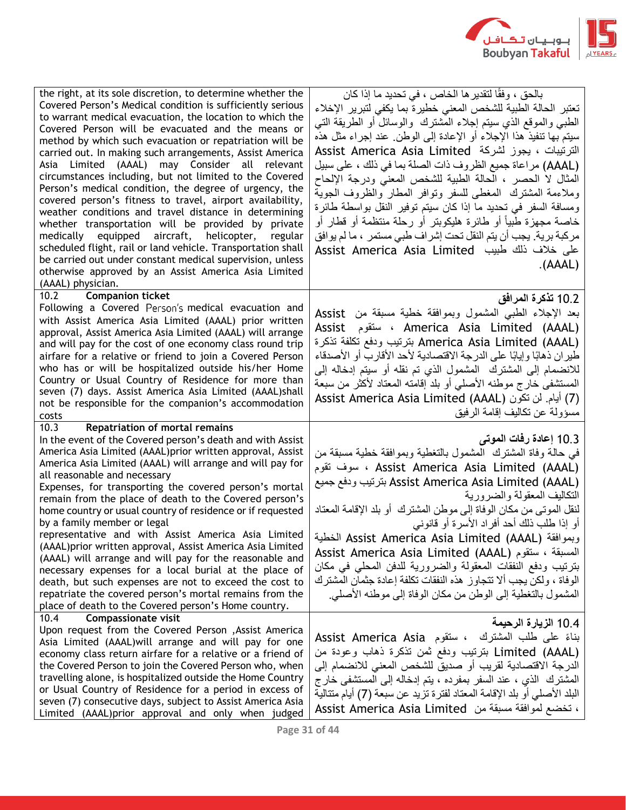

| the right, at its sole discretion, to determine whether the<br>Covered Person's Medical condition is sufficiently serious<br>to warrant medical evacuation, the location to which the<br>Covered Person will be evacuated and the means or<br>method by which such evacuation or repatriation will be<br>carried out. In making such arrangements, Assist America<br>Asia Limited (AAAL) may Consider all relevant<br>circumstances including, but not limited to the Covered<br>Person's medical condition, the degree of urgency, the<br>covered person's fitness to travel, airport availability,<br>weather conditions and travel distance in determining<br>whether transportation will be provided by private<br>medically equipped aircraft, helicopter,<br>regular<br>scheduled flight, rail or land vehicle. Transportation shall<br>be carried out under constant medical supervision, unless<br>otherwise approved by an Assist America Asia Limited<br>(AAAL) physician. | بالحق ، وفقًا لتقدير ها الخاص ، في تحديد ما إذا كان<br>تعتبر الحالة الطبية للشخص المعنى خطيرة بما يكفى لتبرير الإخلاء<br>الطبي والموقع الذي سيتم إجلاء المشترك والوسائل أو الطريقة التبي<br>سيتم بـها تنفيذ هذا الإجلاء أو الإعادة إلـى الوطن ِ عند إجراء مثل هذه<br>الترتيبات ، يجوز لشركة "Assist America Asia Limited<br>(AAAL) مراعاة جميع الظروف ذات الصلة بما في ذلك ، على سبيل<br>المثال لا الحصر ، الحالة الطبية للشخص المعنى ودرجة الإلحاح<br>وملاءمة المشترك المغطى للسفر ونوافر المطار والظروف الجوية<br>ومسافة السفر في تحديد ما إذا كان سيتم توفير النقل بواسطة طائرة<br>خاصة مجهزة طبياً أو طائرة هليكوبنر أو رحلة منتظمة أو قطار أو<br>مركبة برية. يجب أن يتم النقل تحت إشراف طبي مستمر  ، ما لم يوافق<br>على خلاف ذلك طبيب  Assist America Asia Limited<br>(AAAL) |
|--------------------------------------------------------------------------------------------------------------------------------------------------------------------------------------------------------------------------------------------------------------------------------------------------------------------------------------------------------------------------------------------------------------------------------------------------------------------------------------------------------------------------------------------------------------------------------------------------------------------------------------------------------------------------------------------------------------------------------------------------------------------------------------------------------------------------------------------------------------------------------------------------------------------------------------------------------------------------------------|-----------------------------------------------------------------------------------------------------------------------------------------------------------------------------------------------------------------------------------------------------------------------------------------------------------------------------------------------------------------------------------------------------------------------------------------------------------------------------------------------------------------------------------------------------------------------------------------------------------------------------------------------------------------------------------------------------------------------------------------------------------------------------------|
| <b>Companion ticket</b><br>10.2<br>Following a Covered Person's medical evacuation and<br>with Assist America Asia Limited (AAAL) prior written<br>approval, Assist America Asia Limited (AAAL) will arrange<br>and will pay for the cost of one economy class round trip<br>airfare for a relative or friend to join a Covered Person<br>who has or will be hospitalized outside his/her Home<br>Country or Usual Country of Residence for more than<br>seven (7) days. Assist America Asia Limited (AAAL)shall<br>not be responsible for the companion's accommodation<br>costs                                                                                                                                                                                                                                                                                                                                                                                                    | 10.2 تذكرة المرافق<br>بعد الإجلاء الطبي المشمول وبموافقة خطية مسبقة من Assist<br>Assist و America Asia Limited (AAAL)<br>America Asia Limited (AAAL) بترتيب ودفع تكلفة تذكرة<br>طيران ذهابًا وإيابًا على الدرجة الاقتصادية لأحد الأقارب أو الأصدقاء<br>للانضمام إلى المشترك  المشمول الذي تم نقله أو سيتم إدخاله إلى<br>المستشفى خارج موطنه الأصلى أو بلد إقامته المعتاد لأكثر من سبعة<br>(7) أيام. لن تكون (Assist America Asia Limited (AAAL<br>مسؤولة عن تكاليف إقامة الرفيق                                                                                                                                                                                                                                                                                                   |
| <b>Repatriation of mortal remains</b><br>10.3<br>In the event of the Covered person's death and with Assist<br>America Asia Limited (AAAL)prior written approval, Assist<br>America Asia Limited (AAAL) will arrange and will pay for<br>all reasonable and necessary<br>Expenses, for transporting the covered person's mortal<br>remain from the place of death to the Covered person's<br>home country or usual country of residence or if requested<br>by a family member or legal<br>representative and with Assist America Asia Limited<br>(AAAL) prior written approval, Assist America Asia Limited<br>(AAAL) will arrange and will pay for the reasonable and<br>necessary expenses for a local burial at the place of<br>death, but such expenses are not to exceed the cost to<br>repatriate the covered person's mortal remains from the<br>place of death to the Covered person's Home country.                                                                         | 10.3 إعادة رفات الموتى<br>في حالَّة وفاة المشترك  المشمول بالتغطية وبموافقة خطية مسبقة من<br>مسوف تقوم ، Assist America Asia Limited (AAAL)<br>Assist America Asia Limited (AAAL) بترتيب ودفع جميع<br>التكاليف المعقولة والضرورية<br>لنقل الموتـى من مكان الوفاة إلـى موطن المشترك  أو بلد الإقامة المعتاد<br>أو إذا طلب ذلك أحد أفراد الأسرة أو قانوني<br>وبموافقة Assist America Asia Limited (AAAL) الخطية<br>Assist America Asia Limited (AAAL) المسبقة ، ستقوم<br>بترتيب ودفع النفقات المعقولة والضرورية للدفن المحلي في مكان<br>الو فاة ، ولكن يجب ألا تتجاوز ٍ هذه النفقات تكلفة إعادة جثمان المشتر ك<br>المشمول بالتغطية إلى الوطن من مكان الوفاة إلى موطنه الأصلي.                                                                                                       |
| 10.4<br><b>Compassionate visit</b><br>Upon request from the Covered Person , Assist America<br>Asia Limited (AAAL) will arrange and will pay for one<br>economy class return airfare for a relative or a friend of<br>the Covered Person to join the Covered Person who, when<br>travelling alone, is hospitalized outside the Home Country<br>or Usual Country of Residence for a period in excess of<br>seven (7) consecutive days, subject to Assist America Asia<br>Limited (AAAL)prior approval and only when judged                                                                                                                                                                                                                                                                                                                                                                                                                                                            | 10.4 الزيارة الرحيمة<br>بناءً على طلب المشترك ، ستقوم Assist America Asia<br>Limited (AAAL) بترتيب ودفع ثمن تذكرة ذهاب وعودة من<br>الدرجة الاقتصادية لقريب أو صديق للشخص المعنى للانضمام إلى<br>المشترك الذي ، عند السفر بمفرده ، يتم إدخاله إلى المستشفى خارج<br>البلد الأصلي أو بلد الإقامة المعتاد لفترة تزيد عن سبعة (7) أيام متتالية<br>، تخضع لموافقة مسبقة من  Assist America Asia Limited                                                                                                                                                                                                                                                                                                                                                                                 |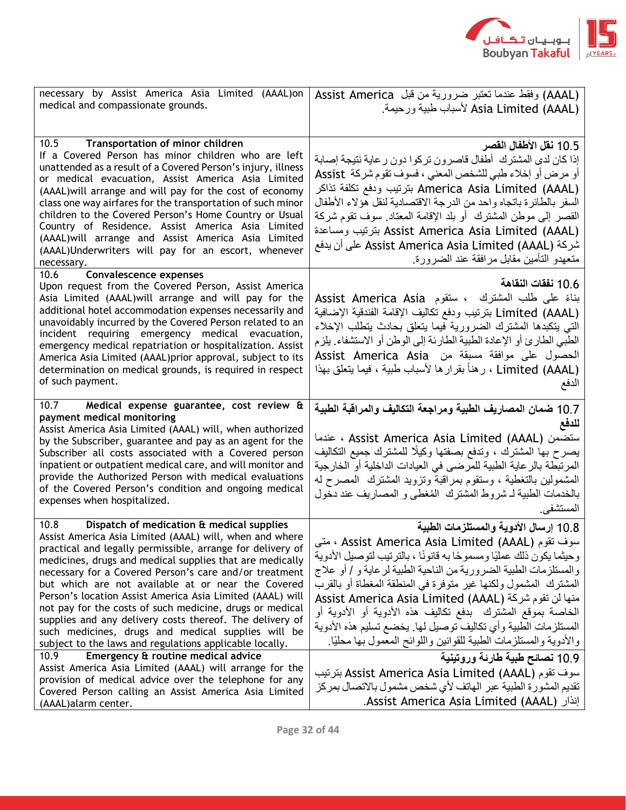

| necessary by Assist America Asia Limited (AAAL)on<br>medical and compassionate grounds.                                                                                                                                                                                                                                                                                                                                                                                                                                                                                                                                                                                                                                                                               | (AAAL) وفقط عندما تعتبر ضرورية من قبل Assist America<br>Asia Limited (AAAL) لأسباب طبية ورحيمة                                                                                                                                                                                                                                                                                                                                                                                                                                                                                                                    |
|-----------------------------------------------------------------------------------------------------------------------------------------------------------------------------------------------------------------------------------------------------------------------------------------------------------------------------------------------------------------------------------------------------------------------------------------------------------------------------------------------------------------------------------------------------------------------------------------------------------------------------------------------------------------------------------------------------------------------------------------------------------------------|-------------------------------------------------------------------------------------------------------------------------------------------------------------------------------------------------------------------------------------------------------------------------------------------------------------------------------------------------------------------------------------------------------------------------------------------------------------------------------------------------------------------------------------------------------------------------------------------------------------------|
| 10.5<br>Transportation of minor children<br>If a Covered Person has minor children who are left<br>unattended as a result of a Covered Person's injury, illness<br>or medical evacuation, Assist America Asia Limited<br>(AAAL) will arrange and will pay for the cost of economy<br>class one way airfares for the transportation of such minor<br>children to the Covered Person's Home Country or Usual<br>Country of Residence. Assist America Asia Limited<br>(AAAL) will arrange and Assist America Asia Limited<br>(AAAL)Underwriters will pay for an escort, whenever<br>necessary.                                                                                                                                                                           | 10.5 نقل الأطفال القصر<br>إذا كان لدى المشترك أطفال قاصرون تركوا دون رعاية نتيجة إصابة<br>أو مرض أو إخلاء طبي للشخص المعنى ، فسوف تقوم شركة  Assist<br>America Asia Limited (AAAL) بترتيب ودفع تكلفة تذاكر<br>السفر بالطائرة باتجاه واحد من الدرجة الاقتصادية لنقل هؤلاء الأطفال<br>القصر إلى موطن المشترك ً أو بلد الإقامة المعتاد ٍ سوف تقوم شركة<br>بترتيب ومساعدة Assist America Asia Limited (AAAL)<br>شركة Assist America Asia Limited (AAAL) على أن يدفع<br>متعهدو التأمين مقابل مرافقة عند الضرورة                                                                                                        |
| <b>Convalescence expenses</b><br>10.6<br>Upon request from the Covered Person, Assist America<br>Asia Limited (AAAL) will arrange and will pay for the<br>additional hotel accommodation expenses necessarily and<br>unavoidably incurred by the Covered Person related to an<br>incident requiring emergency medical evacuation,<br>emergency medical repatriation or hospitalization. Assist<br>America Asia Limited (AAAL)prior approval, subject to its<br>determination on medical grounds, is required in respect<br>of such payment.                                                                                                                                                                                                                           | 10.6 نفقات النقاهة<br>بناءً على طلب المشترك ، ستقوم Assist America Asia<br>Limited (AAAL) بترتيب ودفع نكاليف الإقامة الفندقية الإضافية<br>التي يتكبدها المشترك الضرورية فيما يتعلق بحادث يتطلب الإخلاء<br>الطبي الطارئ أو الإعادة الطبية الطارئة إلى الوطن أو الاستشفاء. يلزم<br>الحصول على موافقة مسبقة من Assist America Asia<br>(Limited (AAAL ، رهناً بقرارها لأسباب طبية ، فيما يتعلق بهذا<br>الدفع                                                                                                                                                                                                          |
| 10.7<br>Medical expense guarantee, cost review &<br>payment medical monitoring<br>Assist America Asia Limited (AAAL) will, when authorized<br>by the Subscriber, guarantee and pay as an agent for the<br>Subscriber all costs associated with a Covered person<br>inpatient or outpatient medical care, and will monitor and<br>provide the Authorized Person with medical evaluations<br>of the Covered Person's condition and ongoing medical<br>expenses when hospitalized.                                                                                                                                                                                                                                                                                       | 10.7 ضمان المصاريف الطبية ومراجعة التكاليف والمراقبة الطبية<br>للدفع<br>ستضمن (Assist America Asia Limited (AAAL ، عندما<br>يصرح بها المشترك ، وتدفع بصفتها وكيلًا للمشترك جميع التكاليف<br>المرتبطة بالرعاية الطبية للمرضى في العيادات الداخلية أو الخارجية<br>المشمولين بالنغطية ، وستقوم بمراقبة ونزويد المشترك المصرح له<br>بالخدمات الطبية لـ شروط المشترك المُغطى و المصاريف عند دخول<br>المستشفى.                                                                                                                                                                                                          |
| Dispatch of medication & medical supplies<br>10.8<br>Assist America Asia Limited (AAAL) will, when and where<br>practical and legally permissible, arrange for delivery of<br>medicines, drugs and medical supplies that are medically<br>necessary for a Covered Person's care and/or treatment<br>but which are not available at or near the Covered<br>Person's location Assist America Asia Limited (AAAL) will<br>not pay for the costs of such medicine, drugs or medical<br>supplies and any delivery costs thereof. The delivery of<br>such medicines, drugs and medical supplies will be<br>subject to the laws and regulations applicable locally.<br>10.9<br>Emergency & routine medical advice<br>Assist America Asia Limited (AAAL) will arrange for the | 10.8 إرسال الأدوية والمستلزمات الطبية<br>سوف تقوم (AAAL ) ، متى ، Assist America Asia Limited ، متى<br>وحيثما يكون ذلك عمليًا ومسموحًا به قانونًا ، بالترتيب لتوصيل الأدوية<br>والمستلزمات الطبية الضرورية من الناحية الطبية لرعاية و / أو علاج<br>المشترك المشمول ولكنها غير متوفرة في المنطقة المغطاة أو بالقرب<br>Assist America Asia Limited (AAAL) منها لن تقوم شركة<br>الخاصة بموقع المشترك  بدفع تكاليف هذه الأدوية أو الأدوية أو<br>المستلزمات الطبية وأي نكاليف توصيل لمها يخضع تسليم هذه الأدوية<br>والأدوية والمستلزمات الطبية للقوانين واللوائح المعمول بها محليًا.<br>10.9 نصائح طبية طارئة وروتينية |
| provision of medical advice over the telephone for any<br>Covered Person calling an Assist America Asia Limited<br>(AAAL) alarm center.                                                                                                                                                                                                                                                                                                                                                                                                                                                                                                                                                                                                                               | سوف تقوم (Assist America Asia Limited (AAAL بترتيب<br>تقديم المشورة الطبية عبر الهاتف لأي شخص مشمول بالاتصال بمركز<br>. إنذار Assist America Asia Limited (AAAL)                                                                                                                                                                                                                                                                                                                                                                                                                                                  |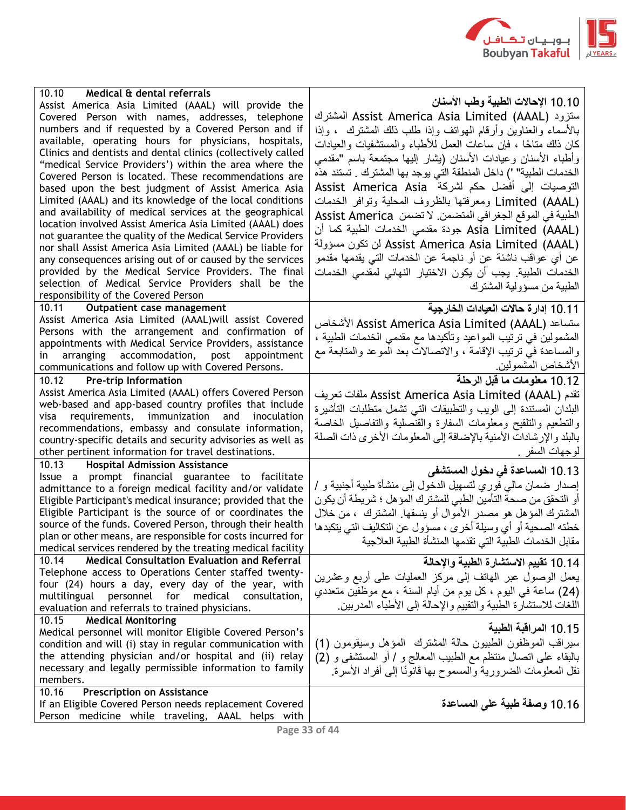

| 10.10<br>Medical & dental referrals<br>Assist America Asia Limited (AAAL) will provide the<br>Covered Person with names, addresses, telephone<br>numbers and if requested by a Covered Person and if<br>available, operating hours for physicians, hospitals,<br>Clinics and dentists and dental clinics (collectively called<br>"medical Service Providers') within the area where the<br>Covered Person is located. These recommendations are<br>based upon the best judgment of Assist America Asia<br>Limited (AAAL) and its knowledge of the local conditions<br>and availability of medical services at the geographical<br>location involved Assist America Asia Limited (AAAL) does<br>not guarantee the quality of the Medical Service Providers<br>nor shall Assist America Asia Limited (AAAL) be liable for<br>any consequences arising out of or caused by the services | 10.10 الإحالات الطبية وطب الأسنان<br>ستزود (AAAL) Assist America Asia Limited المشترك<br>بالأسماء والعناوين وأرقام الهوانف وإذا طلب ذلك المشترك  ، وإذا<br>كان ذلك متاحًا ، فإن ساعات العمل للأطباء والمستشفيات والعيادات<br>وأطباء الأسنان وعيادات الأسنان (بشار إليها مجتمعة باسم "مقدمى<br>الخدمات الطبية" ') داخل المنطقة التي يوجد بها المشترك . تستند هذه<br>التوصيات إلى أفضل حكم لشركة Assist America Asia<br>(Limited (AAAL ومعرفتها بالظروف المحلية وتوافر الخدمات<br>الطبية في الموقع الجغر افي المتضمن. لا تضمن  Assist America<br>Asia Limited (AAAL) جودة مقدمي الخدمات الطبية كما أن<br>لن تكون مسؤولة Assist America Asia Limited (AAAL)<br>عن أي عواقب ناشئة عن أو ناجمة عن الخدمات التي يقدمها مقدمو |
|--------------------------------------------------------------------------------------------------------------------------------------------------------------------------------------------------------------------------------------------------------------------------------------------------------------------------------------------------------------------------------------------------------------------------------------------------------------------------------------------------------------------------------------------------------------------------------------------------------------------------------------------------------------------------------------------------------------------------------------------------------------------------------------------------------------------------------------------------------------------------------------|------------------------------------------------------------------------------------------------------------------------------------------------------------------------------------------------------------------------------------------------------------------------------------------------------------------------------------------------------------------------------------------------------------------------------------------------------------------------------------------------------------------------------------------------------------------------------------------------------------------------------------------------------------------------------------------------------------------------|
| provided by the Medical Service Providers. The final<br>selection of Medical Service Providers shall be the<br>responsibility of the Covered Person                                                                                                                                                                                                                                                                                                                                                                                                                                                                                                                                                                                                                                                                                                                                  | الخدمات الطبية. يجب أن يكون الاختيار النهائي لمقدمي الخدمات<br>الطبية من مسؤولية المشترك                                                                                                                                                                                                                                                                                                                                                                                                                                                                                                                                                                                                                               |
| 10.11<br>Outpatient case management<br>Assist America Asia Limited (AAAL) will assist Covered<br>Persons with the arrangement and confirmation of<br>appointments with Medical Service Providers, assistance<br>arranging accommodation,<br>post<br>appointment<br>in<br>communications and follow up with Covered Persons.                                                                                                                                                                                                                                                                                                                                                                                                                                                                                                                                                          | 10.11 إدارة حالات العيادات الخارجية<br>الأشخاص Assist America Asia Limited (AAAL) الأشخاص<br>المشمولين في ترتيب المواعيد وتأكيدها مع مقدمي الخدمات الطبية ،<br>والمساعدة في ترتيب الإقامة ، والاتصالات بعد الموعد والمتابعة مع<br>الأشخاص المشمولين                                                                                                                                                                                                                                                                                                                                                                                                                                                                    |
| 10.12 Pre-trip Information<br>Assist America Asia Limited (AAAL) offers Covered Person<br>web-based and app-based country profiles that include<br>requirements, immunization and inoculation<br>visa<br>recommendations, embassy and consulate information,<br>country-specific details and security advisories as well as<br>other pertinent information for travel destinations.                                                                                                                                                                                                                                                                                                                                                                                                                                                                                                  | 10.12 معلومات ما قبل الرحلة<br>تقدم Assist America Asia Limited (AAAL) ملفات تعريف<br>البلدان المستندة إلىي الويب والتطبيقات التبي تشمل متطلبات التأشيرة<br>والتطعيم والتلقيح ومعلومات السفارة والقنصلية والتفاصيل الخاصة<br>بالبلد والإرشادات الأمنية بالإضافة إلى المعلومات الأخرى ذات الصلة<br>لموجهات السفر .                                                                                                                                                                                                                                                                                                                                                                                                      |
| 10.13<br><b>Hospital Admission Assistance</b><br>Issue a prompt financial guarantee to facilitate<br>admittance to a foreign medical facility and/or validate<br>Eligible Participant's medical insurance; provided that the<br>Eligible Participant is the source of or coordinates the<br>source of the funds. Covered Person, through their health<br>plan or other means, are responsible for costs incurred for<br>medical services rendered by the treating medical facility                                                                                                                                                                                                                                                                                                                                                                                                   | 10.13 المساعدة في دخول المستشفى<br>إصدار ضمان مالي فوري لتسهيل الدخول إلى منشأة طبية أجنبية و /<br>أو التحقق من صحة التأمين الطبي للمشترك المؤهل ؛ شريطة أن يكون<br>المشترك المؤهل هو مصدر الأموال أو بنسقها. المشترك ، من خلال<br>خطته الصحية أو أي وسيلة أخرى ، مسؤول عن التكاليف التي يتكبدها<br>مقابل الخدمات الطبية التي تقدمها المنشأة الطبية العلاجية                                                                                                                                                                                                                                                                                                                                                           |
| <b>Medical Consultation Evaluation and Referral</b><br>10.14<br>Telephone access to Operations Center staffed twenty-<br>four (24) hours a day, every day of the year, with<br>multilingual<br>personnel<br>for<br>medical<br>consultation,<br>evaluation and referrals to trained physicians.                                                                                                                                                                                                                                                                                                                                                                                                                                                                                                                                                                                       | 10.14 نقييم الاستشارة الطبية والإحالة<br>يعمل الوصول عبر المهاتف إلى مركز العمليات على أربع وعشرين<br>(24) ساعة في اليوم ، كل يوم من أيام السنة ، مع موظفين متعددي<br>اللغات للاستشارة الطبية والتقييم والإحالة إلى الأطباء المدربين                                                                                                                                                                                                                                                                                                                                                                                                                                                                                   |
| 10.15<br><b>Medical Monitoring</b><br>Medical personnel will monitor Eligible Covered Person's<br>condition and will (i) stay in regular communication with<br>the attending physician and/or hospital and (ii) relay<br>necessary and legally permissible information to family<br>members.                                                                                                                                                                                                                                                                                                                                                                                                                                                                                                                                                                                         | 10.15 المراقبة الطبية<br>سيراقب الموظفون الطبيون حالة المشترك المؤهل وسيقومون (1)<br>بالبقاء على اتصال منتظم مع الطبيب المعالج و / أو المستشفى و (2)<br>نقل المعلومات الضرورية والمسموح بها قانونًا إلى أفراد الأسرة                                                                                                                                                                                                                                                                                                                                                                                                                                                                                                   |
| 10.16<br><b>Prescription on Assistance</b><br>If an Eligible Covered Person needs replacement Covered<br>Person medicine while traveling, AAAL helps with                                                                                                                                                                                                                                                                                                                                                                                                                                                                                                                                                                                                                                                                                                                            | 10.16 وصفة طبية على المساعدة                                                                                                                                                                                                                                                                                                                                                                                                                                                                                                                                                                                                                                                                                           |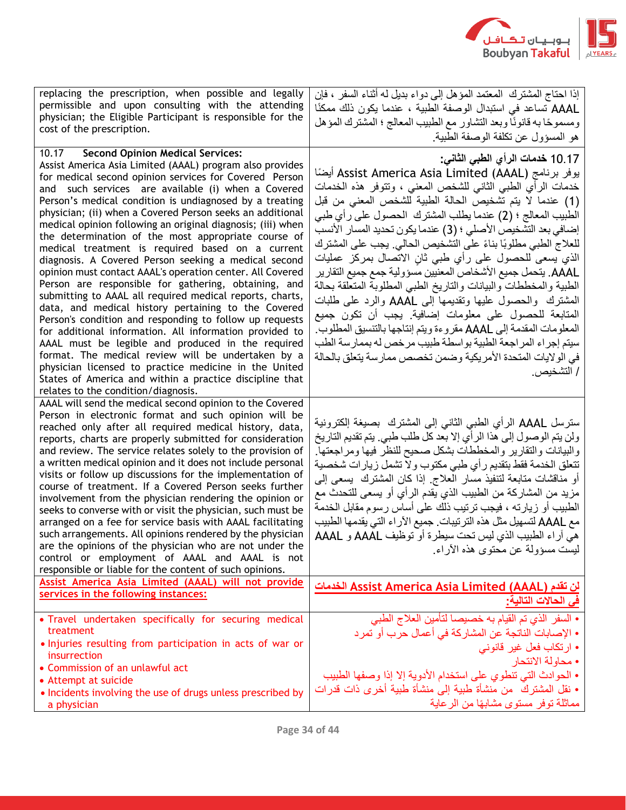

| replacing the prescription, when possible and legally<br>permissible and upon consulting with the attending<br>physician; the Eligible Participant is responsible for the<br>cost of the prescription.                                                                                                                                                                                                                                                                                                                                                                                                                                                                                                                                                                                                                                                                                                                                                                                                                                                                                                                                                                                                           | إذا احتاج المشترك  المعتمد المؤهل إلى دواء بديل له أثناء السفر ، فإن<br>AAAL تساعد في استبدال الوصفة الطبية ، عندما يكون ذلك ممكنًا<br>ومسموحًا به قانونًا وبعد التشاور مع الطبيب المعالج ؛ المشترك المؤهل<br>هو المسؤول عن تكلفة الوصفة الطبية.                                                                                                                                                                                                                                                                                                                                                                                                                                                                                                                                                                                                                                                                                                      |
|------------------------------------------------------------------------------------------------------------------------------------------------------------------------------------------------------------------------------------------------------------------------------------------------------------------------------------------------------------------------------------------------------------------------------------------------------------------------------------------------------------------------------------------------------------------------------------------------------------------------------------------------------------------------------------------------------------------------------------------------------------------------------------------------------------------------------------------------------------------------------------------------------------------------------------------------------------------------------------------------------------------------------------------------------------------------------------------------------------------------------------------------------------------------------------------------------------------|-------------------------------------------------------------------------------------------------------------------------------------------------------------------------------------------------------------------------------------------------------------------------------------------------------------------------------------------------------------------------------------------------------------------------------------------------------------------------------------------------------------------------------------------------------------------------------------------------------------------------------------------------------------------------------------------------------------------------------------------------------------------------------------------------------------------------------------------------------------------------------------------------------------------------------------------------------|
| 10.17 Second Opinion Medical Services:<br>Assist America Asia Limited (AAAL) program also provides<br>for medical second opinion services for Covered Person<br>and such services are available (i) when a Covered<br>Person's medical condition is undiagnosed by a treating<br>physician; (ii) when a Covered Person seeks an additional<br>medical opinion following an original diagnosis; (iii) when<br>the determination of the most appropriate course of<br>medical treatment is required based on a current<br>diagnosis. A Covered Person seeking a medical second<br>opinion must contact AAAL's operation center. All Covered<br>Person are responsible for gathering, obtaining, and<br>submitting to AAAL all required medical reports, charts,<br>data, and medical history pertaining to the Covered<br>Person's condition and responding to follow up requests<br>for additional information. All information provided to<br>AAAL must be legible and produced in the required<br>format. The medical review will be undertaken by a<br>physician licensed to practice medicine in the United<br>States of America and within a practice discipline that<br>relates to the condition/diagnosis. | 10 17 خدمات الرأى الطبي الثاني:<br>يوفر برنامج (Assist America Asia Limited (AAAL أيضًا<br>خدمات الرأي الطبي الثاني للشخص المعنى ، ونتوفر هذه الخدمات<br>(1) عندما لا يتم تشخيص الحالة الطبية للشخص المعنى من قبل<br>الطبيب المعالج ؛ (2) عندما يطلب المشترك  الحصول على رأي طبي<br>إضافي بعد التشخيص الأصلي ؛ (3) عندما يكون تحديد المسار الأنسب<br>للعلاج الطبي مطلوبًا بناءً على التشخيص الحالي. يجب على المشترك<br>الذي يسعى للحصول على رأي طبي ثانٍ الاتصال بمركز عمليات<br>AAAL. يتحمل جميع الأشخاص المعنيين مسؤولية جمع جميع التقارير<br>الطبية والمخططات والبيانات والتاريخ الطبي المطلوبة المتعلقة بحالة<br>المشترك  والحصول عليها وتقديمها إلى AAAL والرد على طلبات<br>المتابعة للحصول على معلومات إضافية. يجب أن تكون جميع<br>المعلومات المقدمة إلى AAAL مقروءة ويتم إنتاجها بالتنسيق المطلوب<br>سيتم إجراء المراجعة الطبية بواسطة طبيب مرخص له بممارسة الطب<br>في الولايات المتحدة الأمريكية وضمن تخصص ممارسة يتعلق بالحالة<br>/ التشخيص. |
| AAAL will send the medical second opinion to the Covered<br>Person in electronic format and such opinion will be<br>reached only after all required medical history, data,<br>reports, charts are properly submitted for consideration<br>and review. The service relates solely to the provision of<br>a written medical opinion and it does not include personal<br>visits or follow up discussions for the implementation of<br>course of treatment. If a Covered Person seeks further<br>involvement from the physician rendering the opinion or<br>seeks to converse with or visit the physician, such must be<br>arranged on a fee for service basis with AAAL facilitating<br>such arrangements. All opinions rendered by the physician<br>are the opinions of the physician who are not under the<br>control or employment of AAAL and AAAL is not<br>responsible or liable for the content of such opinions.<br>Assist America Asia Limited (AAAL) will not provide<br>services in the following instances:                                                                                                                                                                                             | سترسل AAAL الرأي الطببي الثانبي إلىي المشترك  بصيغة إلكترونية<br>ولن يتم الوصول إلى هذا الرأي إلا بعد كل طلب طبي. يتم تقديم التاريخ<br>والبيانات والتقارير والمخططات بشكل صحيح للنظر فيها ومراجعتها<br>تتعلق الخدمة فقط بتقديم رأي طبي مكتوب ولا تشمل زيارات شخصية<br>أو مناقشات متابعة لتنفيذ مسار العلاج إذا كان المشترك  يسعى إلى<br>مزيد من المشاركة من الطبيب الذي يقدم الرأي أو يسعى للتحدث مع<br>الطبيب أو زيارته ، فيجب ترتيب ذلك على أساس رسوم مقابل الخدمة<br>مع AAAL لتسهيل مثل هذه الترتيبات. جميع الآراء التي يقدمها الطبيب<br>هي آر اء الطبيب الذي ليس تحت سيطرة أو توظيف AAAL و AAAL<br>ليست مسؤولة عن محتوى هذه الآر اء.<br>لن تقدم (Assist America Asia Limited (AAAL) الخدمات<br>ى الحالات التالية:                                                                                                                                                                                                                                 |
| . Travel undertaken specifically for securing medical<br>treatment<br>. Injuries resulting from participation in acts of war or<br>insurrection<br>• Commission of an unlawful act<br>• Attempt at suicide<br>• Incidents involving the use of drugs unless prescribed by<br>a physician                                                                                                                                                                                                                                                                                                                                                                                                                                                                                                                                                                                                                                                                                                                                                                                                                                                                                                                         | • السفر الذي تم القيام به خصيصا لتأمين العلاج الطبي<br>• الإصابات الناتجة عن المشاركة في أعمال حرب أو تمر د<br>• ارتكاب فعل غير قانوني<br>• محاولة الانتحار<br>• الحوادث التي تنطوي على استخدام الأدوية إلا إذا وصفها الطبيب<br>• نقل المشترك  من منشأة طبية إلى منشأة طبية أخرى ذات قدرات<br>مماثلة توفر مستوى مشابهًا من الرعاية                                                                                                                                                                                                                                                                                                                                                                                                                                                                                                                                                                                                                    |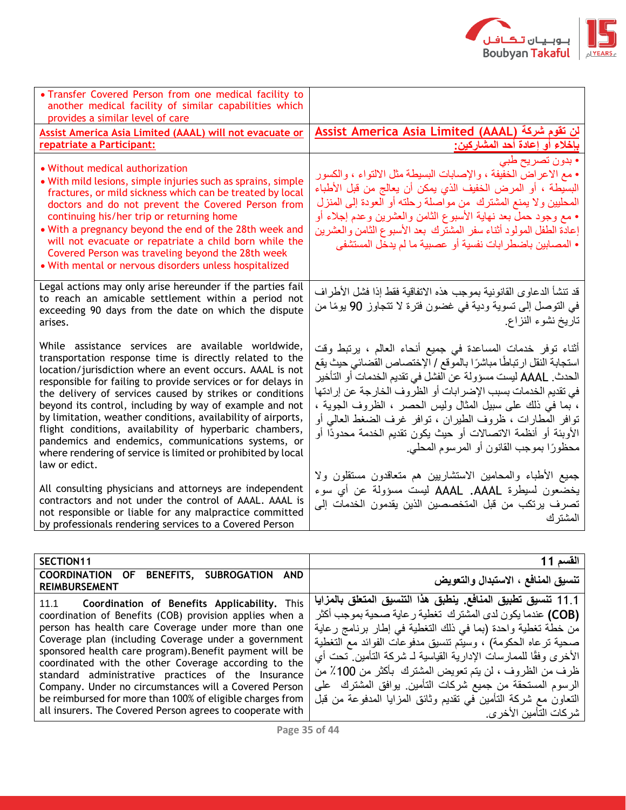

| • Transfer Covered Person from one medical facility to<br>another medical facility of similar capabilities which<br>provides a similar level of care                                                                                                                                                                                                                                                                                                                                                                                                                                                                               |                                                                                                                                                                                                                                                                                                                                                                                                                                                                                                           |
|------------------------------------------------------------------------------------------------------------------------------------------------------------------------------------------------------------------------------------------------------------------------------------------------------------------------------------------------------------------------------------------------------------------------------------------------------------------------------------------------------------------------------------------------------------------------------------------------------------------------------------|-----------------------------------------------------------------------------------------------------------------------------------------------------------------------------------------------------------------------------------------------------------------------------------------------------------------------------------------------------------------------------------------------------------------------------------------------------------------------------------------------------------|
| Assist America Asia Limited (AAAL) will not evacuate or                                                                                                                                                                                                                                                                                                                                                                                                                                                                                                                                                                            | لن تقوم شركة (Assist America Asia Limited (AAAL                                                                                                                                                                                                                                                                                                                                                                                                                                                           |
| repatriate a Participant:                                                                                                                                                                                                                                                                                                                                                                                                                                                                                                                                                                                                          | بإخلاء أو إعادة أحد المشاركين:                                                                                                                                                                                                                                                                                                                                                                                                                                                                            |
| • Without medical authorization<br>• With mild lesions, simple injuries such as sprains, simple<br>fractures, or mild sickness which can be treated by local<br>doctors and do not prevent the Covered Person from<br>continuing his/her trip or returning home<br>• With a pregnancy beyond the end of the 28th week and<br>will not evacuate or repatriate a child born while the<br>Covered Person was traveling beyond the 28th week<br>. With mental or nervous disorders unless hospitalized                                                                                                                                 | • بدون تصريح طبي<br>• مع الاعراض الخفيفة ، والإصابات البسيطة مثل الالتواء ، والكسور<br>البسيطة ، أو المرض الخفيف الذي يمكن أن يعالج من قبل الأطباء<br>المحليين ولا يمنع المشترك من مواصلة رحلته أو العودة إلى المنزل<br>• مع وجود حمل بعد نهاية الأسبوع الثامن والعشرين وعدم إجلاء أو<br>إعادة الطفل المولود أثناء سفر المشترك بعد الأسبوع الثامن والعشرين<br>• المصابين باضطر ابات نفسية أو عصبية ما لم يدخل المستشفى                                                                                    |
| Legal actions may only arise hereunder if the parties fail<br>to reach an amicable settlement within a period not<br>exceeding 90 days from the date on which the dispute<br>arises.                                                                                                                                                                                                                                                                                                                                                                                                                                               | قد تنشأ الدعاوى القانونية بموجب هذه الاتفاقية فقط إذا فشل الأطراف<br>في التوصل إلى تسوية ودية في غضون فترة لا تتجاوز 90 يومًا من<br>تاريخ نشوء النزاع                                                                                                                                                                                                                                                                                                                                                     |
| While assistance services are available worldwide,<br>transportation response time is directly related to the<br>location/jurisdiction where an event occurs. AAAL is not<br>responsible for failing to provide services or for delays in<br>the delivery of services caused by strikes or conditions<br>beyond its control, including by way of example and not<br>by limitation, weather conditions, availability of airports,<br>flight conditions, availability of hyperbaric chambers,<br>pandemics and endemics, communications systems, or<br>where rendering of service is limited or prohibited by local<br>law or edict. | أثناء توفر خدمات المساعدة في جميع أنحاء العالم ، يرتبط وقت<br>استجابة النقل ارتباطًا مباشرًا بالموقع / الإختصاص القضائي حيث يقع<br>الحدث. AAAL ليست مسؤولة عن الفشل في تقديم الخدمات أو التأخير<br>في تقديم الخدمات بسبب الإضر ابات أو الظروف الخارجة عن إرادتها<br>، بما في ذلك على سبيل المثال وليس الحصر ، الظروف الجوية ،<br>نوافر المطارات ، ظروف الطيران ، نوافر غرف الضغط العالمي أو<br>الأوبئة أو أنظمة الاتصالات أو حيث يكون تقديم الخدمة محدودًا أو<br>محظورًا بموجب القانون أو المرسوم المحلي. |
| All consulting physicians and attorneys are independent<br>contractors and not under the control of AAAL. AAAL is<br>not responsible or liable for any malpractice committed<br>by professionals rendering services to a Covered Person                                                                                                                                                                                                                                                                                                                                                                                            | جميع الأطباء والمحامين الاستشاريين هم متعاقدون مستقلون ولا<br>يخضعون لسيطرة AAAL .AAAL ليست مسؤولة عن أي سوء<br>تصرف يرتكب من قبل المتخصصين الذين يقدمون الخدمات إلى<br>المشتر ك                                                                                                                                                                                                                                                                                                                          |

| SECTION11                                                                                                                                                                                                                                                                                                                                                                                                                                                                                                                                                                                         | القسم 11                                                                                                                                                                                                                                                                                                                                                                                                                                                                                                                                            |
|---------------------------------------------------------------------------------------------------------------------------------------------------------------------------------------------------------------------------------------------------------------------------------------------------------------------------------------------------------------------------------------------------------------------------------------------------------------------------------------------------------------------------------------------------------------------------------------------------|-----------------------------------------------------------------------------------------------------------------------------------------------------------------------------------------------------------------------------------------------------------------------------------------------------------------------------------------------------------------------------------------------------------------------------------------------------------------------------------------------------------------------------------------------------|
| <b>COORDINATION OF</b><br>BENEFITS, SUBROGATION AND<br><b>REIMBURSEMENT</b>                                                                                                                                                                                                                                                                                                                                                                                                                                                                                                                       | تنسيق المنافع ، الاستبدال والتعويض                                                                                                                                                                                                                                                                                                                                                                                                                                                                                                                  |
| <b>Coordination of Benefits Applicability.</b> This<br>11.1<br>coordination of Benefits (COB) provision applies when a<br>person has health care Coverage under more than one<br>Coverage plan (including Coverage under a government<br>sponsored health care program). Benefit payment will be<br>coordinated with the other Coverage according to the<br>standard administrative practices of the Insurance<br>Company. Under no circumstances will a Covered Person<br>be reimbursed for more than 100% of eligible charges from<br>all insurers. The Covered Person agrees to cooperate with | 1 1 1 تنسيق تطبيق المنافع. ينطبق هذا التنسيق المتعلق بالمزايا<br>(COB) عندما يكون لدى المشترك  تغطية ر عاية صحية بموجب أكثر<br>من خطة تغطية واحدة (بما في ذلك التغطية في إطار برنامج رعاية<br>صحية ترعاه الحكومة) ، وسيتم تتسيق مدفوعات الفوائد مع التغطية<br>الأخرى وفقًا للممارسات الإدارية القياسية لـ شركة التأمين تحت أي<br>ظرف من الظروف ، لن يتم تعويض المشترك  بـأكثر  من 100٪ من<br>الرسوم المستحقة من جميع شركات التأمين  يوافق المشترك  على<br>النعاون مع شركة التأمين في نقديم وثائق المزايا المدفوعة من قبل<br>شر كات التأمين الأخر ي. |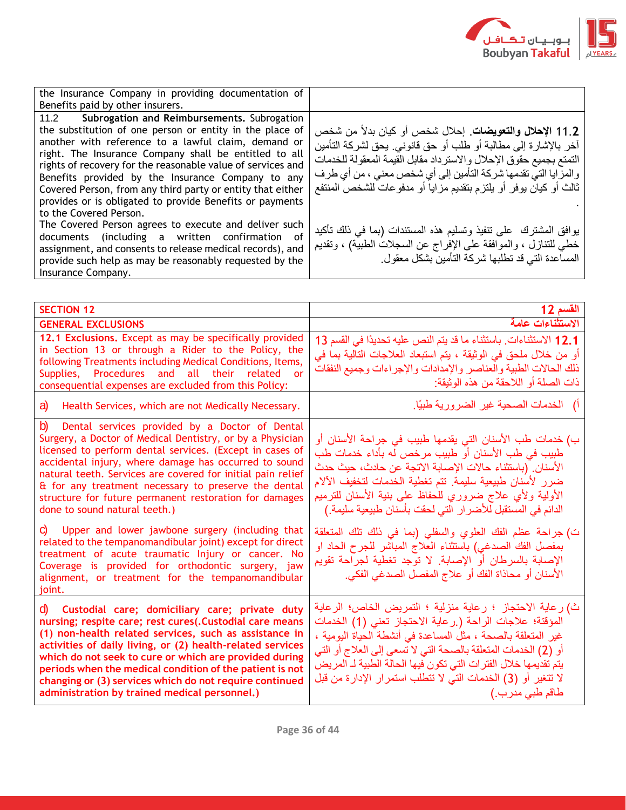

| the Insurance Company in providing documentation of                                                                                                                                                                                                                                                                                                                                                                                                                                                  |                                                                                                                                                                                                                                                                                                                                                    |
|------------------------------------------------------------------------------------------------------------------------------------------------------------------------------------------------------------------------------------------------------------------------------------------------------------------------------------------------------------------------------------------------------------------------------------------------------------------------------------------------------|----------------------------------------------------------------------------------------------------------------------------------------------------------------------------------------------------------------------------------------------------------------------------------------------------------------------------------------------------|
| Benefits paid by other insurers.                                                                                                                                                                                                                                                                                                                                                                                                                                                                     |                                                                                                                                                                                                                                                                                                                                                    |
| 11.2 Subrogation and Reimbursements. Subrogation<br>the substitution of one person or entity in the place of<br>another with reference to a lawful claim, demand or<br>right. The Insurance Company shall be entitled to all<br>rights of recovery for the reasonable value of services and<br>Benefits provided by the Insurance Company to any<br>Covered Person, from any third party or entity that either<br>provides or is obligated to provide Benefits or payments<br>to the Covered Person. | ـ 11. <b>2 الإحلال والتعويضات</b> . إحلال شخص أو كيان بدلاً من شخص<br>آخر بالإشارة إلى مطالبة أو طلب أو حق قانوني. يحق لشركة التأمين<br>التمتع بجميع حقوق الإحلال والاسترداد مقابل القيمة المعقولة للخدمات<br>والمزايا التي تقدمها شركة التأمين إلى أي شخص معنى ، من أي طرف<br>  ثالث أو كيان يوفر أو يلتزم بتقديم مزاياً أو مدفوعات للشخص المنتفع |
| The Covered Person agrees to execute and deliver such<br>documents (including a written confirmation<br>of<br>assignment, and consents to release medical records), and<br>provide such help as may be reasonably requested by the<br>Insurance Company.                                                                                                                                                                                                                                             | بوافق المشترك على نتفيذ وتسليم هذه المستندات (بما في ذلك تأكيد<br>خطي للتنازل ، والموافقة على الإفراج عن السجلات الطبية) ، وتقديم<br>المساعدة التي قد تطلبها شركة التَّامين بشكل معقول                                                                                                                                                             |

| <b>SECTION 12</b>                                                                                                                                                                                                                                                                                                                                                                                                                                                                                             | القسم 12                                                                                                                                                                                                                                                                                                                                                                                                                    |
|---------------------------------------------------------------------------------------------------------------------------------------------------------------------------------------------------------------------------------------------------------------------------------------------------------------------------------------------------------------------------------------------------------------------------------------------------------------------------------------------------------------|-----------------------------------------------------------------------------------------------------------------------------------------------------------------------------------------------------------------------------------------------------------------------------------------------------------------------------------------------------------------------------------------------------------------------------|
| <b>GENERAL EXCLUSIONS</b>                                                                                                                                                                                                                                                                                                                                                                                                                                                                                     | الاستثناءات عامة                                                                                                                                                                                                                                                                                                                                                                                                            |
| 12.1 Exclusions. Except as may be specifically provided<br>in Section 13 or through a Rider to the Policy, the<br>following Treatments including Medical Conditions, Items,<br>Supplies, Procedures and all their related or<br>consequential expenses are excluded from this Policy:                                                                                                                                                                                                                         | 12.1 الاستثناءات باستثناء ما قد يتم النص عليه تحديدًا في القسم 13<br>أو من خلال ملحق في الوثيقة ، يتم استبعاد العلاجات التالية بما في<br>ذلك الحالات الطبية والعناصر والإمدادات والإجراءات وجميع النفقات<br>ذات الصلة أو اللاحقة من هذه الوثيقة:                                                                                                                                                                            |
| a)<br>Health Services, which are not Medically Necessary.                                                                                                                                                                                                                                                                                                                                                                                                                                                     | أ) الخدمات الصحية غير الضرورية طبيًا.                                                                                                                                                                                                                                                                                                                                                                                       |
| b)<br>Dental services provided by a Doctor of Dental<br>Surgery, a Doctor of Medical Dentistry, or by a Physician<br>licensed to perform dental services. (Except in cases of<br>accidental injury, where damage has occurred to sound<br>natural teeth. Services are covered for initial pain relief<br>& for any treatment necessary to preserve the dental<br>structure for future permanent restoration for damages<br>done to sound natural teeth.)<br>C Upper and lower jawbone surgery (including that | ب) خدمات طب الأسنان التي يقدمها طبيب في جراحة الأسنان أو<br>طبيب في طب الأسنان أو طبيب مرخص له بأداء خدمات طب<br>الأسنان. (باستثناء حالات الإصابة الاتجة عن حادث، حيث حدث<br>ضرر لأسنان طبيعية سليمة. تتم تغطية الخدمات لتخفيف الآلام<br>الأولية ولأي علاج ضروري للحفاظ على بنية الأسنان للترميم<br>الدائم في المستقبل للأضرار التي لحقت بأسنان طبيعية سليمة.)<br>ت) جراحة عظم الفك العلوي والسفلي (بما في ذلك تلك المتعلقة |
| related to the tempanomandibular joint) except for direct<br>treatment of acute traumatic lnjury or cancer. No<br>Coverage is provided for orthodontic surgery, jaw<br>alignment, or treatment for the tempanomandibular<br>joint.                                                                                                                                                                                                                                                                            | بمفصل الفك الصدغي) باستثناء العلاج المباشر للجرح الحاد او<br>الإصابة بالسرطان أو الإصابة. لا توجد تغطية لجراحة تقويم<br>الأسنان أو محاذاة الفك أو علاج المفصل الصدغي الفكي.                                                                                                                                                                                                                                                 |
| Custodial care; domiciliary care; private duty<br>d) a<br>nursing; respite care; rest cures(.Custodial care means<br>(1) non-health related services, such as assistance in<br>activities of daily living, or (2) health-related services<br>which do not seek to cure or which are provided during<br>periods when the medical condition of the patient is not<br>changing or (3) services which do not require continued<br>administration by trained medical personnel.)                                   | ث) رعاية الاحتجاز ؛ رعاية منزلية ؛ التمريض الخاص؛ الرعاية<br>المؤقتة؛ علاجات الراحة (٫رعاية الاحتجاز تعني (1) الخدمات<br>غير المتعلقة بالصحة ، مثل المساعدة في أنشطة الحياة اليومية ،<br>أو (2) الخدمات المتعلقة بالصحة التي لا تسعى إلى العلاج أو التي<br>يتم تقديمها خلال الفترات التي تكون فيها الحالة الطبية لـ المريض<br>لا تتغير أو (3) الخدمات التي لا تتطلب استمرار الإدارة من قبل<br>طاقم طبي مدرب ِ)              |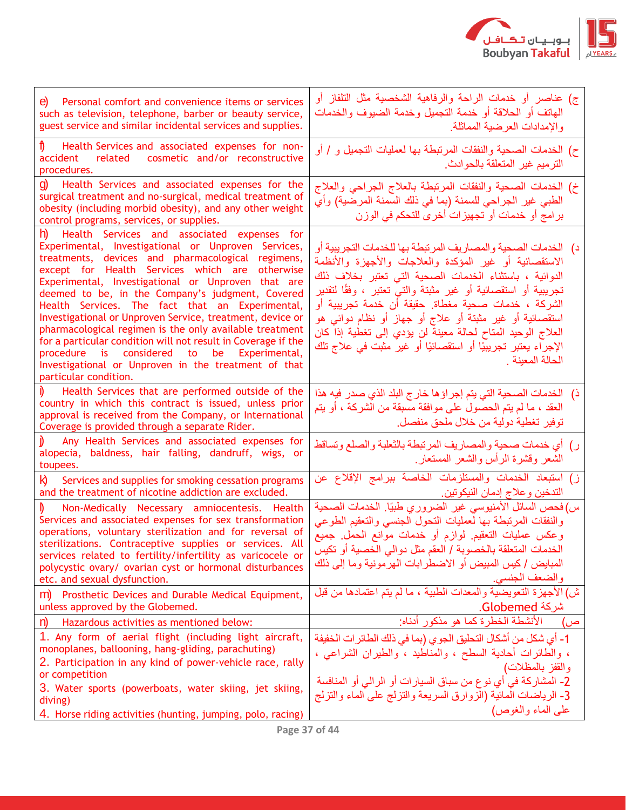

| Personal comfort and convenience items or services<br>e)<br>such as television, telephone, barber or beauty service,<br>guest service and similar incidental services and supplies.                                                                                                                                                                                                                                                                                                                                                                                                                                                                                                                   | ج) عناصر أو خدمات الراحة والرفاهية الشخصية مثل التلفاز أو<br>الهاتف أو الحلاقة أو خدمة التجميل وخدمة الضيوف والخدمات<br>والإمدادات العرضية المماثلة.                                                                                                                                                                                                                                                                                                                                                                       |
|-------------------------------------------------------------------------------------------------------------------------------------------------------------------------------------------------------------------------------------------------------------------------------------------------------------------------------------------------------------------------------------------------------------------------------------------------------------------------------------------------------------------------------------------------------------------------------------------------------------------------------------------------------------------------------------------------------|----------------------------------------------------------------------------------------------------------------------------------------------------------------------------------------------------------------------------------------------------------------------------------------------------------------------------------------------------------------------------------------------------------------------------------------------------------------------------------------------------------------------------|
| Health Services and associated expenses for non-<br>related cosmetic and/or reconstructive<br>accident<br>procedures.                                                                                                                                                                                                                                                                                                                                                                                                                                                                                                                                                                                 | ح) الخدمات الصحية والنفقات المرتبطة بها لعمليات التجميل و / أو<br>الترميم غير المتعلقة بالحوادث                                                                                                                                                                                                                                                                                                                                                                                                                            |
| g)<br>Health Services and associated expenses for the<br>surgical treatment and no-surgical, medical treatment of<br>obesity (including morbid obesity), and any other weight<br>control programs, services, or supplies.                                                                                                                                                                                                                                                                                                                                                                                                                                                                             | خ) الخدمات الصحية والنفقات المرتبطة بالعلاج الجراحي والعلاج<br>الطبي غير الجراحي للسمنة (بما في ذلك السمنة المرضية) وأي<br>برامج أو خدمات أو تجهيزات أخرى للتحكم في الوزن                                                                                                                                                                                                                                                                                                                                                  |
| h)<br>Health Services and associated expenses for<br>Experimental, Investigational or Unproven Services,<br>treatments, devices and pharmacological regimens,<br>except for Health Services which are otherwise<br>Experimental, Investigational or Unproven that are<br>deemed to be, in the Company's judgment, Covered<br>Health Services. The fact that an Experimental,<br>Investigational or Unproven Service, treatment, device or<br>pharmacological regimen is the only available treatment<br>for a particular condition will not result in Coverage if the<br>procedure is considered to be Experimental,<br>Investigational or Unproven in the treatment of that<br>particular condition. | د)   الخدمات الصحية والمصاريف المرتبطة بها للخدمات التجريبية أو<br>الاستقصائية أو غير المؤكدة والعلاجات والأجهزة والأنظمة<br>الدوائية ، باستثناء الخدمات الصحية التي تعتبر بخلاف ذلك<br>تجريبية أو استقصائية أو غير مثبتة والتـي تعتبر ، وفقًا لتقدير<br>الشركة ، خدمات صحية مغطاة. حقيقة أن خدمة تجريبية أو<br>استقصائية أو غير مثبتة أو علاج أو جهاز أو نظام دوائبي هو<br>العلاج الوحيد المتاح لحالة معينة لن يؤدي إلى تغطية إذا كان<br>الإجراء يعتبر تجريبيًا أو استقصائيًا أو غير مثبت في علاج تلك<br>الحالة المعينة . |
| Health Services that are performed outside of the<br>country in which this contract is issued, unless prior<br>approval is received from the Company, or International<br>Coverage is provided through a separate Rider.                                                                                                                                                                                                                                                                                                                                                                                                                                                                              | ذ)   الخدمات الصحية التي يتم إجراؤها خارج البلد الذي صدر فيه هذا<br>العقد ، ما لم يتم الحصول على موافقة مسبقة من الشركة ، أو يتم<br>توفير تغطية دولية من خلال ملحق منفصل.                                                                                                                                                                                                                                                                                                                                                  |
| Any Health Services and associated expenses for<br>alopecia, baldness, hair falling, dandruff, wigs, or<br>toupees.                                                                                                                                                                                                                                                                                                                                                                                                                                                                                                                                                                                   | ر) أي خدمات صحية والمصاريف المرتبطة بالثعلبة والصلع وتساقط<br>الشعر وقشرة الرأس والشعر المستعار                                                                                                                                                                                                                                                                                                                                                                                                                            |
| Services and supplies for smoking cessation programs<br>Ю<br>and the treatment of nicotine addiction are excluded.                                                                                                                                                                                                                                                                                                                                                                                                                                                                                                                                                                                    | ز) استبعاد الخدمات والمستلزمات الخاصة ببرآمج الإقلاع عن<br>التدخين و علاج إدمان النيكوتين.                                                                                                                                                                                                                                                                                                                                                                                                                                 |
| Non-Medically Necessary amniocentesis. Health<br>Services and associated expenses for sex transformation<br>operations, voluntary sterilization and for reversal of<br>sterilizations. Contraceptive supplies or services. All<br>services related to fertility/infertility as varicocele or<br>polycystic ovary/ ovarian cyst or hormonal disturbances<br>etc. and sexual dysfunction.                                                                                                                                                                                                                                                                                                               | س) فحص السائل الأمنيوسي غير الضروري طبيًا. الخدمات الصحية<br>والنفقات المرتبطة بها لعمليات التحول الجنسى والتعقيم الطوعى<br>وعكس عمليات التعقيم لوازم أو خدمات موانع الحمل جميع<br>الخدمات المتعلقة بالخصوبة / العقم مثل دوالي الخصية أو تكيس<br>المبايض / كيس المبيض أو الاضطرابات الهرمونية وما إلى ذلك<br>والضعف الجنسي.                                                                                                                                                                                                |
| m) Prosthetic Devices and Durable Medical Equipment,<br>unless approved by the Globemed.                                                                                                                                                                                                                                                                                                                                                                                                                                                                                                                                                                                                              | ش) الأجهزة التعويضية والمعدات الطبية ، ما لم يتم اعتمادها من قبل<br>شركة Globemed.                                                                                                                                                                                                                                                                                                                                                                                                                                         |
| n)<br>Hazardous activities as mentioned below:                                                                                                                                                                                                                                                                                                                                                                                                                                                                                                                                                                                                                                                        | الأنشطة الخطرة كما هو مذكور أدناه:                                                                                                                                                                                                                                                                                                                                                                                                                                                                                         |
| 1. Any form of aerial flight (including light aircraft,<br>monoplanes, ballooning, hang-gliding, parachuting)<br>2. Participation in any kind of power-vehicle race, rally<br>or competition                                                                                                                                                                                                                                                                                                                                                                                                                                                                                                          | 1- أي شكل من أشكال التحليق الجوى (بما في ذلك الطائر ات الخفيفة<br>، والطائرات أحادية السطح ، والمناطيد ، والطيران الشراعي ،<br>والقفز بالمظلات)<br>والفقر بالمظلات)<br>2- المشاركة في أي نوع من سباق السيارات أو الرالي أو المنافسة                                                                                                                                                                                                                                                                                        |
| 3. Water sports (powerboats, water skiing, jet skiing,<br>diving)<br>4. Horse riding activities (hunting, jumping, polo, racing)                                                                                                                                                                                                                                                                                                                                                                                                                                                                                                                                                                      | 3- الرياضات المائية (الزوارق السريعة والتزلج على الماء والتزلج<br>على الماء والغوص)                                                                                                                                                                                                                                                                                                                                                                                                                                        |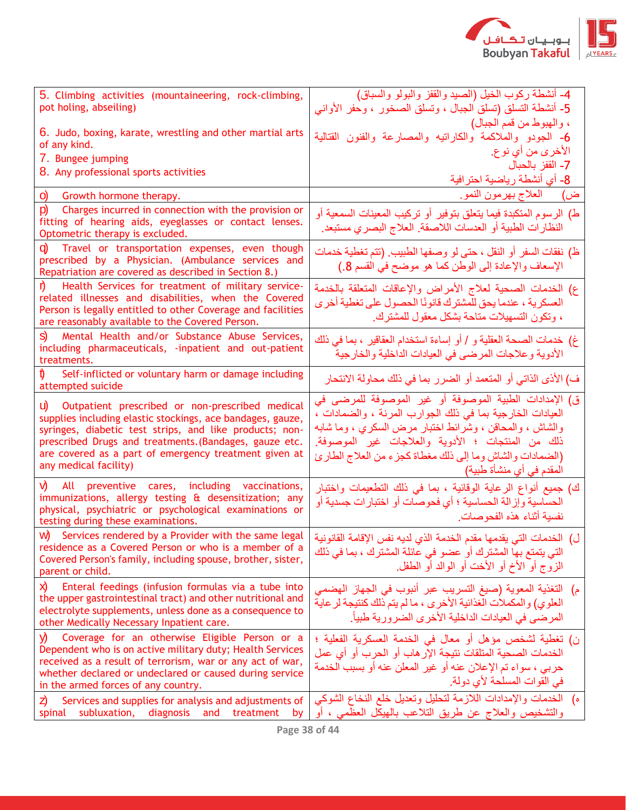

| 5. Climbing activities (mountaineering, rock-climbing,<br>pot holing, abseiling)                                                                                                                                                                                                                                           | 4- أنشطة ركوب الخيل (الصَّيد والقفز والبولو والسباق)<br>5- أنشطة التسلق (تسلق الجبال ، وتسلق الصخور ، وحفر الأواني                                                                                                                                                                                                          |
|----------------------------------------------------------------------------------------------------------------------------------------------------------------------------------------------------------------------------------------------------------------------------------------------------------------------------|-----------------------------------------------------------------------------------------------------------------------------------------------------------------------------------------------------------------------------------------------------------------------------------------------------------------------------|
| 6. Judo, boxing, karate, wrestling and other martial arts<br>of any kind.<br>7. Bungee jumping<br>8. Any professional sports activities                                                                                                                                                                                    | ، والهبوط من قمم الجبال)<br>6- الجودو والملاكمة والكاراتيه والمصارعة والفنون القتالية<br>الأخر ي من أي نو ع.<br>7- القفز بالحبال<br>8- أي أنشطة رياضية احترافية                                                                                                                                                             |
| $\circ$<br>Growth hormone therapy.                                                                                                                                                                                                                                                                                         | ض) العلاج بهرمون النمو.                                                                                                                                                                                                                                                                                                     |
| p)<br>Charges incurred in connection with the provision or<br>fitting of hearing aids, eyeglasses or contact lenses.<br>Optometric therapy is excluded.                                                                                                                                                                    | ط) الرسوم المتكبدة فيما يتعلق بتوفير أو تركيب المعينات السمعية أو<br>النظار ات الطبية أو العدسات اللاصقة. العلاج البصري مستبعد.                                                                                                                                                                                             |
| Travel or transportation expenses, even though<br>Q)<br>prescribed by a Physician. (Ambulance services and<br>Repatriation are covered as described in Section 8.)                                                                                                                                                         | ظ) نفقات السفر أو النقل ، حتى لو وصفها الطبيب (نتم تغطية خدمات<br>الإسعاف والإعادة إلى الوطن كما هو موضح في القسم 8.)                                                                                                                                                                                                       |
| Health Services for treatment of military service-<br>related illnesses and disabilities, when the Covered<br>Person is legally entitled to other Coverage and facilities<br>are reasonably available to the Covered Person.                                                                                               | ع) الخدمات الصحية لعلاج الأمراض والإعاقات المتعلقة بالخدمة<br>العسكرية ، عندما يحق للمشترك قانونًا الحصول على تغطية أخرى<br>، وتكون التسهيلات متاحة بشكل معقول للمشترك.                                                                                                                                                     |
| Mental Health and/or Substance Abuse Services,<br>S)<br>including pharmaceuticals, -inpatient and out-patient<br>treatments.                                                                                                                                                                                               | غ) خدمات الصحة العقلية و / أو إساءة استخدام العقاقير ، بما في ذلك<br>الأدوية وعلاجات المرضى في العيادات الداخلية والخارجية                                                                                                                                                                                                  |
| Self-inflicted or voluntary harm or damage including<br>attempted suicide                                                                                                                                                                                                                                                  | ف) الأذى الذاتي أو المتعمد أو الضرر بما في ذلك محاولة الانتحار                                                                                                                                                                                                                                                              |
| Outpatient prescribed or non-prescribed medical<br>U)<br>supplies including elastic stockings, ace bandages, gauze,<br>syringes, diabetic test strips, and like products; non-<br>prescribed Drugs and treatments. (Bandages, gauze etc.<br>are covered as a part of emergency treatment given at<br>any medical facility) | ق) الإمدادات الطبية الموصوفة أو غير الموصوفة للمرضى في<br>العيادات الخارجية بما في ذلك الجوارب المرنة ، والضمادات ،<br>والشاش ، والمحاقن ، وشرائط اختبار مرض السكري ، وما شابه<br>ذلك من المنتجات ؛ الأدوية والعلاجات غير الموصوفة.<br>(الضمادات والشاش وما إلى ذلك مغطاة كجزء من العلاج الطارئ<br>المقدم في أي منشأة طبية) |
| V).<br>All preventive cares, including vaccinations,<br>immunizations, allergy testing & desensitization; any<br>physical, psychiatric or psychological examinations or<br>testing during these examinations.                                                                                                              | ك) جميع أنواع الرعاية الوقائية ، بما في ذلك التطعيمات واختبار<br>الحساسية وإزالة الحساسية ؛ أي فحوصات أو اختبارات جسدية أو<br>نفسية أثناء هذه الفحوصات.                                                                                                                                                                     |
| W) Services rendered by a Provider with the same legal<br>residence as a Covered Person or who is a member of a<br>Covered Person's family, including spouse, brother, sister,<br>parent or child.                                                                                                                         | ل)  الخدمات التي يقدمها مقدم الخدمة الذي لديه نفس الإقامة القانونية<br>التي يتمتع بها المشترك أو عضو في عائلة المشترك ، بما في ذلك<br>الزوج أو الأخ أو الأخت أو الوالد أو الطفل.                                                                                                                                            |
| X)<br>Enteral feedings (infusion formulas via a tube into<br>the upper gastrointestinal tract) and other nutritional and<br>electrolyte supplements, unless done as a consequence to<br>other Medically Necessary Inpatient care.                                                                                          | التغذية المعوية (صيغ التسريب عبر أنبوب في الجهاز الهضمي<br>م)<br>العلوي) والمكملات الغذائية الأخرى ، ما لم يتم ذلك كنتيجة لر عاية<br>المرضى في العيادات الداخلية الأخرى الضرورية طبياً.                                                                                                                                     |
| V)<br>Coverage for an otherwise Eligible Person or a<br>Dependent who is on active military duty; Health Services<br>received as a result of terrorism, war or any act of war,<br>whether declared or undeclared or caused during service<br>in the armed forces of any country.                                           | ن) تغطية لشخص مؤهل أو معال في الخدمة العسكرية الفعلية ؛<br>الخدمات الصحية المتلقات نتيجة الإر هاب أو الحر ب أو أي عمل<br>حريبي ، سواء تم الإعلان عنه أو غير المعلن عنه أو بسبب الخدمة<br>في القوات المسلحة لأي دولة.                                                                                                        |
| Z)<br>Services and supplies for analysis and adjustments of<br>diagnosis<br>subluxation,<br>and<br>treatment<br>spinal<br>by                                                                                                                                                                                               | ه) الخدمات والإمدادات اللازمة لتحليل وتعديل خلع النخاع الشوكي<br>والتشخيص والعلاج عن طريق التلاعب بالمهيكل العظمي ، أو                                                                                                                                                                                                      |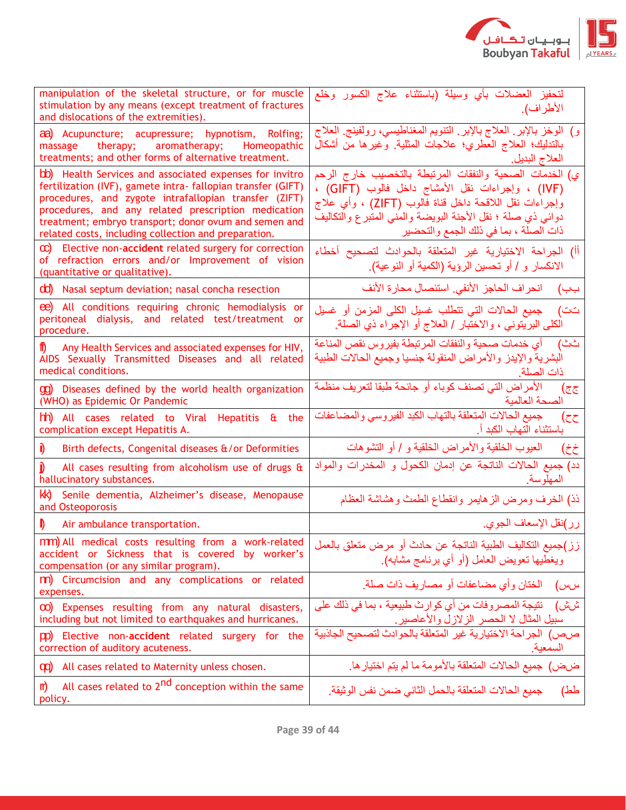

| manipulation of the skeletal structure, or for muscle<br>stimulation by any means (except treatment of fractures<br>and dislocations of the extremities).                                                                                                                                                                                                | لتحفيز العضلات بأي وسيلة (باستثناء علاج الكسور وخلع<br>الأطراف).                                                                                                                                                                                                             |
|----------------------------------------------------------------------------------------------------------------------------------------------------------------------------------------------------------------------------------------------------------------------------------------------------------------------------------------------------------|------------------------------------------------------------------------------------------------------------------------------------------------------------------------------------------------------------------------------------------------------------------------------|
| aa) Acupuncture; acupressure; hypnotism, Rolfing;<br>massage therapy; aromatherapy;<br>Homeopathic<br>treatments; and other forms of alternative treatment.                                                                                                                                                                                              | و) الوخز بالإبر ِ العلاج بالإبر ِ الننويم المغناطيسي، رولفينج ِ العلاج<br>بالتدليك؛ العلاج العطري؛ علاجات المثلية <sub>.</sub> وغيرها من أشكال<br>العلاج البديل.                                                                                                             |
| bb) Health Services and associated expenses for invitro<br>fertilization (IVF), gamete intra- fallopian transfer (GIFT)<br>procedures, and zygote intrafallopian transfer (ZIFT)<br>procedures, and any related prescription medication<br>treatment; embryo transport; donor ovum and semen and<br>related costs, including collection and preparation. | ي) الخدمات الصحية والنفقات المرتبطة بالتخصيب خارج الرحم<br>(IVF) ، وإجراءات نقل الأمشاج داخل فالوب (GIFT) ،<br>وإجراءات نقل اللاقحة داخل قناة فالوب (ZIFT) ، وأي علاج<br>دوائي ذي صلة ؛ نقل الأجنة البويضة والمني المتبرع والتكاليف<br>ذات الصلة ، بما في ذلك الجمع والتحضير |
| $\infty$ Elective non-accident related surgery for correction<br>of refraction errors and/or Improvement of vision<br>(quantitative or qualitative).                                                                                                                                                                                                     | أأ) الجراحة الاختيارية غير المتعلقة بالحوادث لتصحيح أخطاء<br>الانكسار و / أو تحسين الرؤية (الكمية أو النوعية).                                                                                                                                                               |
| dd) Nasal septum deviation; nasal concha resection                                                                                                                                                                                                                                                                                                       | بب) انحراف الحاجز الأنفي. استئصال محارة الأنف                                                                                                                                                                                                                                |
| ee) All conditions requiring chronic hemodialysis or<br>peritoneal dialysis, and related test/treatment or<br>procedure.                                                                                                                                                                                                                                 | تت)    جميع الحالات التي تتطلب غسيل الكلي المزمن أو غسيل<br>الكلي البريتوني ، والاختبار / العلاج أو الإجراء ذي الصلة.                                                                                                                                                        |
| Any Health Services and associated expenses for HIV,<br>TI)<br>AIDS Sexually Transmitted Diseases and all related<br>medical conditions.                                                                                                                                                                                                                 | أي خدمات صحية والنفقات المرتبطة بفيروس نقص المناعة<br>ٽن)<br>البشرية والإيدز والأمراض المنقولة جنسيا وجميع الحالات الطبية<br>ذات الصلة.                                                                                                                                      |
| <b>(p)</b> Diseases defined by the world health organization<br>(WHO) as Epidemic Or Pandemic                                                                                                                                                                                                                                                            | الأمراض التي تصنف كوباء أو جائحة طبقا لتعريف منظمة<br>جج)<br>الصحة العالمية                                                                                                                                                                                                  |
| <b>hh</b> ) All cases related to Viral Hepatitis<br>& the<br>complication except Hepatitis A.                                                                                                                                                                                                                                                            | جميع الحالات المتعلقة بالتهاب الكبد الفيروسي والمضاعفات<br>ح ح)<br>باستثناء التهاب الكبد أ.                                                                                                                                                                                  |
| Birth defects, Congenital diseases &/or Deformities                                                                                                                                                                                                                                                                                                      | العيوب الخلقية والأمراض الخلقية و / أو التشوهات<br>خ خ)                                                                                                                                                                                                                      |
| All cases resulting from alcoholism use of drugs &<br>hallucinatory substances.                                                                                                                                                                                                                                                                          | دد) جميع الحالات الناتجة عن إدمان الكحول و المخدرات والمواد<br>المهلو سة.                                                                                                                                                                                                    |
| Senile dementia, Alzheimer's disease, Menopause<br>KK)<br>and Osteoporosis                                                                                                                                                                                                                                                                               | ذذ) الخرف ومرض الزهايمر وانقطاع الطمث وهشاشة العظام                                                                                                                                                                                                                          |
| Air ambulance transportation.                                                                                                                                                                                                                                                                                                                            | رر)نقل الإسعاف الجوي                                                                                                                                                                                                                                                         |
| mm) All medical costs resulting from a work-related<br>accident or Sickness that is covered by worker's<br>compensation (or any similar program).                                                                                                                                                                                                        | زز)جميع التكاليف الطبية الناتجة عن حادث أو مرض متعلق بالعمل<br>ويغطيها تعويض العامل (أو أي برنامج مشابه).                                                                                                                                                                    |
| m) Circumcision and any complications or related<br>expenses.                                                                                                                                                                                                                                                                                            | سس) الختان وأي مضاعفات أو مصاريف ذات صلة.                                                                                                                                                                                                                                    |
| 00) Expenses resulting from any natural disasters,<br>including but not limited to earthquakes and hurricanes.                                                                                                                                                                                                                                           | شش) نتيجة المصروفات من أي كوارث طبيعية ، بما في ذلك على<br>سبيل المثال لا الحصر الزلازل والأعاصير.<br>ص0ص) الجراحة الاختيارية غير المتعلقة بالحوادث لتصحيح الجاذبية                                                                                                          |
| pp) Elective non-accident related surgery for the<br>correction of auditory acuteness.                                                                                                                                                                                                                                                                   | السمعية.                                                                                                                                                                                                                                                                     |
| All cases related to Maternity unless chosen.<br>qq                                                                                                                                                                                                                                                                                                      | ضض) جميع الحالات المتعلقة بالأمومة ما لم يتم اختيار ها.                                                                                                                                                                                                                      |
| All cases related to 2 <sup>nd</sup> conception within the same<br>m)<br>policy.                                                                                                                                                                                                                                                                         | جميع الحالات المتعلقة بالحمل الثاني ضمن نفس الوثيقة.<br>طط)                                                                                                                                                                                                                  |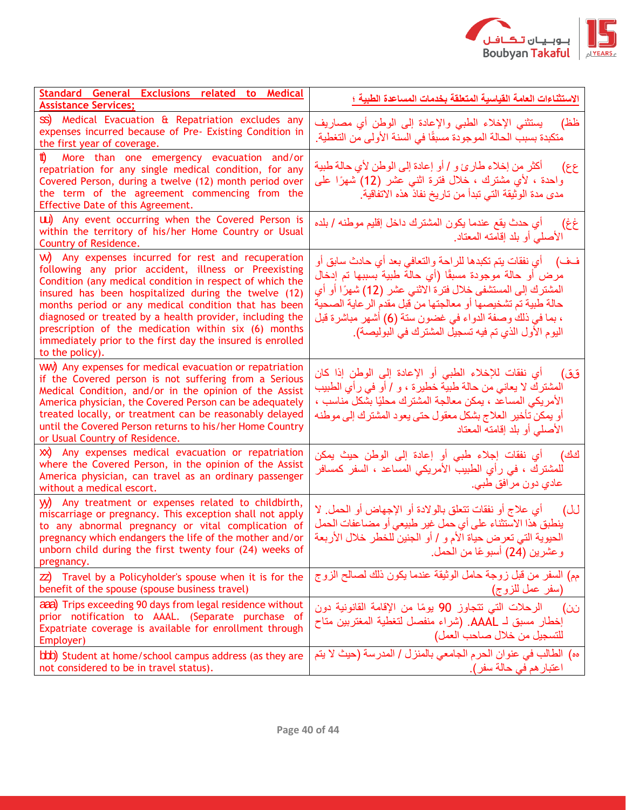

| Standard General Exclusions related to Medical<br><b>Assistance Services;</b>                                                                                                                                                                                                                                                                                                                                                                                                               | الاستثناءات العامة القياسية المتعلقة بخدمات المساعدة الطبية ؛                                                                                                                                                                                                                                                                                                                |
|---------------------------------------------------------------------------------------------------------------------------------------------------------------------------------------------------------------------------------------------------------------------------------------------------------------------------------------------------------------------------------------------------------------------------------------------------------------------------------------------|------------------------------------------------------------------------------------------------------------------------------------------------------------------------------------------------------------------------------------------------------------------------------------------------------------------------------------------------------------------------------|
| SS) Medical Evacuation & Repatriation excludes any<br>expenses incurred because of Pre- Existing Condition in<br>the first year of coverage.                                                                                                                                                                                                                                                                                                                                                | يستثنى الإخلاء الطبي والإعادة إلى الوطن أي مصاريف<br>ظظ)<br>متكبدة بسبب الحالة الموجودة مسبقًا في السنة الأولى من التغطية.                                                                                                                                                                                                                                                   |
| tt)<br>More than one emergency evacuation and/or<br>repatriation for any single medical condition, for any<br>Covered Person, during a twelve (12) month period over<br>the term of the agreement commencing from the<br>Effective Date of this Agreement.                                                                                                                                                                                                                                  | أكثر من إخلاء طارئ و / أو إعادة إلى الوطن لأي حالة طبية<br>عع)<br>واحدة ، لأي مشترك ، خلال فترة اثنـي عشر (12) شـهرًا علـي<br>مدى مدة الوثيقة التي تبدأ من تاريخ نفاذ هذه الاتفاقية.                                                                                                                                                                                         |
| UU) Any event occurring when the Covered Person is<br>within the territory of his/her Home Country or Usual<br>Country of Residence.                                                                                                                                                                                                                                                                                                                                                        | أي حدث يقع عندما يكون المشترك داخل إقليم موطنه / بلده<br>غځ)<br>الأصلى أو بلد إقامته المعتاد.                                                                                                                                                                                                                                                                                |
| W) Any expenses incurred for rest and recuperation<br>following any prior accident, illness or Preexisting<br>Condition (any medical condition in respect of which the<br>insured has been hospitalized during the twelve (12)<br>months period or any medical condition that has been<br>diagnosed or treated by a health provider, including the<br>prescription of the medication within six (6) months<br>immediately prior to the first day the insured is enrolled<br>to the policy). | فف)     أي نفقات يتم تكبدها للراحة والتعافي بعد أي حادث سابق أو<br>مرض أو حالة موجودة مسبقًا (أي حالة طبية بسببها تم إدخال<br>المشترك إلى المستشفى خلال فترة الاثنىي عشر (12) شهرًا أو أي<br>حالة طبية تم تشخيصها أو معالجتها من قبل مقدم الر عاية الصحية<br>، بما في ذلك وصفة الدواء في غضون ستة (6) أشهر مباشرة قبل<br>اليوم الأول الذي تم فيه تسجيل المشترك في البوليصة). |
| WW) Any expenses for medical evacuation or repatriation<br>if the Covered person is not suffering from a Serious<br>Medical Condition, and/or in the opinion of the Assist<br>America physician, the Covered Person can be adequately<br>treated locally, or treatment can be reasonably delayed<br>until the Covered Person returns to his/her Home Country<br>or Usual Country of Residence.                                                                                              | أي نفقات للإخلاء الطبي أو الإعادة إلى الوطن إذا كان<br>قق)<br>المشترك لا يعاني من حالة طبية خطيرة ، و / أو في رأي الطبيب<br>الأمريكي المساعد ، يمكن معالجة المشترك محليًا بشكل مناسب ،<br>أو يمكن تأخير العلاج بشكل معقول حتى يعود المشترك إلى موطنه<br>الأصلبي أو بلد إقامته المعتاد                                                                                        |
| XX) Any expenses medical evacuation or repatriation<br>where the Covered Person, in the opinion of the Assist<br>America physician, can travel as an ordinary passenger<br>without a medical escort.                                                                                                                                                                                                                                                                                        | كَكَ)        أي  نفقات  إجلاء  طبي  أو  إعادة  إلى  الوطن  حيث  يمكن<br>للمشترك ، في رأي الطبيب الأمريكي المساعد ، السفر كمسافر<br>عادي دون مرافق طبي.                                                                                                                                                                                                                       |
| Any treatment or expenses related to childbirth,<br>W)<br>miscarriage or pregnancy. This exception shall not apply<br>to any abnormal pregnancy or vital complication of<br>pregnancy which endangers the life of the mother and/or<br>unborn child during the first twenty four (24) weeks of<br>pregnancy.                                                                                                                                                                                | أي علاج أو نفقات تتعلَّق بالولادة أو الإجهاض أو الحمل. لا<br>(UJ<br>ينطبق هذا الاستثناء على أي حمل غير طبيعي أو مضاعفات الحمل<br>الحيوية التي تعرض حياة الأم و / أو الجنين للخطر خلال الأربعة<br>وعشرين (24) أسبوعًا من الحمل.                                                                                                                                               |
| $\overline{z}$ Travel by a Policyholder's spouse when it is for the<br>benefit of the spouse (spouse business travel)                                                                                                                                                                                                                                                                                                                                                                       | مِمِ) السفر من قبل زوجة حامل الوثيقة عندما يكون ذلك لصـالح الزوج<br>(سفر عمل للزوج)                                                                                                                                                                                                                                                                                          |
| <b>aaa)</b> Trips exceeding 90 days from legal residence without<br>prior notification to AAAL. (Separate purchase of<br>Expatriate coverage is available for enrollment through<br>Employer)                                                                                                                                                                                                                                                                                               | الرحلات التي تتجاوز 90 يومًا من الإقامة القانونية دون<br>نن)<br>إخطار مسبق لـ AAAL. (شراء منفصل لتغطية المغتربين متاح<br>للتسجيل من خلال صاحب العمل)                                                                                                                                                                                                                         |
| bbb) Student at home/school campus address (as they are<br>not considered to be in travel status).                                                                                                                                                                                                                                                                                                                                                                                          | هه) الطالب في عنوان الحرم الجامعي بالمنزل / المدرسة (حيث لا يتم<br>اعتبار هم في حالة سفر).                                                                                                                                                                                                                                                                                   |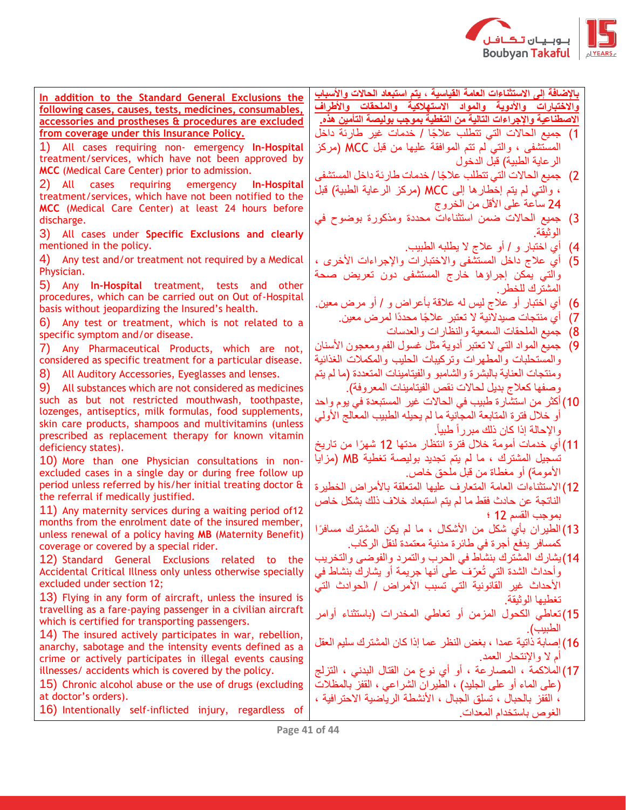

**باإلضافة إلى االستثناءات العامة القياسية ، يتم استبعاد الحاالت واألسباب واالختبارات واألدوية والمواد االستهالكية والملحقات واألطراف االصطناعية واإلجراءات التالية من التغطية بموجب بوليصة التأمين هذه.** 

- 1) جميع الحالات التي تتطلب علاجًا / خدمات غير طارئة داخل المستشفى ، والتي لم تتم الموافقة عليها من قبل MCC( مركز الرعاية الطبية) قبل الدخول
- 2( جميع الحاالت التي تتطلب عال ًجا / خدمات طارئة داخل المستشفى ، والتي لم يتم إخْطارها إلى MCC (مركز الرعاية الطبية) قبل 24 ساعة على الأقل من الخروج
- 3( جميع الحاالت ضمن استثناءات محددة ومذكورة بوضوح في الوثيقة.
	- 4( أي اختبار و / أو عالج ال يطلبه الطبيب.
- 5( أي عالج داخل المستشفى واالختبارات واإلجراءات األخرى ، والتي يمكن إجراؤها خارج المستشفى دون تعريض صحة المشترك للخطر.
- 6( أي اختبار أو عالج ليس له عالقة بأعراض و / أو مرض معين.
	- 7( أي منتجات صيدالنية ال تعتبر عال ًجا محدًدا لمرض معين.
		- 8( جميع الملحقات السمعية والنظارات والعدسات
- 9) جميع المواد التي لا تعتبر أدوية مثل غسول الفم ومعجون الأسنان والمستحلبات والمطهرات وتركيبات الحليب والمكمالت الغذائية ومنتجات العناية بالبشرة والشامبو والفيتامينات المتعددة )ما لم يتم وصفها كعلاج بديل لحالات نقص الفيتامينات المعروفة).
- 10(أكثر من استشارة طبيب في الحاالت غير المستبعدة في يوم واحد أو خالل فترة المتابعة المجانية ما لم يحيله الطبيب المعالج األولي واإلحالة إذا كان ذلك مبرراً طبيا.ً
- 11(أي خدمات أمومة خالل فترة انتظار مدتها 12 شهًرا من تاريخ تسجيل المشترك ، ما لم يتم تجديد بوليصة تغطية MB( مزايا الأمومة) أو مغطاة من قبل ملحق خاص.
- 12)الاستثناءات العامة المتعارف عليها المتعلقة بالأمراض الخطيرة الناتجة عن حادث فقط ما لم يتم استبعاد خالف ذلك بشكل خاص بموجب القسم 12 ؛
- 13) الطيران بأي شكل من الأشكال ، ما لم يكن المشترك مسافرًا كمسافر يدفع أجرة في طائرة مدنية معتمدة لنقل الركاب.
- 14(يشارك المشترك بنشاط في الحرب والتمرد والفوضى والتخريب وأحداث الشدة التي تُعّرف على أنها جريمة أو يشارك بنشاط في الأحداث غير القاّنونية التي تسبب الأمراض / الحوادث التيّ تغطيها الوثيقة.
- 15(تعاطي الكحول المزمن أو تعاطي المخدرات )باستثناء أوامر الطبيب(.
- 16(إصابة ذاتية عمدا ، بغض النظر عما إذا كان المشترك سليم العقل أم لا والإنتحار العمد.
- 17(المالكمة ، المصارعة ، أو أي نوع من القتال البدني ، التزلج )على الماء أو على الجليد( ، الطيران الشراعي ، القفز بالمظالت ، القفز بالحبال ، تسلق الجبال ، األنشطة الرياضية االحترافية ، الغوص باستخدام المعدات.

**In addition to the Standard General Exclusions the following cases, causes, tests, medicines, consumables, accessories and prostheses & procedures are excluded from coverage under this Insurance Policy.**

1) All cases requiring non- emergency **In-Hospital**  treatment/services, which have not been approved by **MCC** (Medical Care Center) prior to admission.

2) All cases requiring emergency **In-Hospital**  treatment/services, which have not been notified to the **MCC** (Medical Care Center) at least 24 hours before discharge.

3) All cases under **Specific Exclusions and clearly** mentioned in the policy.

4) Any test and/or treatment not required by a Medical Physician.

5) Any **In-Hospital** treatment, tests and other procedures, which can be carried out on Out of-Hospital basis without jeopardizing the Insured's health.

6) Any test or treatment, which is not related to a specific symptom and/or disease.

7) Any Pharmaceutical Products, which are not, considered as specific treatment for a particular disease.

8) All Auditory Accessories, Eyeglasses and lenses.

9) All substances which are not considered as medicines such as but not restricted mouthwash, toothpaste, lozenges, antiseptics, milk formulas, food supplements, skin care products, shampoos and multivitamins (unless prescribed as replacement therapy for known vitamin deficiency states).

10) More than one Physician consultations in nonexcluded cases in a single day or during free follow up period unless referred by his/her initial treating doctor & the referral if medically justified.

11) Any maternity services during a waiting period of12 months from the enrolment date of the insured member, unless renewal of a policy having **MB** (Maternity Benefit) coverage or covered by a special rider.

12) Standard General Exclusions related to the Accidental Critical Illness only unless otherwise specially excluded under section 12;

13) Flying in any form of aircraft, unless the insured is travelling as a fare-paying passenger in a civilian aircraft which is certified for transporting passengers.

14) The insured actively participates in war, rebellion, anarchy, sabotage and the intensity events defined as a crime or actively participates in illegal events causing illnesses/ accidents which is covered by the policy.

15) Chronic alcohol abuse or the use of drugs (excluding at doctor's orders).

16) Intentionally self-inflicted injury, regardless of

**Page 41 of 44**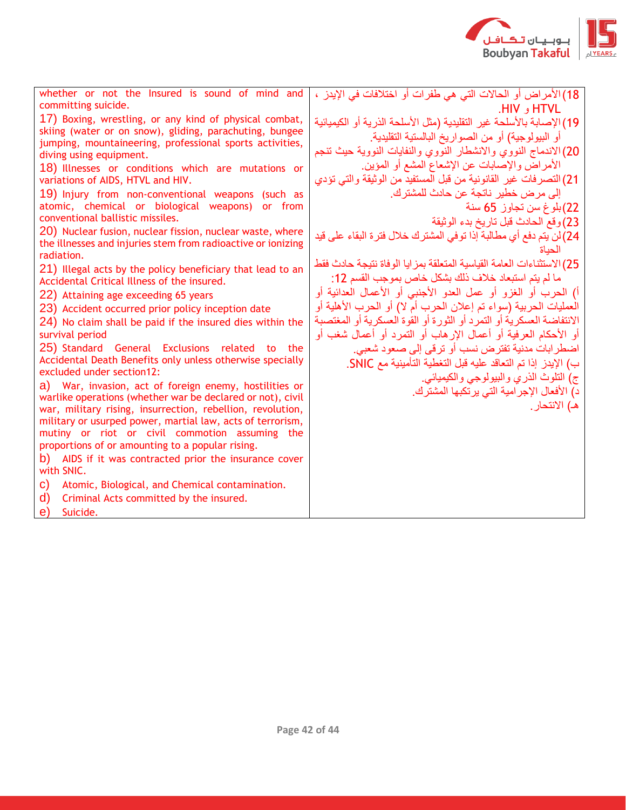

| whether or not the Insured is sound of mind and                                                    | 18) الأمراض أو الحالات التي هي طفرات أو اختلافات في الإيدز ،          |
|----------------------------------------------------------------------------------------------------|-----------------------------------------------------------------------|
| committing suicide.                                                                                | HIV, HTVL                                                             |
| 17) Boxing, wrestling, or any kind of physical combat,                                             | 19) الإصابة بالأسلحة غير التقليدية (مثل الأسلحة الذرية أو الكيميائية  |
| skiing (water or on snow), gliding, parachuting, bungee                                            | أو البيولوجية) أو من الصواريخ البالستية التقليدية.                    |
| jumping, mountaineering, professional sports activities,                                           | 20) الاندماج النووي والانشطار النووي والنفايات النووية حيث تنجم       |
| diving using equipment.                                                                            | الأمراض والإصابات عن الإشعاع المشع أو المؤين.                         |
| 18) Illnesses or conditions which are mutations or<br>variations of AIDS, HTVL and HIV.            | 21) التصرفات غير القانونية من قبل المستفيد من الوثيقة والتي تؤدي      |
| 19) Injury from non-conventional weapons (such as                                                  | إلى مر ض خطير  ناتجة عن حادث للمشتر ك.                                |
| atomic, chemical or biological weapons) or from                                                    | 22)بلوغ سن تجاوز 65 سنة                                               |
| conventional ballistic missiles.                                                                   | 23) وقع الحادث قبل تاريخ بدء الوثيقة                                  |
| 20) Nuclear fusion, nuclear fission, nuclear waste, where                                          |                                                                       |
| the illnesses and injuries stem from radioactive or ionizing                                       | 24) لن يتم دفع أي مطالبة إذا توفي المشترك خلال فترة البقاء على قيد    |
| radiation.                                                                                         | الحناة                                                                |
| 21) Illegal acts by the policy beneficiary that lead to an                                         | 25) الاستثناءات العامة القياسية المتعلقة بمزايا الوفاة نتيجة حادث فقط |
| Accidental Critical Illness of the insured.                                                        | ما لم يتم استبعاد خلاف ذلك بشكل خاص بموجب القسم 12:                   |
| 22) Attaining age exceeding 65 years                                                               | أ) الحرب أو الغزو أو عمل العدو الأجنبي أو الأعمال العدائية أو         |
| 23) Accident occurred prior policy inception date                                                  | العمليات الحربية (سواء تم إعلان الحرب أم لا) أو الحرب الأهلية أو      |
| 24) No claim shall be paid if the insured dies within the                                          | الانتفاضة العسكرية أو التمرد أو الثورة أو القوة العسكرية أو المغتصبة  |
| survival period                                                                                    | أو الأحكام العرفية أو أعمال الإرهاب أو التمرد أو أعمال شغب أو         |
| 25) Standard General Exclusions related to the                                                     | اضطر ابات مدنية تفتر ض نسب أو تر قي إلى صعود شعبي.                    |
| Accidental Death Benefits only unless otherwise specially                                          | ب) الإيدز إذا تم التعاقد عليه قبل التغطية التأمينية مع SNIC.          |
| excluded under section12:                                                                          | ج) التلوث الذري والبيولوجي والكيميائي.                                |
| a) War, invasion, act of foreign enemy, hostilities or                                             | د) الأفعال الإجرامية التي يرتكبها المشترك.                            |
| warlike operations (whether war be declared or not), civil                                         | هـ) الانتحار .                                                        |
| war, military rising, insurrection, rebellion, revolution,                                         |                                                                       |
| military or usurped power, martial law, acts of terrorism,                                         |                                                                       |
| mutiny or riot or civil commotion assuming the<br>proportions of or amounting to a popular rising. |                                                                       |
| AIDS if it was contracted prior the insurance cover<br>b)                                          |                                                                       |
| with SNIC.                                                                                         |                                                                       |
| Atomic, Biological, and Chemical contamination.<br>C)                                              |                                                                       |
| d)                                                                                                 |                                                                       |
| Criminal Acts committed by the insured.                                                            |                                                                       |
| e)<br>Suicide.                                                                                     |                                                                       |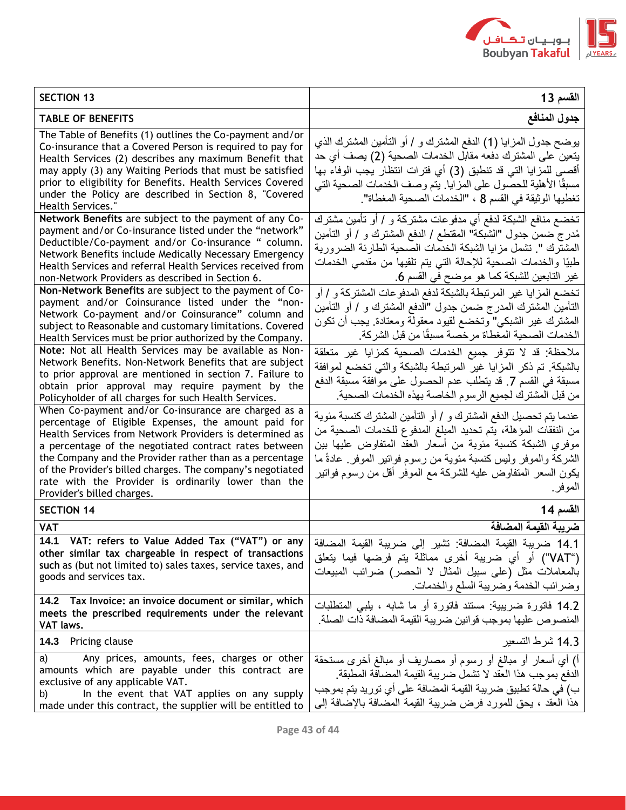

| <b>SECTION 13</b>                                                                                                                                                                                                                                                                                                                                                                                                                               | القسم 13                                                                                                                                                                                                                                                                                                                                         |
|-------------------------------------------------------------------------------------------------------------------------------------------------------------------------------------------------------------------------------------------------------------------------------------------------------------------------------------------------------------------------------------------------------------------------------------------------|--------------------------------------------------------------------------------------------------------------------------------------------------------------------------------------------------------------------------------------------------------------------------------------------------------------------------------------------------|
| <b>TABLE OF BENEFITS</b>                                                                                                                                                                                                                                                                                                                                                                                                                        | جدول المنافع                                                                                                                                                                                                                                                                                                                                     |
| The Table of Benefits (1) outlines the Co-payment and/or<br>Co-insurance that a Covered Person is required to pay for<br>Health Services (2) describes any maximum Benefit that<br>may apply (3) any Waiting Periods that must be satisfied<br>prior to eligibility for Benefits. Health Services Covered<br>under the Policy are described in Section 8, "Covered<br>Health Services."                                                         | يوضح جدول المزايا (1) الدفع المشنزك و / أو التأمين المشنزك الذي<br>يتعين على المشترك دفعه مقابل الخدمات الصحية (2) يصف أي حد<br>أقصـي للمزايا التي قد تنطبق (3) أي فترات انتظار يجب الوفاء بها<br>مسبقًا الأهلية للحصول على المزايا. يتم وصف الخدمات الصحية التي<br>تغطيها الوثيقة في القسم 8 ، "الخدمات الصحية المغطاة".                        |
| Network Benefits are subject to the payment of any Co-<br>payment and/or Co-insurance listed under the "network"<br>Deductible/Co-payment and/or Co-insurance " column.<br>Network Benefits include Medically Necessary Emergency<br>Health Services and referral Health Services received from<br>non-Network Providers as described in Section 6.<br>Non-Network Benefits are subject to the payment of Co-                                   | تخضع منافع الشبكة لدفع أي مدفوعات مشتركة و / أو تأمين مشترك<br>مُدرج ضمن جدول "الشبكة" المقتطع / الدفع المشترك و / أو التأمين<br>المشترك ". تشمل مزايا الشبكة الخدمات الصحية الطارئة الضرورية<br>طْبِيًا والْخدمات الصحية للإحالة التي يتم تلقيها من مقدمي الخدمات<br>غير التابعين للشبكة كما هو موضح في القسم 6.                                |
| payment and/or Coinsurance listed under the "non-<br>Network Co-payment and/or Coinsurance" column and<br>subject to Reasonable and customary limitations. Covered<br>Health Services must be prior authorized by the Company.                                                                                                                                                                                                                  | تخضع المزايا غير المرتبطة بالشبكة لدفع المدفوعات المشتركة و / أو<br>التأمين المشترك المدرج ضمن جدول "الدفع المشترك و / أو التأمين<br>المشترك غير الشبكي" وتخضع لقيود معقولة ومعتادة  يجب أن تكون<br>الخدمات الصحية المغطاة مرخصة مسبقًا من قبل الشركة.                                                                                           |
| Note: Not all Health Services may be available as Non-<br>Network Benefits. Non-Network Benefits that are subject<br>to prior approval are mentioned in section 7. Failure to<br>obtain prior approval may require payment by the<br>Policyholder of all charges for such Health Services.                                                                                                                                                      | ملاحظة: قد لا نتوفر جميع الخدمات الصحية كمزايا غير متعلقة<br>بالشبكة تم ذكر المزايا غير المرتبطة بالشبكة والتي تخضع لموافقة<br>مسبقة في القسم 7. قد يتطلب عدم الحصول على موافقة مسبقة الدفع<br>من قبل المشترك لجميع الرسوم الخاصة بهذه الخدمات الصحية                                                                                            |
| When Co-payment and/or Co-insurance are charged as a<br>percentage of Eligible Expenses, the amount paid for<br>Health Services from Network Providers is determined as<br>a percentage of the negotiated contract rates between<br>the Company and the Provider rather than as a percentage<br>of the Provider's billed charges. The company's negotiated<br>rate with the Provider is ordinarily lower than the<br>Provider's billed charges. | عندما يتم تحصيل الدفع المشترك و / أو التأمين المشترك كنسبة مئوية<br>من النفقات المؤهلة، يتم تحديد المبلغ المدفوع للخدمات الصحية من<br>موفري الشبكة كنسبة مئوية من أسعار العقد المتفاوض عليها بين<br>الشركة والموفر وليس كنسبة مئوية من رسوم فواتير الموفر ِ عادةً ما<br>يكون السعر المتفاوض عليه للشركة مع الموفر أقل من رسوم فواتير<br>الموفر ِ |
| <b>SECTION 14</b>                                                                                                                                                                                                                                                                                                                                                                                                                               | القسم 14                                                                                                                                                                                                                                                                                                                                         |
| <b>VAT</b><br>14.1<br>other similar tax chargeable in respect of transactions<br>such as (but not limited to) sales taxes, service taxes, and<br>goods and services tax.                                                                                                                                                                                                                                                                        | ضريبة القيمة المضافة<br>14.1 ضريبة القيمة المضافة: تشير إلى ضريبة القيمة المضافة  VAT: refers to Value Added Tax ("VAT") or any<br>("VAT") أو أي ضريبة أخرى مماثلة يتم فرضها فيما يتعلق<br>بالمعاملات مثل (على سبيل المثال لا الحصر) ضرائب المبيعات<br>وضرائب الخدمة وضريبة السلع والخدمات                                                       |
| 14.2 Tax Invoice: an invoice document or similar, which<br>meets the prescribed requirements under the relevant<br>VAT laws.                                                                                                                                                                                                                                                                                                                    | 14.2 فاتورة ضريبية: مستند فاتورة أو ما شابه ، يلبي المنطلبات<br>المنصوص عليها بموجب قوانين ضريبة القيمة المضافة ذات الصلة                                                                                                                                                                                                                        |
| 14.3 Pricing clause                                                                                                                                                                                                                                                                                                                                                                                                                             | 14.3 شرط التسعير                                                                                                                                                                                                                                                                                                                                 |
| Any prices, amounts, fees, charges or other<br>a)<br>amounts which are payable under this contract are<br>exclusive of any applicable VAT.<br>In the event that VAT applies on any supply<br>b)<br>made under this contract, the supplier will be entitled to                                                                                                                                                                                   | أ) أي أسعار أو مبالغ أو رسوم أو مصاريف أو مبالغ أخرى مستحقة<br>الدفع بموجب هذا العقد لا تشمل ضريبة القيمة المضافة المطبقة<br>ب) في حالة تطبيق ضريبة القيمة المضافة على أي توريد يتم بموجب<br>هذا العقد ، يحق للمورد فرض ضريبة القيمة المضافة بالإضافة إلى                                                                                        |